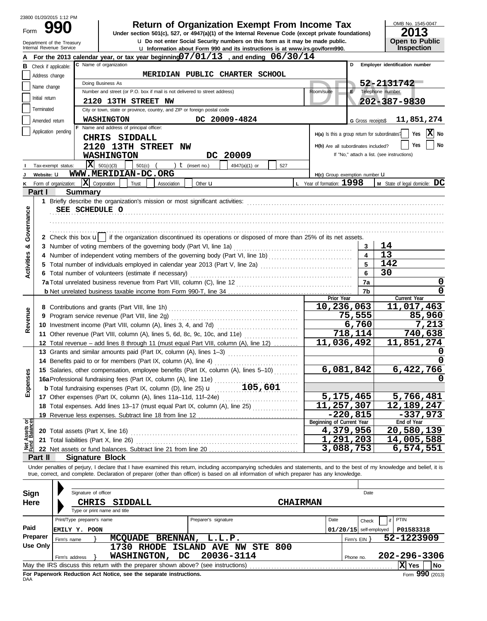|                                                                                                                                                                                                                                             |                                                                                                                   | 23800 01/20/2015 1:12 PM                               |                                                                                   |                                                                                                                                                                                            |                            |                                     | OMB No. 1545-0047                          |  |  |  |  |  |  |  |                     |                                          |  |  |  |                                                              |
|---------------------------------------------------------------------------------------------------------------------------------------------------------------------------------------------------------------------------------------------|-------------------------------------------------------------------------------------------------------------------|--------------------------------------------------------|-----------------------------------------------------------------------------------|--------------------------------------------------------------------------------------------------------------------------------------------------------------------------------------------|----------------------------|-------------------------------------|--------------------------------------------|--|--|--|--|--|--|--|---------------------|------------------------------------------|--|--|--|--------------------------------------------------------------|
| Form                                                                                                                                                                                                                                        |                                                                                                                   |                                                        |                                                                                   | <b>Return of Organization Exempt From Income Tax</b>                                                                                                                                       |                            |                                     | 2013                                       |  |  |  |  |  |  |  |                     |                                          |  |  |  |                                                              |
|                                                                                                                                                                                                                                             |                                                                                                                   |                                                        |                                                                                   | Under section 501(c), 527, or 4947(a)(1) of the Internal Revenue Code (except private foundations)<br><b>u</b> Do not enter Social Security numbers on this form as it may be made public. |                            |                                     | Open to Public                             |  |  |  |  |  |  |  |                     |                                          |  |  |  |                                                              |
|                                                                                                                                                                                                                                             |                                                                                                                   | Department of the Treasury<br>Internal Revenue Service |                                                                                   | u Information about Form 990 and its instructions is at www.irs.gov/form990.                                                                                                               |                            |                                     | Inspection                                 |  |  |  |  |  |  |  |                     |                                          |  |  |  |                                                              |
|                                                                                                                                                                                                                                             |                                                                                                                   |                                                        |                                                                                   | For the 2013 calendar year, or tax year beginning $07/01/13$ , and ending $06/30/14$                                                                                                       |                            |                                     |                                            |  |  |  |  |  |  |  |                     |                                          |  |  |  |                                                              |
|                                                                                                                                                                                                                                             | <b>B</b> Check if applicable:                                                                                     |                                                        | C Name of organization                                                            |                                                                                                                                                                                            |                            | D                                   | Employer identification number             |  |  |  |  |  |  |  |                     |                                          |  |  |  |                                                              |
|                                                                                                                                                                                                                                             | Address change                                                                                                    |                                                        |                                                                                   | MERIDIAN PUBLIC CHARTER SCHOOL                                                                                                                                                             |                            |                                     |                                            |  |  |  |  |  |  |  |                     |                                          |  |  |  |                                                              |
|                                                                                                                                                                                                                                             | 52-2131742<br>Doing Business As<br>Name change                                                                    |                                                        |                                                                                   |                                                                                                                                                                                            |                            |                                     |                                            |  |  |  |  |  |  |  |                     |                                          |  |  |  |                                                              |
|                                                                                                                                                                                                                                             | Telephone number<br>Number and street (or P.O. box if mail is not delivered to street address)<br>Room/suite<br>Е |                                                        |                                                                                   |                                                                                                                                                                                            |                            |                                     |                                            |  |  |  |  |  |  |  |                     |                                          |  |  |  |                                                              |
| Initial return<br>202-387-9830<br>2120 13TH STREET NW<br>Terminated<br>City or town, state or province, country, and ZIP or foreign postal code<br>DC 20009-4824<br><b>WASHINGTON</b><br>11,851,274<br>Amended return<br>G Gross receipts\$ |                                                                                                                   |                                                        |                                                                                   |                                                                                                                                                                                            |                            |                                     |                                            |  |  |  |  |  |  |  |                     |                                          |  |  |  |                                                              |
|                                                                                                                                                                                                                                             |                                                                                                                   |                                                        |                                                                                   |                                                                                                                                                                                            |                            |                                     |                                            |  |  |  |  |  |  |  |                     | F Name and address of principal officer: |  |  |  |                                                              |
|                                                                                                                                                                                                                                             |                                                                                                                   |                                                        |                                                                                   |                                                                                                                                                                                            |                            |                                     |                                            |  |  |  |  |  |  |  | Application pending | CHRIS SIDDALL                            |  |  |  | X No<br>Yes<br>H(a) Is this a group return for subordinates? |
|                                                                                                                                                                                                                                             |                                                                                                                   |                                                        | <b>2120 13TH STREET NW</b>                                                        |                                                                                                                                                                                            |                            | H(b) Are all subordinates included? | Yes<br>No                                  |  |  |  |  |  |  |  |                     |                                          |  |  |  |                                                              |
|                                                                                                                                                                                                                                             |                                                                                                                   |                                                        | <b>WASHINGTON</b>                                                                 | DC 20009                                                                                                                                                                                   |                            |                                     | If "No," attach a list. (see instructions) |  |  |  |  |  |  |  |                     |                                          |  |  |  |                                                              |
|                                                                                                                                                                                                                                             |                                                                                                                   | Tax-exempt status:                                     | $\mathbf{x}$<br>501(c)(3)<br>$501(c)$ (                                           | ) $t$ (insert no.)<br>4947(a)(1) or<br>527                                                                                                                                                 |                            |                                     |                                            |  |  |  |  |  |  |  |                     |                                          |  |  |  |                                                              |
|                                                                                                                                                                                                                                             | Website: U                                                                                                        |                                                        | WWW.MERIDIAN-DC.ORG                                                               |                                                                                                                                                                                            |                            | H(c) Group exemption number U       |                                            |  |  |  |  |  |  |  |                     |                                          |  |  |  |                                                              |
|                                                                                                                                                                                                                                             |                                                                                                                   | K Form of organization:                                | $\mathbf{X}$ Corporation<br>Trust<br>Association                                  | Other <b>u</b>                                                                                                                                                                             | L Year of formation: 1998  |                                     | M State of legal domicile: DC              |  |  |  |  |  |  |  |                     |                                          |  |  |  |                                                              |
|                                                                                                                                                                                                                                             | Part I                                                                                                            | <b>Summary</b>                                         |                                                                                   |                                                                                                                                                                                            |                            |                                     |                                            |  |  |  |  |  |  |  |                     |                                          |  |  |  |                                                              |
|                                                                                                                                                                                                                                             |                                                                                                                   |                                                        |                                                                                   |                                                                                                                                                                                            |                            |                                     |                                            |  |  |  |  |  |  |  |                     |                                          |  |  |  |                                                              |
|                                                                                                                                                                                                                                             |                                                                                                                   | SEE SCHEDULE O                                         |                                                                                   |                                                                                                                                                                                            |                            |                                     |                                            |  |  |  |  |  |  |  |                     |                                          |  |  |  |                                                              |
| Governance                                                                                                                                                                                                                                  |                                                                                                                   |                                                        |                                                                                   |                                                                                                                                                                                            |                            |                                     |                                            |  |  |  |  |  |  |  |                     |                                          |  |  |  |                                                              |
|                                                                                                                                                                                                                                             |                                                                                                                   |                                                        |                                                                                   |                                                                                                                                                                                            |                            |                                     |                                            |  |  |  |  |  |  |  |                     |                                          |  |  |  |                                                              |
|                                                                                                                                                                                                                                             |                                                                                                                   |                                                        |                                                                                   | 2 Check this box u    if the organization discontinued its operations or disposed of more than 25% of its net assets.                                                                      |                            |                                     |                                            |  |  |  |  |  |  |  |                     |                                          |  |  |  |                                                              |
| න්                                                                                                                                                                                                                                          |                                                                                                                   |                                                        |                                                                                   |                                                                                                                                                                                            |                            | 3                                   | 14                                         |  |  |  |  |  |  |  |                     |                                          |  |  |  |                                                              |
|                                                                                                                                                                                                                                             |                                                                                                                   |                                                        |                                                                                   | 4 Number of independent voting members of the governing body (Part VI, line 1b)                                                                                                            |                            | $\overline{4}$                      | 13                                         |  |  |  |  |  |  |  |                     |                                          |  |  |  |                                                              |
|                                                                                                                                                                                                                                             |                                                                                                                   |                                                        | $\overline{5}$                                                                    | 142                                                                                                                                                                                        |                            |                                     |                                            |  |  |  |  |  |  |  |                     |                                          |  |  |  |                                                              |
| <b>Activities</b>                                                                                                                                                                                                                           |                                                                                                                   |                                                        | 6 Total number of volunteers (estimate if necessary)                              | 5 Total number of individuals employed in calendar year 2013 (Part V, line 2a) [[[[[[[[[[[[[[[[[[[[[[[[[[[[[[[                                                                             |                            | 6                                   | 30                                         |  |  |  |  |  |  |  |                     |                                          |  |  |  |                                                              |
|                                                                                                                                                                                                                                             |                                                                                                                   |                                                        |                                                                                   |                                                                                                                                                                                            |                            | 7a                                  | $\mathbf 0$                                |  |  |  |  |  |  |  |                     |                                          |  |  |  |                                                              |
|                                                                                                                                                                                                                                             |                                                                                                                   |                                                        |                                                                                   |                                                                                                                                                                                            |                            | 7b                                  | 0                                          |  |  |  |  |  |  |  |                     |                                          |  |  |  |                                                              |
|                                                                                                                                                                                                                                             |                                                                                                                   |                                                        |                                                                                   |                                                                                                                                                                                            | Prior Year                 |                                     | Current Year                               |  |  |  |  |  |  |  |                     |                                          |  |  |  |                                                              |
|                                                                                                                                                                                                                                             |                                                                                                                   |                                                        |                                                                                   |                                                                                                                                                                                            | 10,236,063                 |                                     | 11,017,463                                 |  |  |  |  |  |  |  |                     |                                          |  |  |  |                                                              |
|                                                                                                                                                                                                                                             |                                                                                                                   |                                                        | 9 Program service revenue (Part VIII, line 2g)                                    |                                                                                                                                                                                            |                            | 75,555                              | 85,960                                     |  |  |  |  |  |  |  |                     |                                          |  |  |  |                                                              |
| Revenue                                                                                                                                                                                                                                     |                                                                                                                   |                                                        |                                                                                   |                                                                                                                                                                                            |                            | 6,760                               | 7,213                                      |  |  |  |  |  |  |  |                     |                                          |  |  |  |                                                              |
|                                                                                                                                                                                                                                             |                                                                                                                   |                                                        |                                                                                   | 11 Other revenue (Part VIII, column (A), lines 5, 6d, 8c, 9c, 10c, and 11e)                                                                                                                |                            | 718,114                             | 740,638                                    |  |  |  |  |  |  |  |                     |                                          |  |  |  |                                                              |
|                                                                                                                                                                                                                                             |                                                                                                                   |                                                        |                                                                                   | 12 Total revenue - add lines 8 through 11 (must equal Part VIII, column (A), line 12)                                                                                                      |                            | 11,036,492                          | 11,851,274                                 |  |  |  |  |  |  |  |                     |                                          |  |  |  |                                                              |
|                                                                                                                                                                                                                                             |                                                                                                                   |                                                        |                                                                                   | 13 Grants and similar amounts paid (Part IX, column (A), lines 1-3)                                                                                                                        |                            |                                     |                                            |  |  |  |  |  |  |  |                     |                                          |  |  |  |                                                              |
|                                                                                                                                                                                                                                             |                                                                                                                   |                                                        | 14 Benefits paid to or for members (Part IX, column (A), line 4)                  |                                                                                                                                                                                            |                            |                                     | $\Omega$                                   |  |  |  |  |  |  |  |                     |                                          |  |  |  |                                                              |
|                                                                                                                                                                                                                                             |                                                                                                                   |                                                        |                                                                                   | 15 Salaries, other compensation, employee benefits (Part IX, column (A), lines 5-10)                                                                                                       |                            | 6,081,842                           | 6,422,766                                  |  |  |  |  |  |  |  |                     |                                          |  |  |  |                                                              |
| Expenses                                                                                                                                                                                                                                    |                                                                                                                   |                                                        | 16a Professional fundraising fees (Part IX, column (A), line 11e)                 |                                                                                                                                                                                            |                            |                                     | 0                                          |  |  |  |  |  |  |  |                     |                                          |  |  |  |                                                              |
|                                                                                                                                                                                                                                             |                                                                                                                   |                                                        |                                                                                   | <b>b</b> Total fundraising expenses (Part IX, column (D), line 25) $\mathbf{u}$ [105,601                                                                                                   |                            |                                     |                                            |  |  |  |  |  |  |  |                     |                                          |  |  |  |                                                              |
|                                                                                                                                                                                                                                             |                                                                                                                   |                                                        |                                                                                   |                                                                                                                                                                                            |                            | 5,175,465                           | 5,766,481                                  |  |  |  |  |  |  |  |                     |                                          |  |  |  |                                                              |
|                                                                                                                                                                                                                                             |                                                                                                                   |                                                        |                                                                                   | 18 Total expenses. Add lines 13-17 (must equal Part IX, column (A), line 25)                                                                                                               | $\overline{11}$ , 257, 307 |                                     | 12, 189, 247                               |  |  |  |  |  |  |  |                     |                                          |  |  |  |                                                              |
|                                                                                                                                                                                                                                             |                                                                                                                   |                                                        |                                                                                   |                                                                                                                                                                                            |                            | $-220,815$                          | $-337,973$                                 |  |  |  |  |  |  |  |                     |                                          |  |  |  |                                                              |
| Assets or                                                                                                                                                                                                                                   |                                                                                                                   |                                                        |                                                                                   |                                                                                                                                                                                            | Beginning of Current Year  |                                     | End of Year                                |  |  |  |  |  |  |  |                     |                                          |  |  |  |                                                              |
|                                                                                                                                                                                                                                             |                                                                                                                   |                                                        |                                                                                   |                                                                                                                                                                                            |                            | 4,379,956                           | 20,580,139                                 |  |  |  |  |  |  |  |                     |                                          |  |  |  |                                                              |
|                                                                                                                                                                                                                                             |                                                                                                                   |                                                        | 21 Total liabilities (Part X, line 26)                                            |                                                                                                                                                                                            |                            | 1,291,203                           | 14,005,588                                 |  |  |  |  |  |  |  |                     |                                          |  |  |  |                                                              |
| Net<br>Fund                                                                                                                                                                                                                                 |                                                                                                                   |                                                        |                                                                                   |                                                                                                                                                                                            |                            | 3,088,753                           | 6,574,551                                  |  |  |  |  |  |  |  |                     |                                          |  |  |  |                                                              |
|                                                                                                                                                                                                                                             | Part II                                                                                                           |                                                        | <b>Signature Block</b>                                                            |                                                                                                                                                                                            |                            |                                     |                                            |  |  |  |  |  |  |  |                     |                                          |  |  |  |                                                              |
|                                                                                                                                                                                                                                             |                                                                                                                   |                                                        |                                                                                   | Under penalties of perjury, I declare that I have examined this return, including accompanying schedules and statements, and to the best of my knowledge and belief, it is                 |                            |                                     |                                            |  |  |  |  |  |  |  |                     |                                          |  |  |  |                                                              |
|                                                                                                                                                                                                                                             |                                                                                                                   |                                                        |                                                                                   | true, correct, and complete. Declaration of preparer (other than officer) is based on all information of which preparer has any knowledge.                                                 |                            |                                     |                                            |  |  |  |  |  |  |  |                     |                                          |  |  |  |                                                              |
|                                                                                                                                                                                                                                             |                                                                                                                   |                                                        |                                                                                   |                                                                                                                                                                                            |                            |                                     |                                            |  |  |  |  |  |  |  |                     |                                          |  |  |  |                                                              |
| <b>Sign</b>                                                                                                                                                                                                                                 |                                                                                                                   |                                                        | Signature of officer                                                              |                                                                                                                                                                                            |                            | Date                                |                                            |  |  |  |  |  |  |  |                     |                                          |  |  |  |                                                              |
| <b>Here</b>                                                                                                                                                                                                                                 |                                                                                                                   |                                                        | <b>CHRIS</b><br>SIDDALL                                                           |                                                                                                                                                                                            | <b>CHAIRMAN</b>            |                                     |                                            |  |  |  |  |  |  |  |                     |                                          |  |  |  |                                                              |
|                                                                                                                                                                                                                                             |                                                                                                                   |                                                        | Type or print name and title                                                      |                                                                                                                                                                                            |                            |                                     |                                            |  |  |  |  |  |  |  |                     |                                          |  |  |  |                                                              |
|                                                                                                                                                                                                                                             |                                                                                                                   | Print/Type preparer's name                             |                                                                                   | Preparer's signature                                                                                                                                                                       | Date                       | Check                               | <b>PTIN</b>                                |  |  |  |  |  |  |  |                     |                                          |  |  |  |                                                              |
| Paid                                                                                                                                                                                                                                        |                                                                                                                   | EMILY Y. POON                                          |                                                                                   |                                                                                                                                                                                            |                            | $01/20/15$ self-employed            | P01583318                                  |  |  |  |  |  |  |  |                     |                                          |  |  |  |                                                              |
|                                                                                                                                                                                                                                             | Preparer                                                                                                          | Firm's $EIN$ }                                         | 52-1223909                                                                        |                                                                                                                                                                                            |                            |                                     |                                            |  |  |  |  |  |  |  |                     |                                          |  |  |  |                                                              |
|                                                                                                                                                                                                                                             | <b>Use Only</b>                                                                                                   |                                                        | MCQUADE BRENNAN, L.L.P.                                                           | 1730 RHODE ISLAND AVE NW STE 800                                                                                                                                                           |                            |                                     |                                            |  |  |  |  |  |  |  |                     |                                          |  |  |  |                                                              |
|                                                                                                                                                                                                                                             |                                                                                                                   | Firm's address                                         | <b>WASHINGTON,</b><br>DC                                                          | 20036-3114                                                                                                                                                                                 |                            | Phone no.                           | 202-296-3306                               |  |  |  |  |  |  |  |                     |                                          |  |  |  |                                                              |
|                                                                                                                                                                                                                                             |                                                                                                                   |                                                        | May the IRS discuss this return with the preparer shown above? (see instructions) |                                                                                                                                                                                            |                            |                                     | X Yes<br>  No                              |  |  |  |  |  |  |  |                     |                                          |  |  |  |                                                              |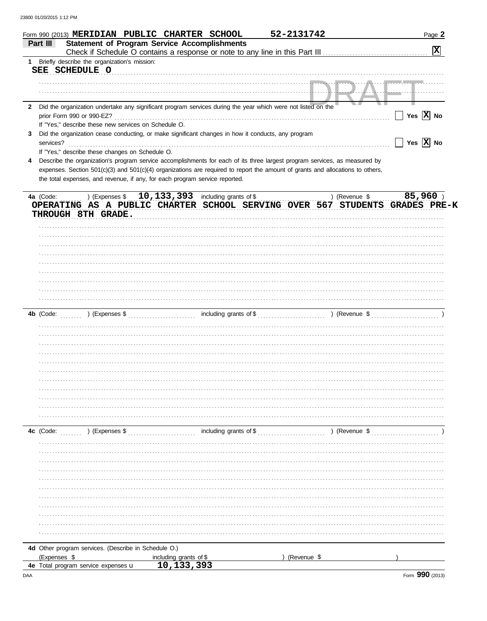|                | Form 990 (2013) MERIDIAN PUBLIC CHARTER SCHOOL                                                                                 |                                      |                        | 52-2131742  |               | Page 2                  |
|----------------|--------------------------------------------------------------------------------------------------------------------------------|--------------------------------------|------------------------|-------------|---------------|-------------------------|
| Part III       | <b>Statement of Program Service Accomplishments</b>                                                                            |                                      |                        |             |               | $\overline{\mathbf{x}}$ |
|                |                                                                                                                                |                                      |                        |             |               |                         |
| 1              | Briefly describe the organization's mission:<br>SEE SCHEDULE O                                                                 |                                      |                        |             |               |                         |
|                |                                                                                                                                |                                      |                        |             |               |                         |
|                |                                                                                                                                |                                      |                        |             |               |                         |
|                |                                                                                                                                |                                      |                        |             |               |                         |
| $\mathbf{2}$   | Did the organization undertake any significant program services during the year which were not listed on the                   |                                      |                        |             |               |                         |
|                | prior Form 990 or 990-EZ?                                                                                                      |                                      |                        |             |               | Yes $\overline{X}$ No   |
|                | If "Yes," describe these new services on Schedule O.                                                                           |                                      |                        |             |               |                         |
| 3<br>services? | Did the organization cease conducting, or make significant changes in how it conducts, any program                             |                                      |                        |             |               | Yes $\overline{X}$ No   |
|                | If "Yes," describe these changes on Schedule O.                                                                                |                                      |                        |             |               |                         |
| 4              | Describe the organization's program service accomplishments for each of its three largest program services, as measured by     |                                      |                        |             |               |                         |
|                | expenses. Section 501(c)(3) and 501(c)(4) organizations are required to report the amount of grants and allocations to others, |                                      |                        |             |               |                         |
|                | the total expenses, and revenue, if any, for each program service reported.                                                    |                                      |                        |             |               |                         |
|                |                                                                                                                                |                                      |                        |             |               |                         |
| 4a (Code:      | $(10, 133, 393)$ including grants of \$                                                                                        |                                      |                        |             | ) (Revenue \$ | 85,960                  |
|                | OPERATING AS A PUBLIC CHARTER SCHOOL SERVING OVER 567 STUDENTS GRADES PRE-K                                                    |                                      |                        |             |               |                         |
|                | THROUGH 8TH GRADE.                                                                                                             |                                      |                        |             |               |                         |
|                |                                                                                                                                |                                      |                        |             |               |                         |
|                |                                                                                                                                |                                      |                        |             |               |                         |
|                |                                                                                                                                |                                      |                        |             |               |                         |
|                |                                                                                                                                |                                      |                        |             |               |                         |
|                |                                                                                                                                |                                      |                        |             |               |                         |
|                |                                                                                                                                |                                      |                        |             |               |                         |
|                |                                                                                                                                |                                      |                        |             |               |                         |
|                |                                                                                                                                |                                      |                        |             |               |                         |
|                |                                                                                                                                |                                      |                        |             |               |                         |
|                |                                                                                                                                |                                      |                        |             |               |                         |
|                |                                                                                                                                |                                      |                        |             |               |                         |
|                |                                                                                                                                |                                      |                        |             |               |                         |
|                |                                                                                                                                |                                      |                        |             |               |                         |
|                |                                                                                                                                |                                      |                        |             |               |                         |
|                |                                                                                                                                |                                      |                        |             |               |                         |
|                |                                                                                                                                |                                      |                        |             |               |                         |
|                |                                                                                                                                |                                      |                        |             |               |                         |
|                |                                                                                                                                |                                      |                        |             |               |                         |
|                |                                                                                                                                |                                      |                        |             |               |                         |
|                |                                                                                                                                |                                      |                        |             |               |                         |
|                |                                                                                                                                |                                      |                        |             |               |                         |
| 4c (Code:      | ) (Expenses \$                                                                                                                 |                                      | including grants of \$ |             | ) (Revenue \$ |                         |
|                |                                                                                                                                |                                      |                        |             |               |                         |
|                |                                                                                                                                |                                      |                        |             |               |                         |
|                |                                                                                                                                |                                      |                        |             |               |                         |
|                |                                                                                                                                |                                      |                        |             |               |                         |
|                |                                                                                                                                |                                      |                        |             |               |                         |
|                |                                                                                                                                |                                      |                        |             |               |                         |
|                |                                                                                                                                |                                      |                        |             |               |                         |
|                |                                                                                                                                |                                      |                        |             |               |                         |
|                |                                                                                                                                |                                      |                        |             |               |                         |
|                |                                                                                                                                |                                      |                        |             |               |                         |
|                |                                                                                                                                |                                      |                        |             |               |                         |
|                |                                                                                                                                |                                      |                        |             |               |                         |
|                | 4d Other program services. (Describe in Schedule O.)                                                                           |                                      |                        |             |               |                         |
|                | (Expenses \$<br>4e Total program service expenses u                                                                            | including grants of \$<br>10,133,393 |                        | (Revenue \$ |               |                         |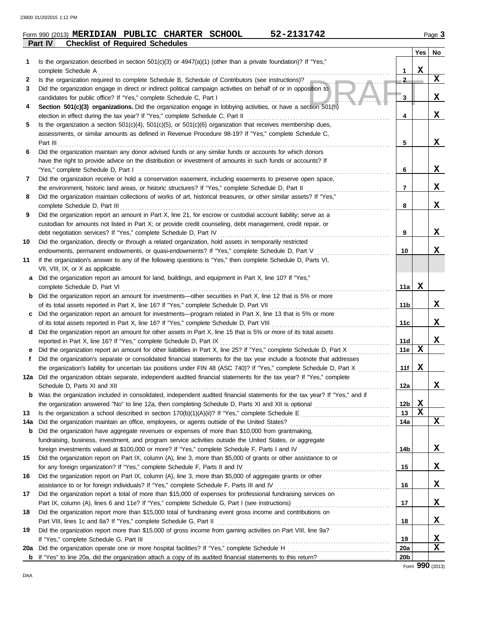|     | 52-2131742<br>Form 990 (2013) MERIDIAN PUBLIC CHARTER SCHOOL                                                                           |                 |             | Page 3      |
|-----|----------------------------------------------------------------------------------------------------------------------------------------|-----------------|-------------|-------------|
|     | Part IV<br><b>Checklist of Required Schedules</b>                                                                                      |                 |             |             |
|     |                                                                                                                                        |                 | Yes         | No          |
| 1   | Is the organization described in section 501(c)(3) or 4947(a)(1) (other than a private foundation)? If "Yes,"<br>complete Schedule A   | 1               | $\mathbf x$ |             |
| 2   | Is the organization required to complete Schedule B, Schedule of Contributors (see instructions)?                                      | $\mathbf{2}$    |             | $\mathbf x$ |
| 3   | Did the organization engage in direct or indirect political campaign activities on behalf of or in opposition to                       |                 |             |             |
|     | candidates for public office? If "Yes," complete Schedule C, Part I                                                                    | 3               |             | X           |
| 4   | Section 501(c)(3) organizations. Did the organization engage in lobbying activities, or have a section 501(h)                          |                 |             |             |
|     | election in effect during the tax year? If "Yes," complete Schedule C, Part II                                                         | 4               |             | X           |
| 5   | Is the organization a section $501(c)(4)$ , $501(c)(5)$ , or $501(c)(6)$ organization that receives membership dues,                   |                 |             |             |
|     | assessments, or similar amounts as defined in Revenue Procedure 98-19? If "Yes," complete Schedule C,                                  |                 |             |             |
|     | Part III                                                                                                                               | 5               |             | X           |
| 6   | Did the organization maintain any donor advised funds or any similar funds or accounts for which donors                                |                 |             |             |
|     | have the right to provide advice on the distribution or investment of amounts in such funds or accounts? If                            |                 |             |             |
|     | "Yes," complete Schedule D, Part I                                                                                                     | 6               |             | X           |
| 7   | Did the organization receive or hold a conservation easement, including easements to preserve open space,                              |                 |             |             |
|     | the environment, historic land areas, or historic structures? If "Yes," complete Schedule D, Part II                                   | 7               |             | X           |
| 8   | Did the organization maintain collections of works of art, historical treasures, or other similar assets? If "Yes,"                    |                 |             |             |
|     | complete Schedule D, Part III                                                                                                          | 8               |             | X           |
| 9   | Did the organization report an amount in Part X, line 21, for escrow or custodial account liability; serve as a                        |                 |             |             |
|     | custodian for amounts not listed in Part X; or provide credit counseling, debt management, credit repair, or                           |                 |             |             |
|     | debt negotiation services? If "Yes," complete Schedule D, Part IV                                                                      | 9               |             | X           |
| 10  | Did the organization, directly or through a related organization, hold assets in temporarily restricted                                |                 |             |             |
|     | endowments, permanent endowments, or quasi-endowments? If "Yes," complete Schedule D, Part V                                           | 10              |             | X           |
| 11  | If the organization's answer to any of the following questions is "Yes," then complete Schedule D, Parts VI,                           |                 |             |             |
|     | VII, VIII, IX, or X as applicable.                                                                                                     |                 |             |             |
| a   | Did the organization report an amount for land, buildings, and equipment in Part X, line 10? If "Yes,"<br>complete Schedule D, Part VI | 11a             | X           |             |
| b   | Did the organization report an amount for investments—other securities in Part X, line 12 that is 5% or more                           |                 |             |             |
|     |                                                                                                                                        | 11b             |             | X           |
|     | c Did the organization report an amount for investments—program related in Part X, line 13 that is 5% or more                          |                 |             |             |
|     |                                                                                                                                        | 11c             |             | X           |
|     | d Did the organization report an amount for other assets in Part X, line 15 that is 5% or more of its total assets                     |                 |             |             |
|     | reported in Part X, line 16? If "Yes," complete Schedule D, Part IX                                                                    | 11d             |             | X           |
| e   | Did the organization report an amount for other liabilities in Part X, line 25? If "Yes," complete Schedule D, Part X                  | 11e             | X           |             |
| f   | Did the organization's separate or consolidated financial statements for the tax year include a footnote that addresses                |                 |             |             |
|     | the organization's liability for uncertain tax positions under FIN 48 (ASC 740)? If "Yes," complete Schedule D, Part X                 | 11f             | X           |             |
|     | 12a Did the organization obtain separate, independent audited financial statements for the tax year? If "Yes," complete                |                 |             |             |
|     |                                                                                                                                        | 12a             |             | X           |
| b   | Was the organization included in consolidated, independent audited financial statements for the tax year? If "Yes," and if             |                 |             |             |
|     |                                                                                                                                        | 12b             | X           |             |
| 13  |                                                                                                                                        | 13              | $\mathbf x$ |             |
| 14a | Did the organization maintain an office, employees, or agents outside of the United States?                                            | 14a             |             | X           |
| b   | Did the organization have aggregate revenues or expenses of more than \$10,000 from grantmaking,                                       |                 |             |             |
|     | fundraising, business, investment, and program service activities outside the United States, or aggregate                              |                 |             |             |
|     |                                                                                                                                        | 14b             |             | X           |
| 15  | Did the organization report on Part IX, column (A), line 3, more than \$5,000 of grants or other assistance to or                      |                 |             |             |
|     |                                                                                                                                        | 15              |             | X           |
| 16  | Did the organization report on Part IX, column (A), line 3, more than \$5,000 of aggregate grants or other                             |                 |             |             |
|     |                                                                                                                                        | 16              |             | X           |
| 17  | Did the organization report a total of more than \$15,000 of expenses for professional fundraising services on                         |                 |             | X           |
|     |                                                                                                                                        | 17              |             |             |
| 18  | Did the organization report more than \$15,000 total of fundraising event gross income and contributions on                            |                 |             | X           |
| 19  | Did the organization report more than \$15,000 of gross income from gaming activities on Part VIII, line 9a?                           | 18              |             |             |
|     | If "Yes," complete Schedule G, Part III                                                                                                | 19              |             | X           |
| 20a |                                                                                                                                        | <b>20a</b>      |             | X           |
| b   |                                                                                                                                        | 20 <sub>b</sub> |             |             |
|     |                                                                                                                                        |                 |             |             |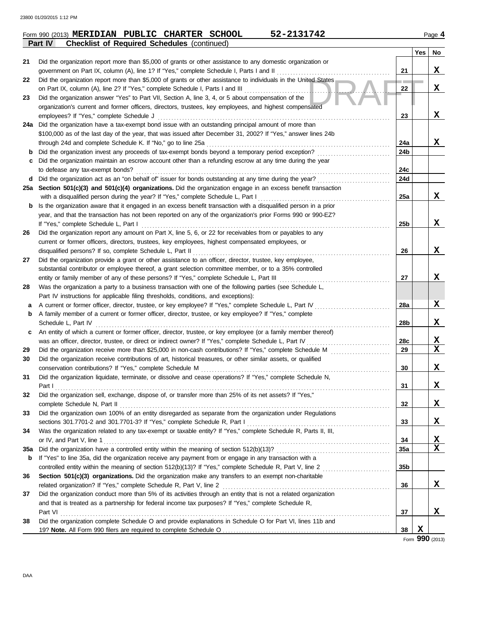|     | 52-2131742<br>Form 990 (2013) MERIDIAN PUBLIC CHARTER SCHOOL                                                                                                                                                      |                 |     | Page 4          |
|-----|-------------------------------------------------------------------------------------------------------------------------------------------------------------------------------------------------------------------|-----------------|-----|-----------------|
|     | Part IV<br><b>Checklist of Required Schedules (continued)</b>                                                                                                                                                     |                 |     |                 |
|     |                                                                                                                                                                                                                   |                 | Yes | No              |
| 21  | Did the organization report more than \$5,000 of grants or other assistance to any domestic organization or                                                                                                       |                 |     |                 |
|     | government on Part IX, column (A), line 1? If "Yes," complete Schedule I, Parts I and II                                                                                                                          | 21              |     | X               |
| 22  | Did the organization report more than \$5,000 of grants or other assistance to individuals in the United States                                                                                                   |                 |     |                 |
|     | on Part IX, column (A), line 2? If "Yes," complete Schedule I, Parts I and III                                                                                                                                    | 22              |     | X               |
| 23  | Did the organization answer "Yes" to Part VII, Section A, line 3, 4, or 5 about compensation of the                                                                                                               |                 |     |                 |
|     | organization's current and former officers, directors, trustees, key employees, and highest compensated                                                                                                           |                 |     |                 |
|     | employees? If "Yes," complete Schedule J                                                                                                                                                                          | 23              |     | X               |
|     | 24a Did the organization have a tax-exempt bond issue with an outstanding principal amount of more than                                                                                                           |                 |     |                 |
|     | \$100,000 as of the last day of the year, that was issued after December 31, 2002? If "Yes," answer lines 24b                                                                                                     |                 |     |                 |
|     | through 24d and complete Schedule K. If "No," go to line 25a                                                                                                                                                      | 24a             |     | X               |
| b   | Did the organization invest any proceeds of tax-exempt bonds beyond a temporary period exception?                                                                                                                 | 24b             |     |                 |
| С   | Did the organization maintain an escrow account other than a refunding escrow at any time during the year                                                                                                         |                 |     |                 |
|     | to defease any tax-exempt bonds?                                                                                                                                                                                  | 24c             |     |                 |
| d   | Did the organization act as an "on behalf of" issuer for bonds outstanding at any time during the year?                                                                                                           | 24d             |     |                 |
|     | 25a Section 501(c)(3) and 501(c)(4) organizations. Did the organization engage in an excess benefit transaction                                                                                                   |                 |     |                 |
|     | with a disqualified person during the year? If "Yes," complete Schedule L, Part I                                                                                                                                 | 25a             |     | X               |
| b   | Is the organization aware that it engaged in an excess benefit transaction with a disqualified person in a prior                                                                                                  |                 |     |                 |
|     | year, and that the transaction has not been reported on any of the organization's prior Forms 990 or 990-EZ?                                                                                                      |                 |     |                 |
|     | If "Yes," complete Schedule L, Part I                                                                                                                                                                             | 25 <sub>b</sub> |     | X               |
| 26  | Did the organization report any amount on Part X, line 5, 6, or 22 for receivables from or payables to any                                                                                                        |                 |     |                 |
|     | current or former officers, directors, trustees, key employees, highest compensated employees, or                                                                                                                 |                 |     |                 |
|     | disqualified persons? If so, complete Schedule L, Part II                                                                                                                                                         | 26              |     | X               |
| 27  | Did the organization provide a grant or other assistance to an officer, director, trustee, key employee,                                                                                                          |                 |     |                 |
|     | substantial contributor or employee thereof, a grant selection committee member, or to a 35% controlled                                                                                                           |                 |     |                 |
|     | entity or family member of any of these persons? If "Yes," complete Schedule L, Part III                                                                                                                          | 27              |     | X               |
| 28  | Was the organization a party to a business transaction with one of the following parties (see Schedule L,                                                                                                         |                 |     |                 |
|     | Part IV instructions for applicable filing thresholds, conditions, and exceptions):                                                                                                                               |                 |     | X               |
| а   | A current or former officer, director, trustee, or key employee? If "Yes," complete Schedule L, Part IV<br>A family member of a current or former officer, director, trustee, or key employee? If "Yes," complete | 28a             |     |                 |
| b   |                                                                                                                                                                                                                   |                 |     | X               |
|     | Schedule L, Part IV                                                                                                                                                                                               | 28b             |     |                 |
| c   | An entity of which a current or former officer, director, trustee, or key employee (or a family member thereof)                                                                                                   |                 |     | X               |
|     | was an officer, director, trustee, or direct or indirect owner? If "Yes," complete Schedule L, Part IV                                                                                                            | 28c<br>29       |     | X               |
| 29  | Did the organization receive more than \$25,000 in non-cash contributions? If "Yes," complete Schedule M                                                                                                          |                 |     |                 |
| 30  | Did the organization receive contributions of art, historical treasures, or other similar assets, or qualified                                                                                                    | 30              |     | $\mathbf x$     |
|     | conservation contributions? If "Yes," complete Schedule M                                                                                                                                                         |                 |     |                 |
| 31  | Did the organization liquidate, terminate, or dissolve and cease operations? If "Yes," complete Schedule N,                                                                                                       | 31              |     | X               |
|     | Part I<br>Did the organization sell, exchange, dispose of, or transfer more than 25% of its net assets? If "Yes,"                                                                                                 |                 |     |                 |
| 32  | complete Schedule N, Part II                                                                                                                                                                                      | 32              |     | X               |
| 33  | Did the organization own 100% of an entity disregarded as separate from the organization under Regulations                                                                                                        |                 |     |                 |
|     |                                                                                                                                                                                                                   | 33              |     | X               |
| 34  | Was the organization related to any tax-exempt or taxable entity? If "Yes," complete Schedule R, Parts II, III,                                                                                                   |                 |     |                 |
|     | or IV, and Part V, line 1                                                                                                                                                                                         | 34              |     | X               |
| 35a |                                                                                                                                                                                                                   | <b>35a</b>      |     | X               |
|     | If "Yes" to line 35a, did the organization receive any payment from or engage in any transaction with a                                                                                                           |                 |     |                 |
| b   |                                                                                                                                                                                                                   | 35 <sub>b</sub> |     |                 |
| 36  | Section 501(c)(3) organizations. Did the organization make any transfers to an exempt non-charitable                                                                                                              |                 |     |                 |
|     | related organization? If "Yes," complete Schedule R, Part V, line 2                                                                                                                                               | 36              |     | X               |
|     |                                                                                                                                                                                                                   |                 |     |                 |
| 37  | Did the organization conduct more than 5% of its activities through an entity that is not a related organization                                                                                                  |                 |     |                 |
|     | and that is treated as a partnership for federal income tax purposes? If "Yes," complete Schedule R,                                                                                                              | 37              |     | X               |
| 38  | Part VI<br>Did the organization complete Schedule O and provide explanations in Schedule O for Part VI, lines 11b and                                                                                             |                 |     |                 |
|     |                                                                                                                                                                                                                   | 38              | X   |                 |
|     |                                                                                                                                                                                                                   |                 |     | Form 990 (2013) |
|     |                                                                                                                                                                                                                   |                 |     |                 |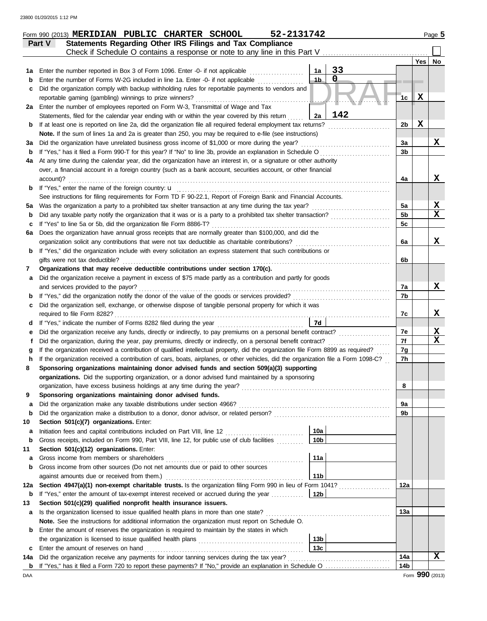|     | 52-2131742<br>Form 990 (2013) MERIDIAN PUBLIC CHARTER SCHOOL                                                                       |                 |             | Page 5 |
|-----|------------------------------------------------------------------------------------------------------------------------------------|-----------------|-------------|--------|
|     | Statements Regarding Other IRS Filings and Tax Compliance<br>Part V                                                                |                 |             |        |
|     | Check if Schedule O contains a response or note to any line in this Part V                                                         |                 |             |        |
|     |                                                                                                                                    |                 | Yes         | No     |
| 1a  | 33<br>Enter the number reported in Box 3 of Form 1096. Enter -0- if not applicable<br>1a                                           |                 |             |        |
| b   | $\mathbf 0$<br>$4b -$<br>Enter the number of Forms W-2G included in line 1a. Enter -0- if not applicable                           |                 |             |        |
| c   | Did the organization comply with backup withholding rules for reportable payments to vendors and                                   |                 |             |        |
|     | reportable gaming (gambling) winnings to prize winners?                                                                            | 1 <sub>c</sub>  | $\mathbf X$ |        |
| 2a  | Enter the number of employees reported on Form W-3, Transmittal of Wage and Tax                                                    |                 |             |        |
|     | 142<br>2a<br>Statements, filed for the calendar year ending with or within the year covered by this return                         |                 |             |        |
| b   | If at least one is reported on line 2a, did the organization file all required federal employment tax returns?                     | 2 <sub>b</sub>  | X           |        |
|     | Note. If the sum of lines 1a and 2a is greater than 250, you may be required to e-file (see instructions)                          |                 |             |        |
| За  | Did the organization have unrelated business gross income of \$1,000 or more during the year?                                      | 3a              |             | X      |
| b   | If "Yes," has it filed a Form 990-T for this year? If "No" to line 3b, provide an explanation in Schedule O                        | 3 <sub>b</sub>  |             |        |
| 4a  | At any time during the calendar year, did the organization have an interest in, or a signature or other authority                  |                 |             |        |
|     | over, a financial account in a foreign country (such as a bank account, securities account, or other financial                     |                 |             |        |
|     | account)?                                                                                                                          | 4a              |             | X      |
| b   |                                                                                                                                    |                 |             |        |
|     | See instructions for filing requirements for Form TD F 90-22.1, Report of Foreign Bank and Financial Accounts.                     |                 |             |        |
| 5а  | Was the organization a party to a prohibited tax shelter transaction at any time during the tax year?                              | 5a              |             | X      |
| b   | Did any taxable party notify the organization that it was or is a party to a prohibited tax shelter transaction?                   | 5 <sub>b</sub>  |             | X      |
| c   | If "Yes" to line 5a or 5b, did the organization file Form 8886-T?                                                                  | 5c              |             |        |
| 6a  | Does the organization have annual gross receipts that are normally greater than \$100,000, and did the                             |                 |             |        |
|     | organization solicit any contributions that were not tax deductible as charitable contributions?                                   | 6a              |             | X      |
| b   | If "Yes," did the organization include with every solicitation an express statement that such contributions or                     |                 |             |        |
|     | gifts were not tax deductible?                                                                                                     | 6b              |             |        |
| 7   | Organizations that may receive deductible contributions under section 170(c).                                                      |                 |             |        |
| a   | Did the organization receive a payment in excess of \$75 made partly as a contribution and partly for goods                        |                 |             |        |
|     | and services provided to the payor?                                                                                                | 7a              |             | X      |
| b   | If "Yes," did the organization notify the donor of the value of the goods or services provided?                                    | 7b              |             |        |
| c   | Did the organization sell, exchange, or otherwise dispose of tangible personal property for which it was                           |                 |             |        |
|     | required to file Form 8282?                                                                                                        | 7c              |             | x      |
| d   | 7d<br>If "Yes," indicate the number of Forms 8282 filed during the year                                                            |                 |             |        |
| е   | Did the organization receive any funds, directly or indirectly, to pay premiums on a personal benefit contract?                    | 7e              |             | X      |
| Ť   | Did the organization, during the year, pay premiums, directly or indirectly, on a personal benefit contract?                       | 7f              |             | X      |
| g   | If the organization received a contribution of qualified intellectual property, did the organization file Form 8899 as required?   | 7g              |             |        |
| h   | If the organization received a contribution of cars, boats, airplanes, or other vehicles, did the organization file a Form 1098-C? | 7h              |             |        |
|     | Sponsoring organizations maintaining donor advised funds and section 509(a)(3) supporting                                          |                 |             |        |
|     | organizations. Did the supporting organization, or a donor advised fund maintained by a sponsoring                                 |                 |             |        |
|     | organization, have excess business holdings at any time during the year?                                                           | 8               |             |        |
| 9   | Sponsoring organizations maintaining donor advised funds.                                                                          |                 |             |        |
| a   | Did the organization make any taxable distributions under section 4966?                                                            | 9a              |             |        |
| b   | Did the organization make a distribution to a donor, donor advisor, or related person?                                             | 9b              |             |        |
| 10  | Section 501(c)(7) organizations. Enter:                                                                                            |                 |             |        |
| a   | 10a                                                                                                                                |                 |             |        |
| b   | Gross receipts, included on Form 990, Part VIII, line 12, for public use of club facilities<br>10 <sub>b</sub>                     |                 |             |        |
| 11  | Section 501(c)(12) organizations. Enter:                                                                                           |                 |             |        |
| a   | 11a<br>Gross income from members or shareholders                                                                                   |                 |             |        |
| b   | Gross income from other sources (Do not net amounts due or paid to other sources                                                   |                 |             |        |
|     | 11 <sub>b</sub><br>against amounts due or received from them.)                                                                     |                 |             |        |
| 12a | Section 4947(a)(1) non-exempt charitable trusts. Is the organization filing Form 990 in lieu of Form 1041?                         | 12a             |             |        |
| b   | 12b<br>If "Yes," enter the amount of tax-exempt interest received or accrued during the year                                       |                 |             |        |
| 13  | Section 501(c)(29) qualified nonprofit health insurance issuers.                                                                   |                 |             |        |
| a   |                                                                                                                                    | 13а             |             |        |
|     | Note. See the instructions for additional information the organization must report on Schedule O.                                  |                 |             |        |
| b   | Enter the amount of reserves the organization is required to maintain by the states in which                                       |                 |             |        |
|     | 13 <sub>b</sub>                                                                                                                    |                 |             |        |
| c   | 13 <sub>c</sub><br>Enter the amount of reserves on hand                                                                            |                 |             |        |
| 14a | Did the organization receive any payments for indoor tanning services during the tax year?                                         | 14a             |             | X      |
| b   | If "Yes," has it filed a Form 720 to report these payments? If "No," provide an explanation in Schedule O                          | 14 <sub>b</sub> |             |        |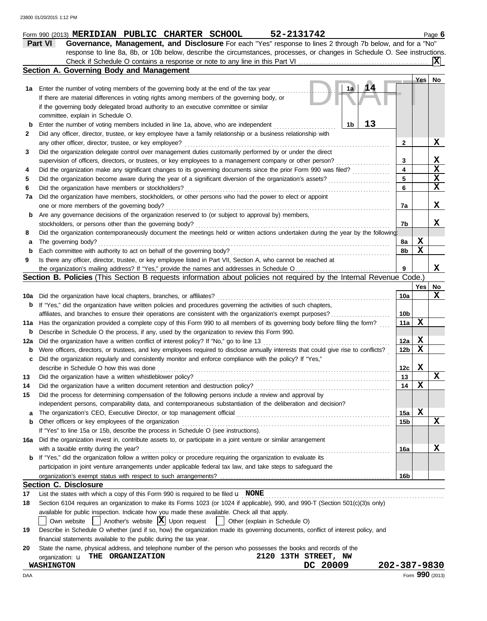|     | 52-2131742<br>Form 990 (2013) MERIDIAN PUBLIC CHARTER SCHOOL                                                                        |                 |     | Page 6          |
|-----|-------------------------------------------------------------------------------------------------------------------------------------|-----------------|-----|-----------------|
|     | Governance, Management, and Disclosure For each "Yes" response to lines 2 through 7b below, and for a "No"<br><b>Part VI</b>        |                 |     |                 |
|     | response to line 8a, 8b, or 10b below, describe the circumstances, processes, or changes in Schedule O. See instructions.           |                 |     |                 |
|     | Check if Schedule O contains a response or note to any line in this Part VI                                                         |                 |     |                 |
|     | Section A. Governing Body and Management                                                                                            |                 |     |                 |
|     |                                                                                                                                     |                 | Yes | No              |
|     | 1a<br>A 4<br>1a Enter the number of voting members of the governing body at the end of the tax year                                 |                 |     |                 |
|     | If there are material differences in voting rights among members of the governing body, or                                          |                 |     |                 |
|     | if the governing body delegated broad authority to an executive committee or similar                                                |                 |     |                 |
|     | committee, explain in Schedule O.                                                                                                   |                 |     |                 |
| b   | 13<br>1b<br>Enter the number of voting members included in line 1a, above, who are independent                                      |                 |     |                 |
| 2   | Did any officer, director, trustee, or key employee have a family relationship or a business relationship with                      |                 |     |                 |
|     | any other officer, director, trustee, or key employee?                                                                              | 2               |     | X               |
| 3   | Did the organization delegate control over management duties customarily performed by or under the direct                           |                 |     |                 |
|     | supervision of officers, directors, or trustees, or key employees to a management company or other person?                          | 3               |     | X               |
| 4   | Did the organization make any significant changes to its governing documents since the prior Form 990 was filed?                    | 4               |     | X               |
| 5   | Did the organization become aware during the year of a significant diversion of the organization's assets?                          | 5               |     | X               |
| 6   | Did the organization have members or stockholders?                                                                                  | 6               |     | X               |
| 7a  | Did the organization have members, stockholders, or other persons who had the power to elect or appoint                             |                 |     |                 |
|     | one or more members of the governing body?                                                                                          | 7a              |     | X               |
| b   | Are any governance decisions of the organization reserved to (or subject to approval by) members,                                   |                 |     |                 |
|     | stockholders, or persons other than the governing body?                                                                             | 7b              |     | X               |
| 8   | Did the organization contemporaneously document the meetings held or written actions undertaken during the year by the following:   |                 |     |                 |
| а   | The governing body?                                                                                                                 | 8a              | X   |                 |
| b   | Each committee with authority to act on behalf of the governing body?                                                               | 8b              | X   |                 |
| 9   | Is there any officer, director, trustee, or key employee listed in Part VII, Section A, who cannot be reached at                    |                 |     |                 |
|     |                                                                                                                                     | 9               |     | X               |
|     | Section B. Policies (This Section B requests information about policies not required by the Internal Revenue Code.)                 |                 |     |                 |
|     |                                                                                                                                     |                 | Yes | No              |
| 10a | Did the organization have local chapters, branches, or affiliates?                                                                  | 10a             |     | X               |
| b   | If "Yes," did the organization have written policies and procedures governing the activities of such chapters,                      |                 |     |                 |
|     | affiliates, and branches to ensure their operations are consistent with the organization's exempt purposes?                         | 10 <sub>b</sub> |     |                 |
| 11a | Has the organization provided a complete copy of this Form 990 to all members of its governing body before filing the form?         | 11a             | X   |                 |
| b   | Describe in Schedule O the process, if any, used by the organization to review this Form 990.                                       |                 |     |                 |
| 12a | Did the organization have a written conflict of interest policy? If "No," go to line 13                                             | 12a             | X   |                 |
| b   | Were officers, directors, or trustees, and key employees required to disclose annually interests that could give rise to conflicts? | 12 <sub>b</sub> | X   |                 |
|     | Did the organization regularly and consistently monitor and enforce compliance with the policy? If "Yes,"                           |                 |     |                 |
|     | describe in Schedule O how this was done                                                                                            | 12c             | X   |                 |
| 13  | Did the organization have a written whistleblower policy?                                                                           | 13              |     | X               |
| 14  | Did the organization have a written document retention and destruction policy?                                                      | 14              | X   |                 |
| 15  | Did the process for determining compensation of the following persons include a review and approval by                              |                 |     |                 |
|     | independent persons, comparability data, and contemporaneous substantiation of the deliberation and decision?                       |                 |     |                 |
| а   | The organization's CEO, Executive Director, or top management official                                                              | 15a             | X   |                 |
| b   | Other officers or key employees of the organization                                                                                 | 15b             |     | X               |
|     | If "Yes" to line 15a or 15b, describe the process in Schedule O (see instructions).                                                 |                 |     |                 |
| 16a | Did the organization invest in, contribute assets to, or participate in a joint venture or similar arrangement                      |                 |     |                 |
|     | with a taxable entity during the year?                                                                                              | 16a             |     | X               |
| b   | If "Yes," did the organization follow a written policy or procedure requiring the organization to evaluate its                      |                 |     |                 |
|     | participation in joint venture arrangements under applicable federal tax law, and take steps to safeguard the                       |                 |     |                 |
|     |                                                                                                                                     |                 |     |                 |
|     | <b>Section C. Disclosure</b>                                                                                                        | 16b             |     |                 |
|     |                                                                                                                                     |                 |     |                 |
| 17  | List the states with which a copy of this Form 990 is required to be filed $\mathbf u$ NONE                                         |                 |     |                 |
| 18  | Section 6104 requires an organization to make its Forms 1023 (or 1024 if applicable), 990, and 990-T (Section 501(c)(3)s only)      |                 |     |                 |
|     | available for public inspection. Indicate how you made these available. Check all that apply.                                       |                 |     |                 |
|     | Another's website $ \mathbf{X} $ Upon request<br>  Other (explain in Schedule O)<br>Own website                                     |                 |     |                 |
| 19  | Describe in Schedule O whether (and if so, how) the organization made its governing documents, conflict of interest policy, and     |                 |     |                 |
|     | financial statements available to the public during the tax year.                                                                   |                 |     |                 |
| 20  | State the name, physical address, and telephone number of the person who possesses the books and records of the                     |                 |     |                 |
|     | 2120 13TH STREET, NW<br>organization: <b>u</b> THE ORGANIZATION                                                                     |                 |     |                 |
|     | DC 20009<br><b>WASHINGTON</b>                                                                                                       | 202-387-9830    |     |                 |
| DAA |                                                                                                                                     |                 |     | Form 990 (2013) |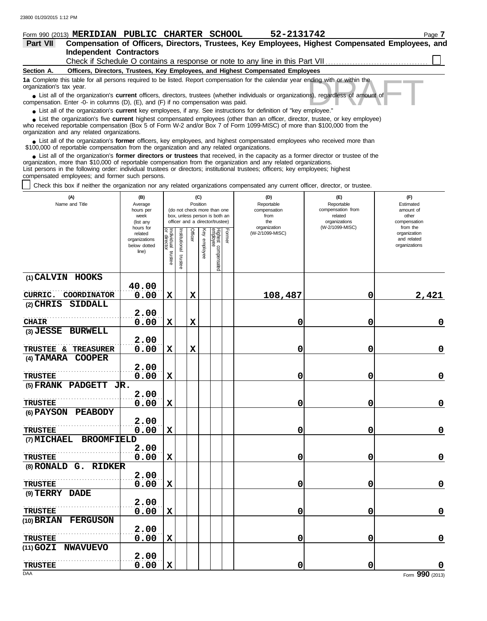| 52-2131742<br><b>PUBLIC CHARTER</b><br>Form 990 (2013) MERIDIAN<br>SCHOOL<br>Page 7                                                                                                                                                                                                                        |
|------------------------------------------------------------------------------------------------------------------------------------------------------------------------------------------------------------------------------------------------------------------------------------------------------------|
| Compensation of Officers, Directors, Trustees, Key Employees, Highest Compensated Employees, and<br>Part VII                                                                                                                                                                                               |
| <b>Independent Contractors</b>                                                                                                                                                                                                                                                                             |
|                                                                                                                                                                                                                                                                                                            |
| Section A.<br>Officers, Directors, Trustees, Key Employees, and Highest Compensated Employees                                                                                                                                                                                                              |
| 1a Complete this table for all persons required to be listed. Report compensation for the calendar year ending with or within the<br>organization's tax year.                                                                                                                                              |
| • List all of the organization's <b>current</b> officers, directors, trustees (whether individuals or organizations), regardless of amount of<br>compensation. Enter -0- in columns $(D)$ , $(E)$ , and $(F)$ if no compensation was paid.                                                                 |
| • List all of the organization's <b>current</b> key employees, if any. See instructions for definition of "key employee."                                                                                                                                                                                  |
| • List the organization's five current highest compensated employees (other than an officer, director, trustee, or key employee)<br>who received reportable compensation (Box 5 of Form W-2 and/or Box 7 of Form 1099-MISC) of more than \$100,000 from the<br>organization and any related organizations. |
| • List all of the organization's former officers, key employees, and highest compensated employees who received more than<br>\$100,000 of reportable compensation from the organization and any related organizations                                                                                      |

\$100,000 of reportable compensation from the organization and any related organizations.

List all of the organization's **former directors or trustees** that received, in the capacity as a former director or trustee of the organization, more than \$10,000 of reportable compensation from the organization and any related organizations. List persons in the following order: individual trustees or directors; institutional trustees; officers; key employees; highest compensated employees; and former such persons. **•**

Check this box if neither the organization nor any related organizations compensated any current officer, director, or trustee.

| (A)<br>Name and Title                              | (B)<br>Average<br>hours per<br>week<br>(list any               |                                   | (C)<br>Position<br>(do not check more than one<br>box, unless person is both an<br>officer and a director/trustee) |             |              |                                 |        | (D)<br>Reportable<br>compensation<br>from<br>the<br>organization | (E)<br>Reportable<br>compensation from<br>related<br>organizations<br>(W-2/1099-MISC) | (F)<br>Estimated<br>amount of<br>other<br>compensation<br>from the |  |
|----------------------------------------------------|----------------------------------------------------------------|-----------------------------------|--------------------------------------------------------------------------------------------------------------------|-------------|--------------|---------------------------------|--------|------------------------------------------------------------------|---------------------------------------------------------------------------------------|--------------------------------------------------------------------|--|
|                                                    | hours for<br>related<br>organizations<br>below dotted<br>line) | Individual trustee<br>or director | nstitutional<br>trustee                                                                                            | Officer     | Key employee | Highest compensated<br>employee | Former | (W-2/1099-MISC)                                                  |                                                                                       | organization<br>and related<br>organizations                       |  |
| (1) CALVIN HOOKS                                   | 40.00                                                          |                                   |                                                                                                                    |             |              |                                 |        |                                                                  |                                                                                       |                                                                    |  |
| CURRIC.<br>COORDINATOR                             | 0.00                                                           | $\mathbf x$                       |                                                                                                                    | $\mathbf x$ |              |                                 |        | 108,487                                                          | 0                                                                                     | 2,421                                                              |  |
| $(2)$ CHRIS<br><b>SIDDALL</b>                      |                                                                |                                   |                                                                                                                    |             |              |                                 |        |                                                                  |                                                                                       |                                                                    |  |
| <b>CHAIR</b>                                       | 2.00<br>0.00                                                   | $\mathbf x$                       |                                                                                                                    | $\mathbf x$ |              |                                 |        | 0                                                                | $\mathbf 0$                                                                           | $\mathbf 0$                                                        |  |
| (3) JESSE BURWELL                                  |                                                                |                                   |                                                                                                                    |             |              |                                 |        |                                                                  |                                                                                       |                                                                    |  |
|                                                    | 2.00                                                           |                                   |                                                                                                                    |             |              |                                 |        |                                                                  |                                                                                       |                                                                    |  |
| TRUSTEE & TREASURER<br><b>COOPER</b><br>(4) TAMARA | 0.00                                                           | $\mathbf x$                       |                                                                                                                    | $\mathbf x$ |              |                                 |        | 0                                                                | 0                                                                                     | $\mathbf 0$                                                        |  |
|                                                    | 2.00                                                           |                                   |                                                                                                                    |             |              |                                 |        |                                                                  |                                                                                       |                                                                    |  |
| <b>TRUSTEE</b>                                     | 0.00                                                           | $\mathbf x$                       |                                                                                                                    |             |              |                                 |        | 0                                                                | 0                                                                                     | $\mathbf 0$                                                        |  |
| (5) FRANK PADGETT $J\mathbb{R}$ .                  |                                                                |                                   |                                                                                                                    |             |              |                                 |        |                                                                  |                                                                                       |                                                                    |  |
| <b>TRUSTEE</b>                                     | 2.00<br>0.00                                                   | $\mathbf x$                       |                                                                                                                    |             |              |                                 |        | 0                                                                | $\mathbf 0$                                                                           | $\mathbf 0$                                                        |  |
| (6) PAYSON<br><b>PEABODY</b>                       |                                                                |                                   |                                                                                                                    |             |              |                                 |        |                                                                  |                                                                                       |                                                                    |  |
|                                                    | 2.00                                                           |                                   |                                                                                                                    |             |              |                                 |        |                                                                  |                                                                                       |                                                                    |  |
| <b>TRUSTEE</b>                                     | 0.00                                                           | $\mathbf x$                       |                                                                                                                    |             |              |                                 |        | 0                                                                | $\mathbf 0$                                                                           | $\mathbf 0$                                                        |  |
| (7) MICHAEL<br><b>BROOMFIELD</b>                   |                                                                |                                   |                                                                                                                    |             |              |                                 |        |                                                                  |                                                                                       |                                                                    |  |
| <b>TRUSTEE</b>                                     | 2.00<br>0.00                                                   | $\mathbf x$                       |                                                                                                                    |             |              |                                 |        | 0                                                                | 0                                                                                     | $\mathbf 0$                                                        |  |
| (8) RONALD G. RIDKER                               |                                                                |                                   |                                                                                                                    |             |              |                                 |        |                                                                  |                                                                                       |                                                                    |  |
|                                                    | 2.00<br>0.00                                                   | $\mathbf x$                       |                                                                                                                    |             |              |                                 |        | 0                                                                | 0                                                                                     | $\mathbf 0$                                                        |  |
| <b>TRUSTEE</b><br>(9) TERRY DADE                   |                                                                |                                   |                                                                                                                    |             |              |                                 |        |                                                                  |                                                                                       |                                                                    |  |
|                                                    | 2.00                                                           |                                   |                                                                                                                    |             |              |                                 |        |                                                                  |                                                                                       |                                                                    |  |
| <b>TRUSTEE</b>                                     | 0.00                                                           | $\mathbf x$                       |                                                                                                                    |             |              |                                 |        | 0                                                                | 0                                                                                     | $\mathbf 0$                                                        |  |
| (10) BRIAN<br><b>FERGUSON</b>                      |                                                                |                                   |                                                                                                                    |             |              |                                 |        |                                                                  |                                                                                       |                                                                    |  |
|                                                    | 2.00                                                           |                                   |                                                                                                                    |             |              |                                 |        |                                                                  |                                                                                       |                                                                    |  |
| <b>TRUSTEE</b><br>$(11)$ GOZI<br><b>NWAVUEVO</b>   | 0.00                                                           | $\mathbf x$                       |                                                                                                                    |             |              |                                 |        | 0                                                                | 0                                                                                     | $\mathbf 0$                                                        |  |
|                                                    | 2.00                                                           |                                   |                                                                                                                    |             |              |                                 |        |                                                                  |                                                                                       |                                                                    |  |
| <b>TRUSTEE</b>                                     | 0.00                                                           | $\mathbf x$                       |                                                                                                                    |             |              |                                 |        | 0                                                                | $\mathbf 0$                                                                           |                                                                    |  |
| DAA                                                |                                                                |                                   |                                                                                                                    |             |              |                                 |        |                                                                  |                                                                                       | Form 990 (2013)                                                    |  |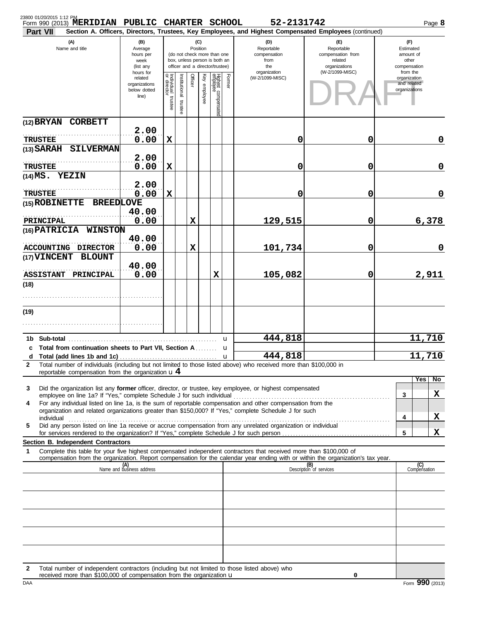| 23800 01/20/2015 1:12 PM   | Form 990 (2013) MERIDIAN PUBLIC CHARTER SCHOOL                                 |                                                               |                                                                                                                    |                          |             |              |                                 |                   | 52-2131742                                                                                                                                                                                                                                             |                                                                                       |                                                        |                                                          | Page 8      |
|----------------------------|--------------------------------------------------------------------------------|---------------------------------------------------------------|--------------------------------------------------------------------------------------------------------------------|--------------------------|-------------|--------------|---------------------------------|-------------------|--------------------------------------------------------------------------------------------------------------------------------------------------------------------------------------------------------------------------------------------------------|---------------------------------------------------------------------------------------|--------------------------------------------------------|----------------------------------------------------------|-------------|
| Part VII                   |                                                                                |                                                               |                                                                                                                    |                          |             |              |                                 |                   | Section A. Officers, Directors, Trustees, Key Employees, and Highest Compensated Employees (continued)                                                                                                                                                 |                                                                                       |                                                        |                                                          |             |
| (A)<br>Name and title      |                                                                                | (B)<br>Average<br>hours per<br>week<br>(list any<br>hours for | (C)<br>Position<br>(do not check more than one<br>box, unless person is both an<br>officer and a director/trustee) |                          |             |              |                                 |                   | (D)<br>Reportable<br>compensation<br>from<br>the<br>organization                                                                                                                                                                                       | (E)<br>Reportable<br>compensation from<br>related<br>organizations<br>(W-2/1099-MISC) | (F)<br>Estimated<br>amount of<br>other<br>compensation |                                                          |             |
|                            |                                                                                | related<br>organizations<br>below dotted<br>line)             | Individual trustee<br>or director                                                                                  | Institutional<br>trustee | Officer     | Key employee | Highest compensated<br>employee | Former            | (W-2/1099-MISC)                                                                                                                                                                                                                                        |                                                                                       |                                                        | from the<br>organization<br>and related<br>organizations |             |
|                            | (12) BRYAN CORBETT                                                             |                                                               |                                                                                                                    |                          |             |              |                                 |                   |                                                                                                                                                                                                                                                        |                                                                                       |                                                        |                                                          |             |
| <b>TRUSTEE</b>             |                                                                                | 2.00<br>0.00                                                  | X                                                                                                                  |                          |             |              |                                 |                   | 0                                                                                                                                                                                                                                                      | 0                                                                                     |                                                        |                                                          | 0           |
|                            | (13) SARAH SILVERMAN                                                           | 2.00                                                          |                                                                                                                    |                          |             |              |                                 |                   |                                                                                                                                                                                                                                                        |                                                                                       |                                                        |                                                          |             |
| <b>TRUSTEE</b>             |                                                                                | 0.00                                                          | X                                                                                                                  |                          |             |              |                                 |                   | 0                                                                                                                                                                                                                                                      | 0                                                                                     |                                                        |                                                          | $\mathbf 0$ |
| $(14)$ MS. YEZIN           |                                                                                | 2.00                                                          |                                                                                                                    |                          |             |              |                                 |                   |                                                                                                                                                                                                                                                        |                                                                                       |                                                        |                                                          |             |
| <b>TRUSTEE</b>             | (15) ROBINETTE BREEDLOVE                                                       | 0.00                                                          | $\mathbf x$                                                                                                        |                          |             |              |                                 |                   | 0                                                                                                                                                                                                                                                      | 0                                                                                     |                                                        |                                                          | $\mathbf 0$ |
|                            |                                                                                | 40.00                                                         |                                                                                                                    |                          |             |              |                                 |                   |                                                                                                                                                                                                                                                        |                                                                                       |                                                        |                                                          |             |
| PRINCIPAL<br>(16) PATRICIA | <b>WINSTON</b>                                                                 | 0.00                                                          |                                                                                                                    |                          | X           |              |                                 |                   | 129,515                                                                                                                                                                                                                                                | 0                                                                                     |                                                        |                                                          | 6,378       |
|                            | ACCOUNTING DIRECTOR                                                            | 40.00<br>0.00                                                 |                                                                                                                    |                          | $\mathbf x$ |              |                                 |                   | 101,734                                                                                                                                                                                                                                                | 0                                                                                     |                                                        |                                                          | $\mathbf 0$ |
|                            | (17) VINCENT BLOUNT                                                            | 40.00                                                         |                                                                                                                    |                          |             |              |                                 |                   |                                                                                                                                                                                                                                                        |                                                                                       |                                                        |                                                          |             |
| <b>ASSISTANT</b>           | <b>PRINCIPAL</b>                                                               | 0.00                                                          |                                                                                                                    |                          |             |              | X                               |                   | 105,082                                                                                                                                                                                                                                                | 0                                                                                     |                                                        |                                                          | 2,911       |
| (18)                       |                                                                                |                                                               |                                                                                                                    |                          |             |              |                                 |                   |                                                                                                                                                                                                                                                        |                                                                                       |                                                        |                                                          |             |
| (19)                       |                                                                                |                                                               |                                                                                                                    |                          |             |              |                                 |                   |                                                                                                                                                                                                                                                        |                                                                                       |                                                        |                                                          |             |
|                            |                                                                                |                                                               |                                                                                                                    |                          |             |              |                                 |                   |                                                                                                                                                                                                                                                        |                                                                                       |                                                        |                                                          |             |
| 1b Sub-total               |                                                                                |                                                               |                                                                                                                    |                          |             |              |                                 | u                 | 444,818                                                                                                                                                                                                                                                |                                                                                       |                                                        |                                                          | 11,710      |
| d                          | c Total from continuation sheets to Part VII, Section A                        |                                                               |                                                                                                                    |                          |             |              |                                 | u<br>$\mathbf{u}$ | 444,818                                                                                                                                                                                                                                                |                                                                                       |                                                        |                                                          | 11,710      |
| 2                          | reportable compensation from the organization $\mathbf{u} 4$                   |                                                               |                                                                                                                    |                          |             |              |                                 |                   | Total number of individuals (including but not limited to those listed above) who received more than \$100,000 in                                                                                                                                      |                                                                                       |                                                        |                                                          |             |
| 3                          |                                                                                |                                                               |                                                                                                                    |                          |             |              |                                 |                   | Did the organization list any former officer, director, or trustee, key employee, or highest compensated                                                                                                                                               |                                                                                       |                                                        | Yes                                                      | No.         |
| 4                          | employee on line 1a? If "Yes," complete Schedule J for such individual         |                                                               |                                                                                                                    |                          |             |              |                                 |                   | For any individual listed on line 1a, is the sum of reportable compensation and other compensation from the                                                                                                                                            |                                                                                       |                                                        | 3                                                        | X           |
|                            |                                                                                |                                                               |                                                                                                                    |                          |             |              |                                 |                   | organization and related organizations greater than \$150,000? If "Yes," complete Schedule J for such                                                                                                                                                  |                                                                                       |                                                        | 4                                                        | X           |
| 5                          |                                                                                |                                                               |                                                                                                                    |                          |             |              |                                 |                   | Did any person listed on line 1a receive or accrue compensation from any unrelated organization or individual                                                                                                                                          |                                                                                       |                                                        | 5                                                        | x           |
|                            | Section B. Independent Contractors                                             |                                                               |                                                                                                                    |                          |             |              |                                 |                   |                                                                                                                                                                                                                                                        |                                                                                       |                                                        |                                                          |             |
| 1                          |                                                                                |                                                               |                                                                                                                    |                          |             |              |                                 |                   | Complete this table for your five highest compensated independent contractors that received more than \$100,000 of<br>compensation from the organization. Report compensation for the calendar year ending with or within the organization's tax year. |                                                                                       |                                                        |                                                          |             |
|                            |                                                                                | (A)<br>Name and business address                              |                                                                                                                    |                          |             |              |                                 |                   |                                                                                                                                                                                                                                                        | (B)<br>Description of services                                                        |                                                        | (C)<br>Compensation                                      |             |
|                            |                                                                                |                                                               |                                                                                                                    |                          |             |              |                                 |                   |                                                                                                                                                                                                                                                        |                                                                                       |                                                        |                                                          |             |
|                            |                                                                                |                                                               |                                                                                                                    |                          |             |              |                                 |                   |                                                                                                                                                                                                                                                        |                                                                                       |                                                        |                                                          |             |
|                            |                                                                                |                                                               |                                                                                                                    |                          |             |              |                                 |                   |                                                                                                                                                                                                                                                        |                                                                                       |                                                        |                                                          |             |
|                            |                                                                                |                                                               |                                                                                                                    |                          |             |              |                                 |                   |                                                                                                                                                                                                                                                        |                                                                                       |                                                        |                                                          |             |
|                            |                                                                                |                                                               |                                                                                                                    |                          |             |              |                                 |                   |                                                                                                                                                                                                                                                        |                                                                                       |                                                        |                                                          |             |
| 2                          | received more than \$100,000 of compensation from the organization $\mathbf u$ |                                                               |                                                                                                                    |                          |             |              |                                 |                   | Total number of independent contractors (including but not limited to those listed above) who                                                                                                                                                          |                                                                                       |                                                        |                                                          |             |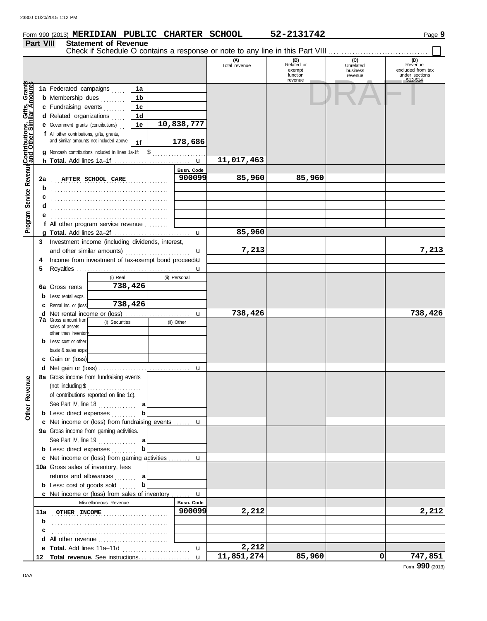| <b>Part VIII</b>                            | Form 990 (2013) MERIDIAN PUBLIC CHARTER SCHOOL                                               | <b>Statement of Revenue</b>                         |                |          |               |                                                                               | 52-2131742                                         |                                         | Page 9                                                           |
|---------------------------------------------|----------------------------------------------------------------------------------------------|-----------------------------------------------------|----------------|----------|---------------|-------------------------------------------------------------------------------|----------------------------------------------------|-----------------------------------------|------------------------------------------------------------------|
|                                             |                                                                                              |                                                     |                |          |               | Check if Schedule O contains a response or note to any line in this Part VIII |                                                    |                                         |                                                                  |
|                                             |                                                                                              |                                                     |                |          |               | (A)<br>Total revenue                                                          | (B)<br>Related or<br>exempt<br>function<br>revenue | (C)<br>Unrelated<br>business<br>revenue | (D)<br>Revenue<br>excluded from tax<br>under sections<br>512-514 |
| Service Revenue Contributions, Gifts, Grant | 1a Federated campaigns                                                                       |                                                     | 1a             |          |               |                                                                               |                                                    |                                         |                                                                  |
|                                             | <b>b</b> Membership dues                                                                     |                                                     | 1b             |          |               |                                                                               |                                                    |                                         |                                                                  |
|                                             | c Fundraising events                                                                         |                                                     | 1 <sub>c</sub> |          |               |                                                                               |                                                    |                                         |                                                                  |
|                                             | d Related organizations                                                                      |                                                     | 1 <sub>d</sub> |          |               |                                                                               |                                                    |                                         |                                                                  |
|                                             | e Government grants (contributions)                                                          |                                                     | 1e             |          | 10,838,777    |                                                                               |                                                    |                                         |                                                                  |
|                                             | f All other contributions, gifts, grants,                                                    | and similar amounts not included above              | 1f             |          | 178,686       |                                                                               |                                                    |                                         |                                                                  |
|                                             | <b>q</b> Noncash contributions included in lines 1a-1f: \$                                   |                                                     |                |          |               |                                                                               |                                                    |                                         |                                                                  |
|                                             |                                                                                              |                                                     |                |          |               | 11,017,463                                                                    |                                                    |                                         |                                                                  |
|                                             |                                                                                              |                                                     |                |          | Busn. Code    |                                                                               |                                                    |                                         |                                                                  |
| 2a                                          |                                                                                              | AFTER SCHOOL CARE                                   |                | <u>.</u> | 900099        | 85,960                                                                        | 85,960                                             |                                         |                                                                  |
| b                                           |                                                                                              |                                                     |                |          |               |                                                                               |                                                    |                                         |                                                                  |
|                                             |                                                                                              |                                                     |                |          |               |                                                                               |                                                    |                                         |                                                                  |
| d                                           |                                                                                              |                                                     |                |          |               |                                                                               |                                                    |                                         |                                                                  |
|                                             |                                                                                              |                                                     |                |          |               |                                                                               |                                                    |                                         |                                                                  |
|                                             | f All other program service revenue                                                          |                                                     |                |          |               |                                                                               |                                                    |                                         |                                                                  |
|                                             |                                                                                              |                                                     |                |          | u             | 85,960                                                                        |                                                    |                                         |                                                                  |
| 3                                           | Investment income (including dividends, interest,                                            |                                                     |                |          |               |                                                                               |                                                    |                                         |                                                                  |
|                                             |                                                                                              | and other similar amounts)                          |                |          | u             | 7,213                                                                         |                                                    |                                         | 7,213                                                            |
| 4                                           |                                                                                              | Income from investment of tax-exempt bond proceedsu |                |          |               |                                                                               |                                                    |                                         |                                                                  |
| 5                                           |                                                                                              |                                                     |                |          | u             |                                                                               |                                                    |                                         |                                                                  |
|                                             |                                                                                              | (i) Real                                            |                |          | (ii) Personal |                                                                               |                                                    |                                         |                                                                  |
|                                             | 6a Gross rents                                                                               |                                                     | 738,426        |          |               |                                                                               |                                                    |                                         |                                                                  |
|                                             | <b>b</b> Less: rental exps.                                                                  |                                                     |                |          |               |                                                                               |                                                    |                                         |                                                                  |
|                                             | <b>c</b> Rental inc. or (loss)                                                               | 738,426                                             |                |          |               |                                                                               |                                                    |                                         |                                                                  |
|                                             | <b>7a</b> Gross amount from                                                                  |                                                     |                |          | u             | 738,426                                                                       |                                                    |                                         | 738,426                                                          |
|                                             | sales of assets                                                                              | (i) Securities                                      |                |          | (ii) Other    |                                                                               |                                                    |                                         |                                                                  |
|                                             | other than inventor                                                                          |                                                     |                |          |               |                                                                               |                                                    |                                         |                                                                  |
|                                             | <b>b</b> Less: cost or other                                                                 |                                                     |                |          |               |                                                                               |                                                    |                                         |                                                                  |
|                                             | basis & sales exps                                                                           |                                                     |                |          |               |                                                                               |                                                    |                                         |                                                                  |
|                                             | c Gain or (loss)                                                                             |                                                     |                |          |               |                                                                               |                                                    |                                         |                                                                  |
|                                             |                                                                                              |                                                     |                |          | u             |                                                                               |                                                    |                                         |                                                                  |
|                                             | 8a Gross income from fundraising events                                                      |                                                     |                |          |               |                                                                               |                                                    |                                         |                                                                  |
|                                             |                                                                                              | (not including $\$\dots$                            |                |          |               |                                                                               |                                                    |                                         |                                                                  |
|                                             |                                                                                              | of contributions reported on line 1c).              |                |          |               |                                                                               |                                                    |                                         |                                                                  |
|                                             |                                                                                              |                                                     | b              |          |               |                                                                               |                                                    |                                         |                                                                  |
|                                             | <b>b</b> Less: direct expenses                                                               |                                                     |                |          |               |                                                                               |                                                    |                                         |                                                                  |
|                                             | c Net income or (loss) from fundraising events  u<br>9a Gross income from gaming activities. |                                                     |                |          |               |                                                                               |                                                    |                                         |                                                                  |
|                                             |                                                                                              |                                                     |                |          |               |                                                                               |                                                    |                                         |                                                                  |
|                                             | <b>b</b> Less: direct expenses                                                               | See Part IV, line 19 $\ldots$ a                     | $\mathbf{b}$   |          |               |                                                                               |                                                    |                                         |                                                                  |
|                                             | c Net income or (loss) from gaming activities  u                                             |                                                     |                |          |               |                                                                               |                                                    |                                         |                                                                  |
|                                             | 10a Gross sales of inventory, less                                                           |                                                     |                |          |               |                                                                               |                                                    |                                         |                                                                  |
|                                             |                                                                                              | returns and allowances  a                           |                |          |               |                                                                               |                                                    |                                         |                                                                  |
|                                             | <b>b</b> Less: cost of goods sold $\ldots$                                                   |                                                     | b              |          |               |                                                                               |                                                    |                                         |                                                                  |
|                                             | c Net income or (loss) from sales of inventory  u                                            |                                                     |                |          |               |                                                                               |                                                    |                                         |                                                                  |
|                                             |                                                                                              | Miscellaneous Revenue                               |                |          | Busn. Code    |                                                                               |                                                    |                                         |                                                                  |
|                                             |                                                                                              |                                                     |                |          |               |                                                                               |                                                    |                                         |                                                                  |
|                                             |                                                                                              |                                                     |                |          |               |                                                                               |                                                    |                                         |                                                                  |
|                                             |                                                                                              |                                                     |                |          | 900099        | 2,212                                                                         |                                                    |                                         | 2,212                                                            |
| b                                           |                                                                                              |                                                     |                |          |               |                                                                               |                                                    |                                         |                                                                  |
|                                             |                                                                                              |                                                     |                |          |               |                                                                               |                                                    |                                         |                                                                  |

**Total revenue.** See instructions. . . . . . . . . . . . . . . . . . . **12**

u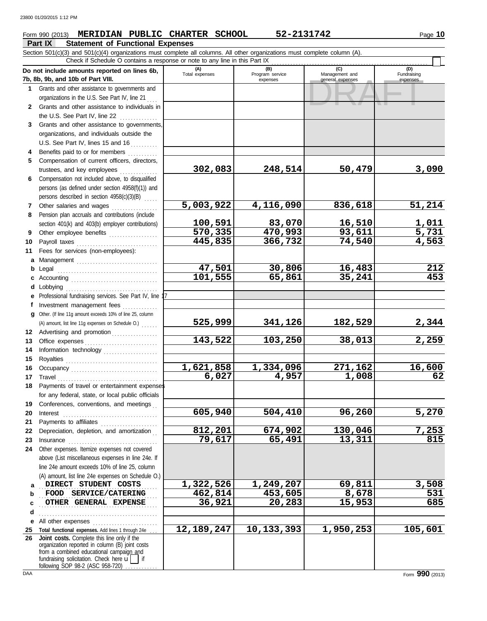## **Form 990 (2013) MERIDIAN PUBLIC CHARTER SCHOOL 52-2131742** Page 10

**Part IX Statement of Functional Expenses** Section 501(c)(3) and 501(c)(4) organizations must complete all columns. All other organizations must complete column (A).

|              | and contoning critical district is made com-<br>Check if Schedule O contains a response or note to any line in this Part IX                                                                                                                                                                                                                                                                                                                                                                                                 |                       |                                    |                                           |                         |  |  |  |  |  |  |
|--------------|-----------------------------------------------------------------------------------------------------------------------------------------------------------------------------------------------------------------------------------------------------------------------------------------------------------------------------------------------------------------------------------------------------------------------------------------------------------------------------------------------------------------------------|-----------------------|------------------------------------|-------------------------------------------|-------------------------|--|--|--|--|--|--|
|              | Do not include amounts reported on lines 6b,<br>7b, 8b, 9b, and 10b of Part VIII.                                                                                                                                                                                                                                                                                                                                                                                                                                           | (A)<br>Total expenses | (B)<br>Program service<br>expenses | (C)<br>Management and<br>general expenses | Fundraising<br>expenses |  |  |  |  |  |  |
|              | 1 Grants and other assistance to governments and                                                                                                                                                                                                                                                                                                                                                                                                                                                                            |                       |                                    |                                           |                         |  |  |  |  |  |  |
|              | organizations in the U.S. See Part IV, line 21                                                                                                                                                                                                                                                                                                                                                                                                                                                                              |                       |                                    |                                           |                         |  |  |  |  |  |  |
|              | 2 Grants and other assistance to individuals in                                                                                                                                                                                                                                                                                                                                                                                                                                                                             |                       |                                    |                                           |                         |  |  |  |  |  |  |
|              | the U.S. See Part IV, line $22$                                                                                                                                                                                                                                                                                                                                                                                                                                                                                             |                       |                                    |                                           |                         |  |  |  |  |  |  |
| 3            | Grants and other assistance to governments,                                                                                                                                                                                                                                                                                                                                                                                                                                                                                 |                       |                                    |                                           |                         |  |  |  |  |  |  |
|              | organizations, and individuals outside the                                                                                                                                                                                                                                                                                                                                                                                                                                                                                  |                       |                                    |                                           |                         |  |  |  |  |  |  |
|              | U.S. See Part IV, lines 15 and 16                                                                                                                                                                                                                                                                                                                                                                                                                                                                                           |                       |                                    |                                           |                         |  |  |  |  |  |  |
|              | Benefits paid to or for members                                                                                                                                                                                                                                                                                                                                                                                                                                                                                             |                       |                                    |                                           |                         |  |  |  |  |  |  |
| 5            | Compensation of current officers, directors,                                                                                                                                                                                                                                                                                                                                                                                                                                                                                |                       |                                    |                                           |                         |  |  |  |  |  |  |
|              |                                                                                                                                                                                                                                                                                                                                                                                                                                                                                                                             | 302,083               | 248,514                            | 50,479                                    | 3,090                   |  |  |  |  |  |  |
| 6            | Compensation not included above, to disqualified                                                                                                                                                                                                                                                                                                                                                                                                                                                                            |                       |                                    |                                           |                         |  |  |  |  |  |  |
|              | persons (as defined under section 4958(f)(1)) and                                                                                                                                                                                                                                                                                                                                                                                                                                                                           |                       |                                    |                                           |                         |  |  |  |  |  |  |
|              | persons described in section 4958(c)(3)(B)                                                                                                                                                                                                                                                                                                                                                                                                                                                                                  |                       |                                    |                                           |                         |  |  |  |  |  |  |
| $\mathbf{7}$ | Other salaries and wages                                                                                                                                                                                                                                                                                                                                                                                                                                                                                                    | 5,003,922             | 4,116,090                          | 836,618                                   | 51,214                  |  |  |  |  |  |  |
| 8            | Pension plan accruals and contributions (include                                                                                                                                                                                                                                                                                                                                                                                                                                                                            |                       |                                    |                                           |                         |  |  |  |  |  |  |
|              | section 401(k) and 403(b) employer contributions)                                                                                                                                                                                                                                                                                                                                                                                                                                                                           | 100,591               | 83,070                             | 16,510                                    | 1,011                   |  |  |  |  |  |  |
| 9            | Other employee benefits                                                                                                                                                                                                                                                                                                                                                                                                                                                                                                     | 570,335               | 470,993                            | 93,611                                    | 5,731                   |  |  |  |  |  |  |
| 10           |                                                                                                                                                                                                                                                                                                                                                                                                                                                                                                                             | 445,835               | 366,732                            | 74,540                                    | 4,563                   |  |  |  |  |  |  |
| 11           | Fees for services (non-employees):                                                                                                                                                                                                                                                                                                                                                                                                                                                                                          |                       |                                    |                                           |                         |  |  |  |  |  |  |
|              | a Management                                                                                                                                                                                                                                                                                                                                                                                                                                                                                                                |                       |                                    |                                           |                         |  |  |  |  |  |  |
|              |                                                                                                                                                                                                                                                                                                                                                                                                                                                                                                                             | 47,501                | 30,806                             | 16,483                                    | 212                     |  |  |  |  |  |  |
| c            |                                                                                                                                                                                                                                                                                                                                                                                                                                                                                                                             | 101,555               | 65,861                             | 35,241                                    | 453                     |  |  |  |  |  |  |
|              | <b>d</b> Lobbying                                                                                                                                                                                                                                                                                                                                                                                                                                                                                                           |                       |                                    |                                           |                         |  |  |  |  |  |  |
|              | e Professional fundraising services. See Part IV, line                                                                                                                                                                                                                                                                                                                                                                                                                                                                      |                       |                                    |                                           |                         |  |  |  |  |  |  |
|              | f Investment management fees                                                                                                                                                                                                                                                                                                                                                                                                                                                                                                |                       |                                    |                                           |                         |  |  |  |  |  |  |
|              | g Other. (If line 11g amount exceeds 10% of line 25, column                                                                                                                                                                                                                                                                                                                                                                                                                                                                 | 525,999               | 341,126                            | <u>182,529</u>                            | 2,344                   |  |  |  |  |  |  |
| 12           | (A) amount, list line 11g expenses on Schedule O.)<br>Advertising and promotion                                                                                                                                                                                                                                                                                                                                                                                                                                             |                       |                                    |                                           |                         |  |  |  |  |  |  |
| 13           |                                                                                                                                                                                                                                                                                                                                                                                                                                                                                                                             | 143,522               | 103,250                            | 38,013                                    | 2,259                   |  |  |  |  |  |  |
| 14           | Information technology                                                                                                                                                                                                                                                                                                                                                                                                                                                                                                      |                       |                                    |                                           |                         |  |  |  |  |  |  |
| 15           |                                                                                                                                                                                                                                                                                                                                                                                                                                                                                                                             |                       |                                    |                                           |                         |  |  |  |  |  |  |
| 16           |                                                                                                                                                                                                                                                                                                                                                                                                                                                                                                                             | 1,621,858             | 1,334,096                          | 271,162                                   | 16,600                  |  |  |  |  |  |  |
| 17           | $\begin{minipage}[c]{0.9\linewidth} \begin{tabular}{l} \textbf{Travel} \end{tabular} \end{minipage} \end{minipage} \begin{minipage}[c]{0.9\linewidth} \begin{tabular}{l} \textbf{True} \end{tabular} \end{minipage} \end{minipage} \begin{minipage}[c]{0.9\linewidth} \begin{tabular}{l} \textbf{True} \end{tabular} \end{minipage} \end{minipage} \begin{minipage}[c]{0.9\linewidth} \begin{tabular}{l} \textbf{True} \end{tabular} \end{minipage} \end{minipage} \begin{minipage}[c]{0.9\linewidth} \begin{tabular}{l} \$ | 6,027                 | 4,957                              | 1,008                                     | 62                      |  |  |  |  |  |  |
| 18           | Payments of travel or entertainment expenses                                                                                                                                                                                                                                                                                                                                                                                                                                                                                |                       |                                    |                                           |                         |  |  |  |  |  |  |
|              | for any federal, state, or local public officials                                                                                                                                                                                                                                                                                                                                                                                                                                                                           |                       |                                    |                                           |                         |  |  |  |  |  |  |
| 19           | Conferences, conventions, and meetings                                                                                                                                                                                                                                                                                                                                                                                                                                                                                      |                       |                                    |                                           |                         |  |  |  |  |  |  |
| 20           | Interest                                                                                                                                                                                                                                                                                                                                                                                                                                                                                                                    | 605,940               | 504,410                            | 96,260                                    | 5,270                   |  |  |  |  |  |  |
| 21           |                                                                                                                                                                                                                                                                                                                                                                                                                                                                                                                             |                       |                                    |                                           |                         |  |  |  |  |  |  |
| 22           | Depreciation, depletion, and amortization                                                                                                                                                                                                                                                                                                                                                                                                                                                                                   | 812,201               | 674,902                            | 130,046                                   | 7,253                   |  |  |  |  |  |  |
| 23           | Insurance <b>continuous</b> contains a series of the series of the series of the series of the series of the series of the series of the series of the series of the series of the series of the series of the series of the series                                                                                                                                                                                                                                                                                         | 79,617                | 65,491                             | 13,311                                    | 815                     |  |  |  |  |  |  |
| 24           | Other expenses. Itemize expenses not covered                                                                                                                                                                                                                                                                                                                                                                                                                                                                                |                       |                                    |                                           |                         |  |  |  |  |  |  |
|              | above (List miscellaneous expenses in line 24e. If                                                                                                                                                                                                                                                                                                                                                                                                                                                                          |                       |                                    |                                           |                         |  |  |  |  |  |  |
|              | line 24e amount exceeds 10% of line 25, column                                                                                                                                                                                                                                                                                                                                                                                                                                                                              |                       |                                    |                                           |                         |  |  |  |  |  |  |
|              | (A) amount, list line 24e expenses on Schedule O.)                                                                                                                                                                                                                                                                                                                                                                                                                                                                          |                       |                                    |                                           |                         |  |  |  |  |  |  |
| a            | DIRECT STUDENT COSTS                                                                                                                                                                                                                                                                                                                                                                                                                                                                                                        | 1,322,526             | 1,249,207                          | 69,811                                    | 3,508                   |  |  |  |  |  |  |
| b            | FOOD SERVICE/CATERING                                                                                                                                                                                                                                                                                                                                                                                                                                                                                                       | 462,814               | 453,605                            | 8,678                                     | 531                     |  |  |  |  |  |  |
| c            | OTHER GENERAL EXPENSE                                                                                                                                                                                                                                                                                                                                                                                                                                                                                                       | 36,921                | 20,283                             | 15,953                                    | 685                     |  |  |  |  |  |  |
| d            |                                                                                                                                                                                                                                                                                                                                                                                                                                                                                                                             |                       |                                    |                                           |                         |  |  |  |  |  |  |
| е            | All other expenses                                                                                                                                                                                                                                                                                                                                                                                                                                                                                                          |                       |                                    |                                           |                         |  |  |  |  |  |  |
| 25           | Total functional expenses. Add lines 1 through 24e                                                                                                                                                                                                                                                                                                                                                                                                                                                                          | 12, 189, 247          | 10,133,393                         | 1,950,253                                 | 105,601                 |  |  |  |  |  |  |
| 26           | Joint costs. Complete this line only if the<br>organization reported in column (B) joint costs<br>from a combined educational campaign and<br>fundraising solicitation. Check here $\mathbf{u}$<br>l if<br>following SOP 98-2 (ASC 958-720)                                                                                                                                                                                                                                                                                 |                       |                                    |                                           |                         |  |  |  |  |  |  |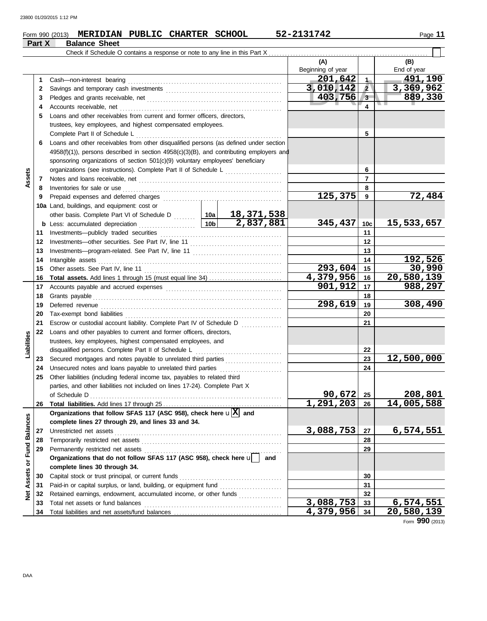| Part X<br>(A)<br>(B)<br>Beginning of year<br>End of year<br>201,642<br>$-491,190$<br>1 <sub>m</sub><br>Cash-non-interest bearing<br>1<br>3,010,142<br>3,369,962<br>$\sqrt{2}$<br>2<br>403,756<br>889,330<br>$3-$<br>3<br>. .<br>4<br>4<br>Loans and other receivables from current and former officers, directors,<br>5<br>trustees, key employees, and highest compensated employees.<br>5<br>Loans and other receivables from other disqualified persons (as defined under section<br>6<br>4958(f)(1)), persons described in section 4958(c)(3)(B), and contributing employers and<br>sponsoring organizations of section 501(c)(9) voluntary employees' beneficiary<br>6<br>organizations (see instructions). Complete Part II of Schedule L [111] [11]<br>Assets<br>$\overline{7}$<br>7<br>8<br>Inventories for sale or use<br>8<br>72,484<br>125,375<br>9<br>9<br>10a Land, buildings, and equipment: cost or<br>other basis. Complete Part VI of Schedule D    10a   18, 371, 538<br>345, 437<br>15,533,657<br>10 <sub>c</sub><br>11<br>11<br>12<br>12<br>13<br>13<br>192,526<br>14<br>Intangible assets<br>14<br>30,990<br>$293,604$ 15<br>15<br>20,580,139<br>4,379,956 16<br>16<br>901, 912<br>988,297<br>17<br>17<br>18<br>18<br>298,619<br>19<br>19<br>20<br>20<br>21<br>Escrow or custodial account liability. Complete Part IV of Schedule D<br>21<br>22<br>Loans and other payables to current and former officers, directors,<br>Liabilities<br>trustees, key employees, highest compensated employees, and<br>disqualified persons. Complete Part II of Schedule L<br>22<br>23<br>23 Secured mortgages and notes payable to unrelated third parties<br>24<br>24 Unsecured notes and loans payable to unrelated third parties<br>Other liabilities (including federal income tax, payables to related third<br>25<br>parties, and other liabilities not included on lines 17-24). Complete Part X<br>90,672<br>208,801<br>25<br>of Schedule D<br>1,291,203<br>14,005,588<br>26<br>Organizations that follow SFAS 117 (ASC 958), check here $\mathbf{u}[\overline{X}]$ and<br>Net Assets or Fund Balances<br>complete lines 27 through 29, and lines 33 and 34.<br>3,088,753<br>6,574,551<br>27<br>Unrestricted net assets<br>27<br>Temporarily restricted net assets<br>28<br>28<br>29<br>29<br>Organizations that do not follow SFAS 117 (ASC 958), check here u<br>and<br>complete lines 30 through 34. |    | Form 990 (2013) MERIDIAN PUBLIC CHARTER SCHOOL     | 52-2131742 |    | Page 11                   |
|--------------------------------------------------------------------------------------------------------------------------------------------------------------------------------------------------------------------------------------------------------------------------------------------------------------------------------------------------------------------------------------------------------------------------------------------------------------------------------------------------------------------------------------------------------------------------------------------------------------------------------------------------------------------------------------------------------------------------------------------------------------------------------------------------------------------------------------------------------------------------------------------------------------------------------------------------------------------------------------------------------------------------------------------------------------------------------------------------------------------------------------------------------------------------------------------------------------------------------------------------------------------------------------------------------------------------------------------------------------------------------------------------------------------------------------------------------------------------------------------------------------------------------------------------------------------------------------------------------------------------------------------------------------------------------------------------------------------------------------------------------------------------------------------------------------------------------------------------------------------------------------------------------------------------------------------------------------------------------------------------------------------------------------------------------------------------------------------------------------------------------------------------------------------------------------------------------------------------------------------------------------------------------------------------------------------------------------------------------------------------------------------------------------------------|----|----------------------------------------------------|------------|----|---------------------------|
|                                                                                                                                                                                                                                                                                                                                                                                                                                                                                                                                                                                                                                                                                                                                                                                                                                                                                                                                                                                                                                                                                                                                                                                                                                                                                                                                                                                                                                                                                                                                                                                                                                                                                                                                                                                                                                                                                                                                                                                                                                                                                                                                                                                                                                                                                                                                                                                                                          |    | <b>Balance Sheet</b>                               |            |    |                           |
|                                                                                                                                                                                                                                                                                                                                                                                                                                                                                                                                                                                                                                                                                                                                                                                                                                                                                                                                                                                                                                                                                                                                                                                                                                                                                                                                                                                                                                                                                                                                                                                                                                                                                                                                                                                                                                                                                                                                                                                                                                                                                                                                                                                                                                                                                                                                                                                                                          |    |                                                    |            |    |                           |
|                                                                                                                                                                                                                                                                                                                                                                                                                                                                                                                                                                                                                                                                                                                                                                                                                                                                                                                                                                                                                                                                                                                                                                                                                                                                                                                                                                                                                                                                                                                                                                                                                                                                                                                                                                                                                                                                                                                                                                                                                                                                                                                                                                                                                                                                                                                                                                                                                          |    |                                                    |            |    |                           |
|                                                                                                                                                                                                                                                                                                                                                                                                                                                                                                                                                                                                                                                                                                                                                                                                                                                                                                                                                                                                                                                                                                                                                                                                                                                                                                                                                                                                                                                                                                                                                                                                                                                                                                                                                                                                                                                                                                                                                                                                                                                                                                                                                                                                                                                                                                                                                                                                                          |    |                                                    |            |    |                           |
|                                                                                                                                                                                                                                                                                                                                                                                                                                                                                                                                                                                                                                                                                                                                                                                                                                                                                                                                                                                                                                                                                                                                                                                                                                                                                                                                                                                                                                                                                                                                                                                                                                                                                                                                                                                                                                                                                                                                                                                                                                                                                                                                                                                                                                                                                                                                                                                                                          |    |                                                    |            |    |                           |
|                                                                                                                                                                                                                                                                                                                                                                                                                                                                                                                                                                                                                                                                                                                                                                                                                                                                                                                                                                                                                                                                                                                                                                                                                                                                                                                                                                                                                                                                                                                                                                                                                                                                                                                                                                                                                                                                                                                                                                                                                                                                                                                                                                                                                                                                                                                                                                                                                          |    |                                                    |            |    |                           |
|                                                                                                                                                                                                                                                                                                                                                                                                                                                                                                                                                                                                                                                                                                                                                                                                                                                                                                                                                                                                                                                                                                                                                                                                                                                                                                                                                                                                                                                                                                                                                                                                                                                                                                                                                                                                                                                                                                                                                                                                                                                                                                                                                                                                                                                                                                                                                                                                                          |    |                                                    |            |    |                           |
|                                                                                                                                                                                                                                                                                                                                                                                                                                                                                                                                                                                                                                                                                                                                                                                                                                                                                                                                                                                                                                                                                                                                                                                                                                                                                                                                                                                                                                                                                                                                                                                                                                                                                                                                                                                                                                                                                                                                                                                                                                                                                                                                                                                                                                                                                                                                                                                                                          |    |                                                    |            |    |                           |
|                                                                                                                                                                                                                                                                                                                                                                                                                                                                                                                                                                                                                                                                                                                                                                                                                                                                                                                                                                                                                                                                                                                                                                                                                                                                                                                                                                                                                                                                                                                                                                                                                                                                                                                                                                                                                                                                                                                                                                                                                                                                                                                                                                                                                                                                                                                                                                                                                          |    |                                                    |            |    |                           |
|                                                                                                                                                                                                                                                                                                                                                                                                                                                                                                                                                                                                                                                                                                                                                                                                                                                                                                                                                                                                                                                                                                                                                                                                                                                                                                                                                                                                                                                                                                                                                                                                                                                                                                                                                                                                                                                                                                                                                                                                                                                                                                                                                                                                                                                                                                                                                                                                                          |    |                                                    |            |    |                           |
|                                                                                                                                                                                                                                                                                                                                                                                                                                                                                                                                                                                                                                                                                                                                                                                                                                                                                                                                                                                                                                                                                                                                                                                                                                                                                                                                                                                                                                                                                                                                                                                                                                                                                                                                                                                                                                                                                                                                                                                                                                                                                                                                                                                                                                                                                                                                                                                                                          |    |                                                    |            |    |                           |
|                                                                                                                                                                                                                                                                                                                                                                                                                                                                                                                                                                                                                                                                                                                                                                                                                                                                                                                                                                                                                                                                                                                                                                                                                                                                                                                                                                                                                                                                                                                                                                                                                                                                                                                                                                                                                                                                                                                                                                                                                                                                                                                                                                                                                                                                                                                                                                                                                          |    |                                                    |            |    |                           |
|                                                                                                                                                                                                                                                                                                                                                                                                                                                                                                                                                                                                                                                                                                                                                                                                                                                                                                                                                                                                                                                                                                                                                                                                                                                                                                                                                                                                                                                                                                                                                                                                                                                                                                                                                                                                                                                                                                                                                                                                                                                                                                                                                                                                                                                                                                                                                                                                                          |    |                                                    |            |    |                           |
|                                                                                                                                                                                                                                                                                                                                                                                                                                                                                                                                                                                                                                                                                                                                                                                                                                                                                                                                                                                                                                                                                                                                                                                                                                                                                                                                                                                                                                                                                                                                                                                                                                                                                                                                                                                                                                                                                                                                                                                                                                                                                                                                                                                                                                                                                                                                                                                                                          |    |                                                    |            |    |                           |
|                                                                                                                                                                                                                                                                                                                                                                                                                                                                                                                                                                                                                                                                                                                                                                                                                                                                                                                                                                                                                                                                                                                                                                                                                                                                                                                                                                                                                                                                                                                                                                                                                                                                                                                                                                                                                                                                                                                                                                                                                                                                                                                                                                                                                                                                                                                                                                                                                          |    |                                                    |            |    |                           |
|                                                                                                                                                                                                                                                                                                                                                                                                                                                                                                                                                                                                                                                                                                                                                                                                                                                                                                                                                                                                                                                                                                                                                                                                                                                                                                                                                                                                                                                                                                                                                                                                                                                                                                                                                                                                                                                                                                                                                                                                                                                                                                                                                                                                                                                                                                                                                                                                                          |    |                                                    |            |    |                           |
|                                                                                                                                                                                                                                                                                                                                                                                                                                                                                                                                                                                                                                                                                                                                                                                                                                                                                                                                                                                                                                                                                                                                                                                                                                                                                                                                                                                                                                                                                                                                                                                                                                                                                                                                                                                                                                                                                                                                                                                                                                                                                                                                                                                                                                                                                                                                                                                                                          |    |                                                    |            |    |                           |
|                                                                                                                                                                                                                                                                                                                                                                                                                                                                                                                                                                                                                                                                                                                                                                                                                                                                                                                                                                                                                                                                                                                                                                                                                                                                                                                                                                                                                                                                                                                                                                                                                                                                                                                                                                                                                                                                                                                                                                                                                                                                                                                                                                                                                                                                                                                                                                                                                          |    |                                                    |            |    |                           |
|                                                                                                                                                                                                                                                                                                                                                                                                                                                                                                                                                                                                                                                                                                                                                                                                                                                                                                                                                                                                                                                                                                                                                                                                                                                                                                                                                                                                                                                                                                                                                                                                                                                                                                                                                                                                                                                                                                                                                                                                                                                                                                                                                                                                                                                                                                                                                                                                                          |    |                                                    |            |    |                           |
|                                                                                                                                                                                                                                                                                                                                                                                                                                                                                                                                                                                                                                                                                                                                                                                                                                                                                                                                                                                                                                                                                                                                                                                                                                                                                                                                                                                                                                                                                                                                                                                                                                                                                                                                                                                                                                                                                                                                                                                                                                                                                                                                                                                                                                                                                                                                                                                                                          |    |                                                    |            |    |                           |
|                                                                                                                                                                                                                                                                                                                                                                                                                                                                                                                                                                                                                                                                                                                                                                                                                                                                                                                                                                                                                                                                                                                                                                                                                                                                                                                                                                                                                                                                                                                                                                                                                                                                                                                                                                                                                                                                                                                                                                                                                                                                                                                                                                                                                                                                                                                                                                                                                          |    |                                                    |            |    |                           |
|                                                                                                                                                                                                                                                                                                                                                                                                                                                                                                                                                                                                                                                                                                                                                                                                                                                                                                                                                                                                                                                                                                                                                                                                                                                                                                                                                                                                                                                                                                                                                                                                                                                                                                                                                                                                                                                                                                                                                                                                                                                                                                                                                                                                                                                                                                                                                                                                                          |    |                                                    |            |    |                           |
|                                                                                                                                                                                                                                                                                                                                                                                                                                                                                                                                                                                                                                                                                                                                                                                                                                                                                                                                                                                                                                                                                                                                                                                                                                                                                                                                                                                                                                                                                                                                                                                                                                                                                                                                                                                                                                                                                                                                                                                                                                                                                                                                                                                                                                                                                                                                                                                                                          |    |                                                    |            |    |                           |
|                                                                                                                                                                                                                                                                                                                                                                                                                                                                                                                                                                                                                                                                                                                                                                                                                                                                                                                                                                                                                                                                                                                                                                                                                                                                                                                                                                                                                                                                                                                                                                                                                                                                                                                                                                                                                                                                                                                                                                                                                                                                                                                                                                                                                                                                                                                                                                                                                          |    |                                                    |            |    |                           |
|                                                                                                                                                                                                                                                                                                                                                                                                                                                                                                                                                                                                                                                                                                                                                                                                                                                                                                                                                                                                                                                                                                                                                                                                                                                                                                                                                                                                                                                                                                                                                                                                                                                                                                                                                                                                                                                                                                                                                                                                                                                                                                                                                                                                                                                                                                                                                                                                                          |    |                                                    |            |    |                           |
|                                                                                                                                                                                                                                                                                                                                                                                                                                                                                                                                                                                                                                                                                                                                                                                                                                                                                                                                                                                                                                                                                                                                                                                                                                                                                                                                                                                                                                                                                                                                                                                                                                                                                                                                                                                                                                                                                                                                                                                                                                                                                                                                                                                                                                                                                                                                                                                                                          |    |                                                    |            |    |                           |
|                                                                                                                                                                                                                                                                                                                                                                                                                                                                                                                                                                                                                                                                                                                                                                                                                                                                                                                                                                                                                                                                                                                                                                                                                                                                                                                                                                                                                                                                                                                                                                                                                                                                                                                                                                                                                                                                                                                                                                                                                                                                                                                                                                                                                                                                                                                                                                                                                          |    |                                                    |            |    |                           |
|                                                                                                                                                                                                                                                                                                                                                                                                                                                                                                                                                                                                                                                                                                                                                                                                                                                                                                                                                                                                                                                                                                                                                                                                                                                                                                                                                                                                                                                                                                                                                                                                                                                                                                                                                                                                                                                                                                                                                                                                                                                                                                                                                                                                                                                                                                                                                                                                                          |    |                                                    |            |    |                           |
|                                                                                                                                                                                                                                                                                                                                                                                                                                                                                                                                                                                                                                                                                                                                                                                                                                                                                                                                                                                                                                                                                                                                                                                                                                                                                                                                                                                                                                                                                                                                                                                                                                                                                                                                                                                                                                                                                                                                                                                                                                                                                                                                                                                                                                                                                                                                                                                                                          |    |                                                    |            |    | 308,490                   |
|                                                                                                                                                                                                                                                                                                                                                                                                                                                                                                                                                                                                                                                                                                                                                                                                                                                                                                                                                                                                                                                                                                                                                                                                                                                                                                                                                                                                                                                                                                                                                                                                                                                                                                                                                                                                                                                                                                                                                                                                                                                                                                                                                                                                                                                                                                                                                                                                                          |    |                                                    |            |    |                           |
|                                                                                                                                                                                                                                                                                                                                                                                                                                                                                                                                                                                                                                                                                                                                                                                                                                                                                                                                                                                                                                                                                                                                                                                                                                                                                                                                                                                                                                                                                                                                                                                                                                                                                                                                                                                                                                                                                                                                                                                                                                                                                                                                                                                                                                                                                                                                                                                                                          |    |                                                    |            |    |                           |
|                                                                                                                                                                                                                                                                                                                                                                                                                                                                                                                                                                                                                                                                                                                                                                                                                                                                                                                                                                                                                                                                                                                                                                                                                                                                                                                                                                                                                                                                                                                                                                                                                                                                                                                                                                                                                                                                                                                                                                                                                                                                                                                                                                                                                                                                                                                                                                                                                          |    |                                                    |            |    |                           |
|                                                                                                                                                                                                                                                                                                                                                                                                                                                                                                                                                                                                                                                                                                                                                                                                                                                                                                                                                                                                                                                                                                                                                                                                                                                                                                                                                                                                                                                                                                                                                                                                                                                                                                                                                                                                                                                                                                                                                                                                                                                                                                                                                                                                                                                                                                                                                                                                                          |    |                                                    |            |    |                           |
|                                                                                                                                                                                                                                                                                                                                                                                                                                                                                                                                                                                                                                                                                                                                                                                                                                                                                                                                                                                                                                                                                                                                                                                                                                                                                                                                                                                                                                                                                                                                                                                                                                                                                                                                                                                                                                                                                                                                                                                                                                                                                                                                                                                                                                                                                                                                                                                                                          |    |                                                    |            |    |                           |
|                                                                                                                                                                                                                                                                                                                                                                                                                                                                                                                                                                                                                                                                                                                                                                                                                                                                                                                                                                                                                                                                                                                                                                                                                                                                                                                                                                                                                                                                                                                                                                                                                                                                                                                                                                                                                                                                                                                                                                                                                                                                                                                                                                                                                                                                                                                                                                                                                          |    |                                                    |            |    | 12,500,000                |
|                                                                                                                                                                                                                                                                                                                                                                                                                                                                                                                                                                                                                                                                                                                                                                                                                                                                                                                                                                                                                                                                                                                                                                                                                                                                                                                                                                                                                                                                                                                                                                                                                                                                                                                                                                                                                                                                                                                                                                                                                                                                                                                                                                                                                                                                                                                                                                                                                          |    |                                                    |            |    |                           |
|                                                                                                                                                                                                                                                                                                                                                                                                                                                                                                                                                                                                                                                                                                                                                                                                                                                                                                                                                                                                                                                                                                                                                                                                                                                                                                                                                                                                                                                                                                                                                                                                                                                                                                                                                                                                                                                                                                                                                                                                                                                                                                                                                                                                                                                                                                                                                                                                                          |    |                                                    |            |    |                           |
|                                                                                                                                                                                                                                                                                                                                                                                                                                                                                                                                                                                                                                                                                                                                                                                                                                                                                                                                                                                                                                                                                                                                                                                                                                                                                                                                                                                                                                                                                                                                                                                                                                                                                                                                                                                                                                                                                                                                                                                                                                                                                                                                                                                                                                                                                                                                                                                                                          |    |                                                    |            |    |                           |
|                                                                                                                                                                                                                                                                                                                                                                                                                                                                                                                                                                                                                                                                                                                                                                                                                                                                                                                                                                                                                                                                                                                                                                                                                                                                                                                                                                                                                                                                                                                                                                                                                                                                                                                                                                                                                                                                                                                                                                                                                                                                                                                                                                                                                                                                                                                                                                                                                          |    |                                                    |            |    |                           |
|                                                                                                                                                                                                                                                                                                                                                                                                                                                                                                                                                                                                                                                                                                                                                                                                                                                                                                                                                                                                                                                                                                                                                                                                                                                                                                                                                                                                                                                                                                                                                                                                                                                                                                                                                                                                                                                                                                                                                                                                                                                                                                                                                                                                                                                                                                                                                                                                                          |    |                                                    |            |    |                           |
|                                                                                                                                                                                                                                                                                                                                                                                                                                                                                                                                                                                                                                                                                                                                                                                                                                                                                                                                                                                                                                                                                                                                                                                                                                                                                                                                                                                                                                                                                                                                                                                                                                                                                                                                                                                                                                                                                                                                                                                                                                                                                                                                                                                                                                                                                                                                                                                                                          |    |                                                    |            |    |                           |
|                                                                                                                                                                                                                                                                                                                                                                                                                                                                                                                                                                                                                                                                                                                                                                                                                                                                                                                                                                                                                                                                                                                                                                                                                                                                                                                                                                                                                                                                                                                                                                                                                                                                                                                                                                                                                                                                                                                                                                                                                                                                                                                                                                                                                                                                                                                                                                                                                          |    |                                                    |            |    |                           |
|                                                                                                                                                                                                                                                                                                                                                                                                                                                                                                                                                                                                                                                                                                                                                                                                                                                                                                                                                                                                                                                                                                                                                                                                                                                                                                                                                                                                                                                                                                                                                                                                                                                                                                                                                                                                                                                                                                                                                                                                                                                                                                                                                                                                                                                                                                                                                                                                                          |    |                                                    |            |    |                           |
|                                                                                                                                                                                                                                                                                                                                                                                                                                                                                                                                                                                                                                                                                                                                                                                                                                                                                                                                                                                                                                                                                                                                                                                                                                                                                                                                                                                                                                                                                                                                                                                                                                                                                                                                                                                                                                                                                                                                                                                                                                                                                                                                                                                                                                                                                                                                                                                                                          |    |                                                    |            |    |                           |
|                                                                                                                                                                                                                                                                                                                                                                                                                                                                                                                                                                                                                                                                                                                                                                                                                                                                                                                                                                                                                                                                                                                                                                                                                                                                                                                                                                                                                                                                                                                                                                                                                                                                                                                                                                                                                                                                                                                                                                                                                                                                                                                                                                                                                                                                                                                                                                                                                          |    |                                                    |            |    |                           |
|                                                                                                                                                                                                                                                                                                                                                                                                                                                                                                                                                                                                                                                                                                                                                                                                                                                                                                                                                                                                                                                                                                                                                                                                                                                                                                                                                                                                                                                                                                                                                                                                                                                                                                                                                                                                                                                                                                                                                                                                                                                                                                                                                                                                                                                                                                                                                                                                                          |    |                                                    |            |    |                           |
|                                                                                                                                                                                                                                                                                                                                                                                                                                                                                                                                                                                                                                                                                                                                                                                                                                                                                                                                                                                                                                                                                                                                                                                                                                                                                                                                                                                                                                                                                                                                                                                                                                                                                                                                                                                                                                                                                                                                                                                                                                                                                                                                                                                                                                                                                                                                                                                                                          | 30 | Capital stock or trust principal, or current funds |            | 30 |                           |
| 31<br>31                                                                                                                                                                                                                                                                                                                                                                                                                                                                                                                                                                                                                                                                                                                                                                                                                                                                                                                                                                                                                                                                                                                                                                                                                                                                                                                                                                                                                                                                                                                                                                                                                                                                                                                                                                                                                                                                                                                                                                                                                                                                                                                                                                                                                                                                                                                                                                                                                 |    |                                                    |            |    |                           |
| Retained earnings, endowment, accumulated income, or other funds<br>32<br>32                                                                                                                                                                                                                                                                                                                                                                                                                                                                                                                                                                                                                                                                                                                                                                                                                                                                                                                                                                                                                                                                                                                                                                                                                                                                                                                                                                                                                                                                                                                                                                                                                                                                                                                                                                                                                                                                                                                                                                                                                                                                                                                                                                                                                                                                                                                                             |    |                                                    |            |    |                           |
| 3,088,753<br>33<br>33                                                                                                                                                                                                                                                                                                                                                                                                                                                                                                                                                                                                                                                                                                                                                                                                                                                                                                                                                                                                                                                                                                                                                                                                                                                                                                                                                                                                                                                                                                                                                                                                                                                                                                                                                                                                                                                                                                                                                                                                                                                                                                                                                                                                                                                                                                                                                                                                    |    |                                                    |            |    | $\overline{6}$ , 574, 551 |
| <u>4,379,956 </u><br>34<br>34                                                                                                                                                                                                                                                                                                                                                                                                                                                                                                                                                                                                                                                                                                                                                                                                                                                                                                                                                                                                                                                                                                                                                                                                                                                                                                                                                                                                                                                                                                                                                                                                                                                                                                                                                                                                                                                                                                                                                                                                                                                                                                                                                                                                                                                                                                                                                                                            |    |                                                    |            |    | 20,580,139                |

Form **990** (2013)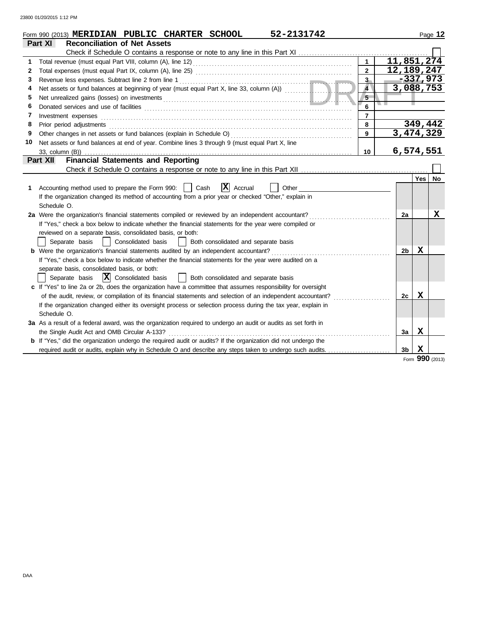|    | 52-2131742<br>Form 990 (2013) MERIDIAN PUBLIC CHARTER SCHOOL                                                   |                |                |             | Page 12 |
|----|----------------------------------------------------------------------------------------------------------------|----------------|----------------|-------------|---------|
|    | <b>Reconciliation of Net Assets</b><br>Part XI                                                                 |                |                |             |         |
|    |                                                                                                                |                |                |             |         |
| 1  |                                                                                                                | $\mathbf{1}$   |                | 11,851,274  |         |
| 2  |                                                                                                                | $\overline{2}$ |                | 12,189,247  |         |
| 3  | Revenue less expenses. Subtract line 2 from line 1                                                             | $3-$           |                | $-337,973$  |         |
| 4  | Net assets or fund balances at beginning of year (must equal Part X, line 33, column (A))                      | $\overline{4}$ |                | 3,088,753   |         |
| 5  |                                                                                                                | 5              |                |             |         |
| 6  |                                                                                                                | 6              |                |             |         |
| 7  | Investment expenses                                                                                            | $\overline{7}$ |                |             |         |
| 8  |                                                                                                                | 8              |                | 349,442     |         |
| 9  |                                                                                                                | 9              |                | 3,474,329   |         |
| 10 | Net assets or fund balances at end of year. Combine lines 3 through 9 (must equal Part X, line                 |                |                |             |         |
|    | 33, column (B))                                                                                                | 10             |                | 6,574,551   |         |
|    | <b>Financial Statements and Reporting</b><br>Part XII                                                          |                |                |             |         |
|    |                                                                                                                |                |                |             |         |
|    |                                                                                                                |                |                | Yes         | No      |
| 1  | $ \mathbf{X} $ Accrual<br>Accounting method used to prepare the Form 990:     Cash<br>Other                    |                |                |             |         |
|    | If the organization changed its method of accounting from a prior year or checked "Other," explain in          |                |                |             |         |
|    | Schedule O.                                                                                                    |                |                |             |         |
|    | 2a Were the organization's financial statements compiled or reviewed by an independent accountant?             |                | 2a             |             | X       |
|    | If "Yes," check a box below to indicate whether the financial statements for the year were compiled or         |                |                |             |         |
|    | reviewed on a separate basis, consolidated basis, or both:                                                     |                |                |             |         |
|    | Both consolidated and separate basis<br>Separate basis<br>Consolidated basis<br>$\perp$                        |                |                |             |         |
|    | <b>b</b> Were the organization's financial statements audited by an independent accountant?                    |                | 2b             | х           |         |
|    | If "Yes," check a box below to indicate whether the financial statements for the year were audited on a        |                |                |             |         |
|    | separate basis, consolidated basis, or both:                                                                   |                |                |             |         |
|    | Separate basis $ \mathbf{X} $ Consolidated basis<br>  Both consolidated and separate basis                     |                |                |             |         |
|    | c If "Yes" to line 2a or 2b, does the organization have a committee that assumes responsibility for oversight  |                |                |             |         |
|    | of the audit, review, or compilation of its financial statements and selection of an independent accountant?   |                | 2c             | X           |         |
|    | If the organization changed either its oversight process or selection process during the tax year, explain in  |                |                |             |         |
|    | Schedule O.                                                                                                    |                |                |             |         |
|    | 3a As a result of a federal award, was the organization required to undergo an audit or audits as set forth in |                |                |             |         |
|    | the Single Audit Act and OMB Circular A-133?                                                                   |                | 3a             | $\mathbf X$ |         |
|    | b If "Yes," did the organization undergo the required audit or audits? If the organization did not undergo the |                |                |             |         |
|    |                                                                                                                |                | 3 <sub>b</sub> | X           |         |
|    |                                                                                                                |                |                | <b>000</b>  |         |

Form **990** (2013)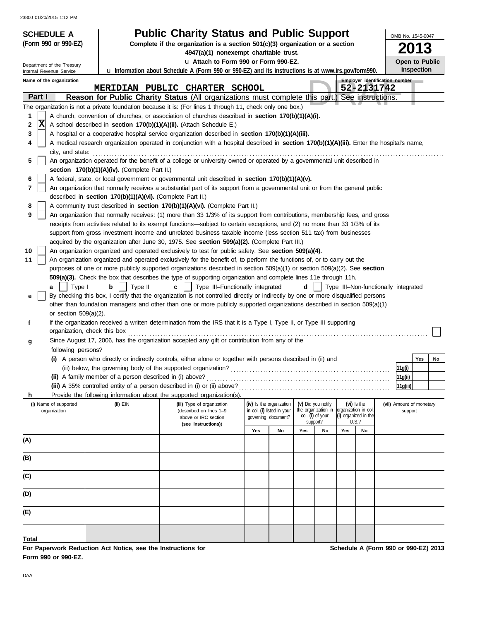23800 01/20/2015 1:12 PM

| Complete if the organization is a section 501(c)(3) organization or a section<br>4947(a)(1) nonexempt charitable trust.<br>u Attach to Form 990 or Form 990-EZ.<br>Open to Public<br>Department of the Treasury<br><b>Inspection</b><br>u Information about Schedule A (Form 990 or 990-EZ) and its instructions is at www.irs.gov/form990.<br>Internal Revenue Service<br>Employer identification number<br>Name of the organization<br>52-2131742<br>MERIDIAN PUBLIC CHARTER SCHOOL<br>Part I<br>Reason for Public Charity Status (All organizations must complete this part.) See instructions.<br>The organization is not a private foundation because it is: (For lines 1 through 11, check only one box.)<br>A church, convention of churches, or association of churches described in section 170(b)(1)(A)(i).<br>1<br>Ιx<br>A school described in section 170(b)(1)(A)(ii). (Attach Schedule E.)<br>2<br>3<br>A hospital or a cooperative hospital service organization described in section 170(b)(1)(A)(iii).<br>A medical research organization operated in conjunction with a hospital described in section 170(b)(1)(A)(iii). Enter the hospital's name,<br>4<br>city, and state: effective contains and state:<br>An organization operated for the benefit of a college or university owned or operated by a governmental unit described in<br>5<br>section 170(b)(1)(A)(iv). (Complete Part II.)<br>A federal, state, or local government or governmental unit described in section 170(b)(1)(A)(v).<br>6<br>7<br>An organization that normally receives a substantial part of its support from a governmental unit or from the general public<br>described in section 170(b)(1)(A)(vi). (Complete Part II.)<br>A community trust described in section 170(b)(1)(A)(vi). (Complete Part II.)<br>8<br>9<br>An organization that normally receives: (1) more than 33 1/3% of its support from contributions, membership fees, and gross<br>receipts from activities related to its exempt functions—subject to certain exceptions, and (2) no more than 33 1/3% of its<br>support from gross investment income and unrelated business taxable income (less section 511 tax) from businesses<br>acquired by the organization after June 30, 1975. See section 509(a)(2). (Complete Part III.)<br>An organization organized and operated exclusively to test for public safety. See section 509(a)(4).<br>10<br>An organization organized and operated exclusively for the benefit of, to perform the functions of, or to carry out the<br>11<br>purposes of one or more publicly supported organizations described in section 509(a)(1) or section 509(a)(2). See section<br>509(a)(3). Check the box that describes the type of supporting organization and complete lines 11e through 11h.<br>Type III-Functionally integrated<br>Type II<br>d<br>Type III-Non-functionally integrated<br>Type I<br>b<br>C<br>a<br>By checking this box, I certify that the organization is not controlled directly or indirectly by one or more disqualified persons<br>е<br>other than foundation managers and other than one or more publicly supported organizations described in section 509(a)(1)<br>or section $509(a)(2)$ .<br>If the organization received a written determination from the IRS that it is a Type I, Type II, or Type III supporting<br>f<br>organization, check this box<br>Since August 17, 2006, has the organization accepted any gift or contribution from any of the<br>g<br>following persons?<br>A person who directly or indirectly controls, either alone or together with persons described in (ii) and<br>Yes<br>No<br>11g(i)<br>11g(ii)<br>(iii) A 35% controlled entity of a person described in (i) or (ii) above?<br> 11g(iii) <br>Provide the following information about the supported organization(s).<br>h.<br>(iv) Is the organization<br>(v) Did you notify<br>$(vi)$ is the<br>(i) Name of supported<br>(ii) EIN<br>(iii) Type of organization<br>(vii) Amount of monetary<br>the organization in<br>lorganization in col.<br>organization<br>in col. (i) listed in your<br>(described on lines 1-9<br>support<br>col. (i) of your<br>(i) organized in the<br>governing document?<br>above or IRC section<br>support?<br>U.S.?<br>(see instructions))<br>Yes<br>No<br>Yes<br>Yes<br>No<br>No<br>(A) | <b>SCHEDULE A</b>    | <b>Public Charity Status and Public Support</b> |  |  |  | OMB No. 1545-0047 |
|---------------------------------------------------------------------------------------------------------------------------------------------------------------------------------------------------------------------------------------------------------------------------------------------------------------------------------------------------------------------------------------------------------------------------------------------------------------------------------------------------------------------------------------------------------------------------------------------------------------------------------------------------------------------------------------------------------------------------------------------------------------------------------------------------------------------------------------------------------------------------------------------------------------------------------------------------------------------------------------------------------------------------------------------------------------------------------------------------------------------------------------------------------------------------------------------------------------------------------------------------------------------------------------------------------------------------------------------------------------------------------------------------------------------------------------------------------------------------------------------------------------------------------------------------------------------------------------------------------------------------------------------------------------------------------------------------------------------------------------------------------------------------------------------------------------------------------------------------------------------------------------------------------------------------------------------------------------------------------------------------------------------------------------------------------------------------------------------------------------------------------------------------------------------------------------------------------------------------------------------------------------------------------------------------------------------------------------------------------------------------------------------------------------------------------------------------------------------------------------------------------------------------------------------------------------------------------------------------------------------------------------------------------------------------------------------------------------------------------------------------------------------------------------------------------------------------------------------------------------------------------------------------------------------------------------------------------------------------------------------------------------------------------------------------------------------------------------------------------------------------------------------------------------------------------------------------------------------------------------------------------------------------------------------------------------------------------------------------------------------------------------------------------------------------------------------------------------------------------------------------------------------------------------------------------------------------------------------------------------------------------------------------------------------------------------------------------------------------------------------------------------------------------------------------------------------------------------------------------------------------------------------------------------------------------------------------------------------------------------------------------------------------------------------------------------------------------------------------------------------------------------------------------------------------------------------------------------------------------------------------------------------------------------------------------------------------------------------------|----------------------|-------------------------------------------------|--|--|--|-------------------|
|                                                                                                                                                                                                                                                                                                                                                                                                                                                                                                                                                                                                                                                                                                                                                                                                                                                                                                                                                                                                                                                                                                                                                                                                                                                                                                                                                                                                                                                                                                                                                                                                                                                                                                                                                                                                                                                                                                                                                                                                                                                                                                                                                                                                                                                                                                                                                                                                                                                                                                                                                                                                                                                                                                                                                                                                                                                                                                                                                                                                                                                                                                                                                                                                                                                                                                                                                                                                                                                                                                                                                                                                                                                                                                                                                                                                                                                                                                                                                                                                                                                                                                                                                                                                                                                                                                                                                   | (Form 990 or 990-EZ) |                                                 |  |  |  |                   |
|                                                                                                                                                                                                                                                                                                                                                                                                                                                                                                                                                                                                                                                                                                                                                                                                                                                                                                                                                                                                                                                                                                                                                                                                                                                                                                                                                                                                                                                                                                                                                                                                                                                                                                                                                                                                                                                                                                                                                                                                                                                                                                                                                                                                                                                                                                                                                                                                                                                                                                                                                                                                                                                                                                                                                                                                                                                                                                                                                                                                                                                                                                                                                                                                                                                                                                                                                                                                                                                                                                                                                                                                                                                                                                                                                                                                                                                                                                                                                                                                                                                                                                                                                                                                                                                                                                                                                   |                      |                                                 |  |  |  |                   |
|                                                                                                                                                                                                                                                                                                                                                                                                                                                                                                                                                                                                                                                                                                                                                                                                                                                                                                                                                                                                                                                                                                                                                                                                                                                                                                                                                                                                                                                                                                                                                                                                                                                                                                                                                                                                                                                                                                                                                                                                                                                                                                                                                                                                                                                                                                                                                                                                                                                                                                                                                                                                                                                                                                                                                                                                                                                                                                                                                                                                                                                                                                                                                                                                                                                                                                                                                                                                                                                                                                                                                                                                                                                                                                                                                                                                                                                                                                                                                                                                                                                                                                                                                                                                                                                                                                                                                   |                      |                                                 |  |  |  |                   |
|                                                                                                                                                                                                                                                                                                                                                                                                                                                                                                                                                                                                                                                                                                                                                                                                                                                                                                                                                                                                                                                                                                                                                                                                                                                                                                                                                                                                                                                                                                                                                                                                                                                                                                                                                                                                                                                                                                                                                                                                                                                                                                                                                                                                                                                                                                                                                                                                                                                                                                                                                                                                                                                                                                                                                                                                                                                                                                                                                                                                                                                                                                                                                                                                                                                                                                                                                                                                                                                                                                                                                                                                                                                                                                                                                                                                                                                                                                                                                                                                                                                                                                                                                                                                                                                                                                                                                   |                      |                                                 |  |  |  |                   |
|                                                                                                                                                                                                                                                                                                                                                                                                                                                                                                                                                                                                                                                                                                                                                                                                                                                                                                                                                                                                                                                                                                                                                                                                                                                                                                                                                                                                                                                                                                                                                                                                                                                                                                                                                                                                                                                                                                                                                                                                                                                                                                                                                                                                                                                                                                                                                                                                                                                                                                                                                                                                                                                                                                                                                                                                                                                                                                                                                                                                                                                                                                                                                                                                                                                                                                                                                                                                                                                                                                                                                                                                                                                                                                                                                                                                                                                                                                                                                                                                                                                                                                                                                                                                                                                                                                                                                   |                      |                                                 |  |  |  |                   |
|                                                                                                                                                                                                                                                                                                                                                                                                                                                                                                                                                                                                                                                                                                                                                                                                                                                                                                                                                                                                                                                                                                                                                                                                                                                                                                                                                                                                                                                                                                                                                                                                                                                                                                                                                                                                                                                                                                                                                                                                                                                                                                                                                                                                                                                                                                                                                                                                                                                                                                                                                                                                                                                                                                                                                                                                                                                                                                                                                                                                                                                                                                                                                                                                                                                                                                                                                                                                                                                                                                                                                                                                                                                                                                                                                                                                                                                                                                                                                                                                                                                                                                                                                                                                                                                                                                                                                   |                      |                                                 |  |  |  |                   |
|                                                                                                                                                                                                                                                                                                                                                                                                                                                                                                                                                                                                                                                                                                                                                                                                                                                                                                                                                                                                                                                                                                                                                                                                                                                                                                                                                                                                                                                                                                                                                                                                                                                                                                                                                                                                                                                                                                                                                                                                                                                                                                                                                                                                                                                                                                                                                                                                                                                                                                                                                                                                                                                                                                                                                                                                                                                                                                                                                                                                                                                                                                                                                                                                                                                                                                                                                                                                                                                                                                                                                                                                                                                                                                                                                                                                                                                                                                                                                                                                                                                                                                                                                                                                                                                                                                                                                   |                      |                                                 |  |  |  |                   |
|                                                                                                                                                                                                                                                                                                                                                                                                                                                                                                                                                                                                                                                                                                                                                                                                                                                                                                                                                                                                                                                                                                                                                                                                                                                                                                                                                                                                                                                                                                                                                                                                                                                                                                                                                                                                                                                                                                                                                                                                                                                                                                                                                                                                                                                                                                                                                                                                                                                                                                                                                                                                                                                                                                                                                                                                                                                                                                                                                                                                                                                                                                                                                                                                                                                                                                                                                                                                                                                                                                                                                                                                                                                                                                                                                                                                                                                                                                                                                                                                                                                                                                                                                                                                                                                                                                                                                   |                      |                                                 |  |  |  |                   |
|                                                                                                                                                                                                                                                                                                                                                                                                                                                                                                                                                                                                                                                                                                                                                                                                                                                                                                                                                                                                                                                                                                                                                                                                                                                                                                                                                                                                                                                                                                                                                                                                                                                                                                                                                                                                                                                                                                                                                                                                                                                                                                                                                                                                                                                                                                                                                                                                                                                                                                                                                                                                                                                                                                                                                                                                                                                                                                                                                                                                                                                                                                                                                                                                                                                                                                                                                                                                                                                                                                                                                                                                                                                                                                                                                                                                                                                                                                                                                                                                                                                                                                                                                                                                                                                                                                                                                   |                      |                                                 |  |  |  |                   |
|                                                                                                                                                                                                                                                                                                                                                                                                                                                                                                                                                                                                                                                                                                                                                                                                                                                                                                                                                                                                                                                                                                                                                                                                                                                                                                                                                                                                                                                                                                                                                                                                                                                                                                                                                                                                                                                                                                                                                                                                                                                                                                                                                                                                                                                                                                                                                                                                                                                                                                                                                                                                                                                                                                                                                                                                                                                                                                                                                                                                                                                                                                                                                                                                                                                                                                                                                                                                                                                                                                                                                                                                                                                                                                                                                                                                                                                                                                                                                                                                                                                                                                                                                                                                                                                                                                                                                   |                      |                                                 |  |  |  |                   |
|                                                                                                                                                                                                                                                                                                                                                                                                                                                                                                                                                                                                                                                                                                                                                                                                                                                                                                                                                                                                                                                                                                                                                                                                                                                                                                                                                                                                                                                                                                                                                                                                                                                                                                                                                                                                                                                                                                                                                                                                                                                                                                                                                                                                                                                                                                                                                                                                                                                                                                                                                                                                                                                                                                                                                                                                                                                                                                                                                                                                                                                                                                                                                                                                                                                                                                                                                                                                                                                                                                                                                                                                                                                                                                                                                                                                                                                                                                                                                                                                                                                                                                                                                                                                                                                                                                                                                   |                      |                                                 |  |  |  |                   |
|                                                                                                                                                                                                                                                                                                                                                                                                                                                                                                                                                                                                                                                                                                                                                                                                                                                                                                                                                                                                                                                                                                                                                                                                                                                                                                                                                                                                                                                                                                                                                                                                                                                                                                                                                                                                                                                                                                                                                                                                                                                                                                                                                                                                                                                                                                                                                                                                                                                                                                                                                                                                                                                                                                                                                                                                                                                                                                                                                                                                                                                                                                                                                                                                                                                                                                                                                                                                                                                                                                                                                                                                                                                                                                                                                                                                                                                                                                                                                                                                                                                                                                                                                                                                                                                                                                                                                   |                      |                                                 |  |  |  |                   |
|                                                                                                                                                                                                                                                                                                                                                                                                                                                                                                                                                                                                                                                                                                                                                                                                                                                                                                                                                                                                                                                                                                                                                                                                                                                                                                                                                                                                                                                                                                                                                                                                                                                                                                                                                                                                                                                                                                                                                                                                                                                                                                                                                                                                                                                                                                                                                                                                                                                                                                                                                                                                                                                                                                                                                                                                                                                                                                                                                                                                                                                                                                                                                                                                                                                                                                                                                                                                                                                                                                                                                                                                                                                                                                                                                                                                                                                                                                                                                                                                                                                                                                                                                                                                                                                                                                                                                   |                      |                                                 |  |  |  |                   |
|                                                                                                                                                                                                                                                                                                                                                                                                                                                                                                                                                                                                                                                                                                                                                                                                                                                                                                                                                                                                                                                                                                                                                                                                                                                                                                                                                                                                                                                                                                                                                                                                                                                                                                                                                                                                                                                                                                                                                                                                                                                                                                                                                                                                                                                                                                                                                                                                                                                                                                                                                                                                                                                                                                                                                                                                                                                                                                                                                                                                                                                                                                                                                                                                                                                                                                                                                                                                                                                                                                                                                                                                                                                                                                                                                                                                                                                                                                                                                                                                                                                                                                                                                                                                                                                                                                                                                   |                      |                                                 |  |  |  |                   |
|                                                                                                                                                                                                                                                                                                                                                                                                                                                                                                                                                                                                                                                                                                                                                                                                                                                                                                                                                                                                                                                                                                                                                                                                                                                                                                                                                                                                                                                                                                                                                                                                                                                                                                                                                                                                                                                                                                                                                                                                                                                                                                                                                                                                                                                                                                                                                                                                                                                                                                                                                                                                                                                                                                                                                                                                                                                                                                                                                                                                                                                                                                                                                                                                                                                                                                                                                                                                                                                                                                                                                                                                                                                                                                                                                                                                                                                                                                                                                                                                                                                                                                                                                                                                                                                                                                                                                   |                      |                                                 |  |  |  |                   |
|                                                                                                                                                                                                                                                                                                                                                                                                                                                                                                                                                                                                                                                                                                                                                                                                                                                                                                                                                                                                                                                                                                                                                                                                                                                                                                                                                                                                                                                                                                                                                                                                                                                                                                                                                                                                                                                                                                                                                                                                                                                                                                                                                                                                                                                                                                                                                                                                                                                                                                                                                                                                                                                                                                                                                                                                                                                                                                                                                                                                                                                                                                                                                                                                                                                                                                                                                                                                                                                                                                                                                                                                                                                                                                                                                                                                                                                                                                                                                                                                                                                                                                                                                                                                                                                                                                                                                   |                      |                                                 |  |  |  |                   |
|                                                                                                                                                                                                                                                                                                                                                                                                                                                                                                                                                                                                                                                                                                                                                                                                                                                                                                                                                                                                                                                                                                                                                                                                                                                                                                                                                                                                                                                                                                                                                                                                                                                                                                                                                                                                                                                                                                                                                                                                                                                                                                                                                                                                                                                                                                                                                                                                                                                                                                                                                                                                                                                                                                                                                                                                                                                                                                                                                                                                                                                                                                                                                                                                                                                                                                                                                                                                                                                                                                                                                                                                                                                                                                                                                                                                                                                                                                                                                                                                                                                                                                                                                                                                                                                                                                                                                   |                      |                                                 |  |  |  |                   |
|                                                                                                                                                                                                                                                                                                                                                                                                                                                                                                                                                                                                                                                                                                                                                                                                                                                                                                                                                                                                                                                                                                                                                                                                                                                                                                                                                                                                                                                                                                                                                                                                                                                                                                                                                                                                                                                                                                                                                                                                                                                                                                                                                                                                                                                                                                                                                                                                                                                                                                                                                                                                                                                                                                                                                                                                                                                                                                                                                                                                                                                                                                                                                                                                                                                                                                                                                                                                                                                                                                                                                                                                                                                                                                                                                                                                                                                                                                                                                                                                                                                                                                                                                                                                                                                                                                                                                   |                      |                                                 |  |  |  |                   |
|                                                                                                                                                                                                                                                                                                                                                                                                                                                                                                                                                                                                                                                                                                                                                                                                                                                                                                                                                                                                                                                                                                                                                                                                                                                                                                                                                                                                                                                                                                                                                                                                                                                                                                                                                                                                                                                                                                                                                                                                                                                                                                                                                                                                                                                                                                                                                                                                                                                                                                                                                                                                                                                                                                                                                                                                                                                                                                                                                                                                                                                                                                                                                                                                                                                                                                                                                                                                                                                                                                                                                                                                                                                                                                                                                                                                                                                                                                                                                                                                                                                                                                                                                                                                                                                                                                                                                   |                      |                                                 |  |  |  |                   |
|                                                                                                                                                                                                                                                                                                                                                                                                                                                                                                                                                                                                                                                                                                                                                                                                                                                                                                                                                                                                                                                                                                                                                                                                                                                                                                                                                                                                                                                                                                                                                                                                                                                                                                                                                                                                                                                                                                                                                                                                                                                                                                                                                                                                                                                                                                                                                                                                                                                                                                                                                                                                                                                                                                                                                                                                                                                                                                                                                                                                                                                                                                                                                                                                                                                                                                                                                                                                                                                                                                                                                                                                                                                                                                                                                                                                                                                                                                                                                                                                                                                                                                                                                                                                                                                                                                                                                   |                      |                                                 |  |  |  |                   |
|                                                                                                                                                                                                                                                                                                                                                                                                                                                                                                                                                                                                                                                                                                                                                                                                                                                                                                                                                                                                                                                                                                                                                                                                                                                                                                                                                                                                                                                                                                                                                                                                                                                                                                                                                                                                                                                                                                                                                                                                                                                                                                                                                                                                                                                                                                                                                                                                                                                                                                                                                                                                                                                                                                                                                                                                                                                                                                                                                                                                                                                                                                                                                                                                                                                                                                                                                                                                                                                                                                                                                                                                                                                                                                                                                                                                                                                                                                                                                                                                                                                                                                                                                                                                                                                                                                                                                   |                      |                                                 |  |  |  |                   |
|                                                                                                                                                                                                                                                                                                                                                                                                                                                                                                                                                                                                                                                                                                                                                                                                                                                                                                                                                                                                                                                                                                                                                                                                                                                                                                                                                                                                                                                                                                                                                                                                                                                                                                                                                                                                                                                                                                                                                                                                                                                                                                                                                                                                                                                                                                                                                                                                                                                                                                                                                                                                                                                                                                                                                                                                                                                                                                                                                                                                                                                                                                                                                                                                                                                                                                                                                                                                                                                                                                                                                                                                                                                                                                                                                                                                                                                                                                                                                                                                                                                                                                                                                                                                                                                                                                                                                   |                      |                                                 |  |  |  |                   |
|                                                                                                                                                                                                                                                                                                                                                                                                                                                                                                                                                                                                                                                                                                                                                                                                                                                                                                                                                                                                                                                                                                                                                                                                                                                                                                                                                                                                                                                                                                                                                                                                                                                                                                                                                                                                                                                                                                                                                                                                                                                                                                                                                                                                                                                                                                                                                                                                                                                                                                                                                                                                                                                                                                                                                                                                                                                                                                                                                                                                                                                                                                                                                                                                                                                                                                                                                                                                                                                                                                                                                                                                                                                                                                                                                                                                                                                                                                                                                                                                                                                                                                                                                                                                                                                                                                                                                   |                      |                                                 |  |  |  |                   |
|                                                                                                                                                                                                                                                                                                                                                                                                                                                                                                                                                                                                                                                                                                                                                                                                                                                                                                                                                                                                                                                                                                                                                                                                                                                                                                                                                                                                                                                                                                                                                                                                                                                                                                                                                                                                                                                                                                                                                                                                                                                                                                                                                                                                                                                                                                                                                                                                                                                                                                                                                                                                                                                                                                                                                                                                                                                                                                                                                                                                                                                                                                                                                                                                                                                                                                                                                                                                                                                                                                                                                                                                                                                                                                                                                                                                                                                                                                                                                                                                                                                                                                                                                                                                                                                                                                                                                   |                      |                                                 |  |  |  |                   |
|                                                                                                                                                                                                                                                                                                                                                                                                                                                                                                                                                                                                                                                                                                                                                                                                                                                                                                                                                                                                                                                                                                                                                                                                                                                                                                                                                                                                                                                                                                                                                                                                                                                                                                                                                                                                                                                                                                                                                                                                                                                                                                                                                                                                                                                                                                                                                                                                                                                                                                                                                                                                                                                                                                                                                                                                                                                                                                                                                                                                                                                                                                                                                                                                                                                                                                                                                                                                                                                                                                                                                                                                                                                                                                                                                                                                                                                                                                                                                                                                                                                                                                                                                                                                                                                                                                                                                   |                      |                                                 |  |  |  |                   |
|                                                                                                                                                                                                                                                                                                                                                                                                                                                                                                                                                                                                                                                                                                                                                                                                                                                                                                                                                                                                                                                                                                                                                                                                                                                                                                                                                                                                                                                                                                                                                                                                                                                                                                                                                                                                                                                                                                                                                                                                                                                                                                                                                                                                                                                                                                                                                                                                                                                                                                                                                                                                                                                                                                                                                                                                                                                                                                                                                                                                                                                                                                                                                                                                                                                                                                                                                                                                                                                                                                                                                                                                                                                                                                                                                                                                                                                                                                                                                                                                                                                                                                                                                                                                                                                                                                                                                   |                      |                                                 |  |  |  |                   |
|                                                                                                                                                                                                                                                                                                                                                                                                                                                                                                                                                                                                                                                                                                                                                                                                                                                                                                                                                                                                                                                                                                                                                                                                                                                                                                                                                                                                                                                                                                                                                                                                                                                                                                                                                                                                                                                                                                                                                                                                                                                                                                                                                                                                                                                                                                                                                                                                                                                                                                                                                                                                                                                                                                                                                                                                                                                                                                                                                                                                                                                                                                                                                                                                                                                                                                                                                                                                                                                                                                                                                                                                                                                                                                                                                                                                                                                                                                                                                                                                                                                                                                                                                                                                                                                                                                                                                   |                      |                                                 |  |  |  |                   |
|                                                                                                                                                                                                                                                                                                                                                                                                                                                                                                                                                                                                                                                                                                                                                                                                                                                                                                                                                                                                                                                                                                                                                                                                                                                                                                                                                                                                                                                                                                                                                                                                                                                                                                                                                                                                                                                                                                                                                                                                                                                                                                                                                                                                                                                                                                                                                                                                                                                                                                                                                                                                                                                                                                                                                                                                                                                                                                                                                                                                                                                                                                                                                                                                                                                                                                                                                                                                                                                                                                                                                                                                                                                                                                                                                                                                                                                                                                                                                                                                                                                                                                                                                                                                                                                                                                                                                   |                      |                                                 |  |  |  |                   |
|                                                                                                                                                                                                                                                                                                                                                                                                                                                                                                                                                                                                                                                                                                                                                                                                                                                                                                                                                                                                                                                                                                                                                                                                                                                                                                                                                                                                                                                                                                                                                                                                                                                                                                                                                                                                                                                                                                                                                                                                                                                                                                                                                                                                                                                                                                                                                                                                                                                                                                                                                                                                                                                                                                                                                                                                                                                                                                                                                                                                                                                                                                                                                                                                                                                                                                                                                                                                                                                                                                                                                                                                                                                                                                                                                                                                                                                                                                                                                                                                                                                                                                                                                                                                                                                                                                                                                   |                      |                                                 |  |  |  |                   |
|                                                                                                                                                                                                                                                                                                                                                                                                                                                                                                                                                                                                                                                                                                                                                                                                                                                                                                                                                                                                                                                                                                                                                                                                                                                                                                                                                                                                                                                                                                                                                                                                                                                                                                                                                                                                                                                                                                                                                                                                                                                                                                                                                                                                                                                                                                                                                                                                                                                                                                                                                                                                                                                                                                                                                                                                                                                                                                                                                                                                                                                                                                                                                                                                                                                                                                                                                                                                                                                                                                                                                                                                                                                                                                                                                                                                                                                                                                                                                                                                                                                                                                                                                                                                                                                                                                                                                   |                      |                                                 |  |  |  |                   |
|                                                                                                                                                                                                                                                                                                                                                                                                                                                                                                                                                                                                                                                                                                                                                                                                                                                                                                                                                                                                                                                                                                                                                                                                                                                                                                                                                                                                                                                                                                                                                                                                                                                                                                                                                                                                                                                                                                                                                                                                                                                                                                                                                                                                                                                                                                                                                                                                                                                                                                                                                                                                                                                                                                                                                                                                                                                                                                                                                                                                                                                                                                                                                                                                                                                                                                                                                                                                                                                                                                                                                                                                                                                                                                                                                                                                                                                                                                                                                                                                                                                                                                                                                                                                                                                                                                                                                   |                      |                                                 |  |  |  |                   |
|                                                                                                                                                                                                                                                                                                                                                                                                                                                                                                                                                                                                                                                                                                                                                                                                                                                                                                                                                                                                                                                                                                                                                                                                                                                                                                                                                                                                                                                                                                                                                                                                                                                                                                                                                                                                                                                                                                                                                                                                                                                                                                                                                                                                                                                                                                                                                                                                                                                                                                                                                                                                                                                                                                                                                                                                                                                                                                                                                                                                                                                                                                                                                                                                                                                                                                                                                                                                                                                                                                                                                                                                                                                                                                                                                                                                                                                                                                                                                                                                                                                                                                                                                                                                                                                                                                                                                   |                      |                                                 |  |  |  |                   |
|                                                                                                                                                                                                                                                                                                                                                                                                                                                                                                                                                                                                                                                                                                                                                                                                                                                                                                                                                                                                                                                                                                                                                                                                                                                                                                                                                                                                                                                                                                                                                                                                                                                                                                                                                                                                                                                                                                                                                                                                                                                                                                                                                                                                                                                                                                                                                                                                                                                                                                                                                                                                                                                                                                                                                                                                                                                                                                                                                                                                                                                                                                                                                                                                                                                                                                                                                                                                                                                                                                                                                                                                                                                                                                                                                                                                                                                                                                                                                                                                                                                                                                                                                                                                                                                                                                                                                   |                      |                                                 |  |  |  |                   |
|                                                                                                                                                                                                                                                                                                                                                                                                                                                                                                                                                                                                                                                                                                                                                                                                                                                                                                                                                                                                                                                                                                                                                                                                                                                                                                                                                                                                                                                                                                                                                                                                                                                                                                                                                                                                                                                                                                                                                                                                                                                                                                                                                                                                                                                                                                                                                                                                                                                                                                                                                                                                                                                                                                                                                                                                                                                                                                                                                                                                                                                                                                                                                                                                                                                                                                                                                                                                                                                                                                                                                                                                                                                                                                                                                                                                                                                                                                                                                                                                                                                                                                                                                                                                                                                                                                                                                   |                      |                                                 |  |  |  |                   |
|                                                                                                                                                                                                                                                                                                                                                                                                                                                                                                                                                                                                                                                                                                                                                                                                                                                                                                                                                                                                                                                                                                                                                                                                                                                                                                                                                                                                                                                                                                                                                                                                                                                                                                                                                                                                                                                                                                                                                                                                                                                                                                                                                                                                                                                                                                                                                                                                                                                                                                                                                                                                                                                                                                                                                                                                                                                                                                                                                                                                                                                                                                                                                                                                                                                                                                                                                                                                                                                                                                                                                                                                                                                                                                                                                                                                                                                                                                                                                                                                                                                                                                                                                                                                                                                                                                                                                   |                      |                                                 |  |  |  |                   |
|                                                                                                                                                                                                                                                                                                                                                                                                                                                                                                                                                                                                                                                                                                                                                                                                                                                                                                                                                                                                                                                                                                                                                                                                                                                                                                                                                                                                                                                                                                                                                                                                                                                                                                                                                                                                                                                                                                                                                                                                                                                                                                                                                                                                                                                                                                                                                                                                                                                                                                                                                                                                                                                                                                                                                                                                                                                                                                                                                                                                                                                                                                                                                                                                                                                                                                                                                                                                                                                                                                                                                                                                                                                                                                                                                                                                                                                                                                                                                                                                                                                                                                                                                                                                                                                                                                                                                   |                      |                                                 |  |  |  |                   |
|                                                                                                                                                                                                                                                                                                                                                                                                                                                                                                                                                                                                                                                                                                                                                                                                                                                                                                                                                                                                                                                                                                                                                                                                                                                                                                                                                                                                                                                                                                                                                                                                                                                                                                                                                                                                                                                                                                                                                                                                                                                                                                                                                                                                                                                                                                                                                                                                                                                                                                                                                                                                                                                                                                                                                                                                                                                                                                                                                                                                                                                                                                                                                                                                                                                                                                                                                                                                                                                                                                                                                                                                                                                                                                                                                                                                                                                                                                                                                                                                                                                                                                                                                                                                                                                                                                                                                   |                      |                                                 |  |  |  |                   |
|                                                                                                                                                                                                                                                                                                                                                                                                                                                                                                                                                                                                                                                                                                                                                                                                                                                                                                                                                                                                                                                                                                                                                                                                                                                                                                                                                                                                                                                                                                                                                                                                                                                                                                                                                                                                                                                                                                                                                                                                                                                                                                                                                                                                                                                                                                                                                                                                                                                                                                                                                                                                                                                                                                                                                                                                                                                                                                                                                                                                                                                                                                                                                                                                                                                                                                                                                                                                                                                                                                                                                                                                                                                                                                                                                                                                                                                                                                                                                                                                                                                                                                                                                                                                                                                                                                                                                   |                      |                                                 |  |  |  |                   |
|                                                                                                                                                                                                                                                                                                                                                                                                                                                                                                                                                                                                                                                                                                                                                                                                                                                                                                                                                                                                                                                                                                                                                                                                                                                                                                                                                                                                                                                                                                                                                                                                                                                                                                                                                                                                                                                                                                                                                                                                                                                                                                                                                                                                                                                                                                                                                                                                                                                                                                                                                                                                                                                                                                                                                                                                                                                                                                                                                                                                                                                                                                                                                                                                                                                                                                                                                                                                                                                                                                                                                                                                                                                                                                                                                                                                                                                                                                                                                                                                                                                                                                                                                                                                                                                                                                                                                   |                      |                                                 |  |  |  |                   |
|                                                                                                                                                                                                                                                                                                                                                                                                                                                                                                                                                                                                                                                                                                                                                                                                                                                                                                                                                                                                                                                                                                                                                                                                                                                                                                                                                                                                                                                                                                                                                                                                                                                                                                                                                                                                                                                                                                                                                                                                                                                                                                                                                                                                                                                                                                                                                                                                                                                                                                                                                                                                                                                                                                                                                                                                                                                                                                                                                                                                                                                                                                                                                                                                                                                                                                                                                                                                                                                                                                                                                                                                                                                                                                                                                                                                                                                                                                                                                                                                                                                                                                                                                                                                                                                                                                                                                   |                      |                                                 |  |  |  |                   |
|                                                                                                                                                                                                                                                                                                                                                                                                                                                                                                                                                                                                                                                                                                                                                                                                                                                                                                                                                                                                                                                                                                                                                                                                                                                                                                                                                                                                                                                                                                                                                                                                                                                                                                                                                                                                                                                                                                                                                                                                                                                                                                                                                                                                                                                                                                                                                                                                                                                                                                                                                                                                                                                                                                                                                                                                                                                                                                                                                                                                                                                                                                                                                                                                                                                                                                                                                                                                                                                                                                                                                                                                                                                                                                                                                                                                                                                                                                                                                                                                                                                                                                                                                                                                                                                                                                                                                   |                      |                                                 |  |  |  |                   |
|                                                                                                                                                                                                                                                                                                                                                                                                                                                                                                                                                                                                                                                                                                                                                                                                                                                                                                                                                                                                                                                                                                                                                                                                                                                                                                                                                                                                                                                                                                                                                                                                                                                                                                                                                                                                                                                                                                                                                                                                                                                                                                                                                                                                                                                                                                                                                                                                                                                                                                                                                                                                                                                                                                                                                                                                                                                                                                                                                                                                                                                                                                                                                                                                                                                                                                                                                                                                                                                                                                                                                                                                                                                                                                                                                                                                                                                                                                                                                                                                                                                                                                                                                                                                                                                                                                                                                   |                      |                                                 |  |  |  |                   |
|                                                                                                                                                                                                                                                                                                                                                                                                                                                                                                                                                                                                                                                                                                                                                                                                                                                                                                                                                                                                                                                                                                                                                                                                                                                                                                                                                                                                                                                                                                                                                                                                                                                                                                                                                                                                                                                                                                                                                                                                                                                                                                                                                                                                                                                                                                                                                                                                                                                                                                                                                                                                                                                                                                                                                                                                                                                                                                                                                                                                                                                                                                                                                                                                                                                                                                                                                                                                                                                                                                                                                                                                                                                                                                                                                                                                                                                                                                                                                                                                                                                                                                                                                                                                                                                                                                                                                   | (B)                  |                                                 |  |  |  |                   |
|                                                                                                                                                                                                                                                                                                                                                                                                                                                                                                                                                                                                                                                                                                                                                                                                                                                                                                                                                                                                                                                                                                                                                                                                                                                                                                                                                                                                                                                                                                                                                                                                                                                                                                                                                                                                                                                                                                                                                                                                                                                                                                                                                                                                                                                                                                                                                                                                                                                                                                                                                                                                                                                                                                                                                                                                                                                                                                                                                                                                                                                                                                                                                                                                                                                                                                                                                                                                                                                                                                                                                                                                                                                                                                                                                                                                                                                                                                                                                                                                                                                                                                                                                                                                                                                                                                                                                   |                      |                                                 |  |  |  |                   |
|                                                                                                                                                                                                                                                                                                                                                                                                                                                                                                                                                                                                                                                                                                                                                                                                                                                                                                                                                                                                                                                                                                                                                                                                                                                                                                                                                                                                                                                                                                                                                                                                                                                                                                                                                                                                                                                                                                                                                                                                                                                                                                                                                                                                                                                                                                                                                                                                                                                                                                                                                                                                                                                                                                                                                                                                                                                                                                                                                                                                                                                                                                                                                                                                                                                                                                                                                                                                                                                                                                                                                                                                                                                                                                                                                                                                                                                                                                                                                                                                                                                                                                                                                                                                                                                                                                                                                   | (C)                  |                                                 |  |  |  |                   |
|                                                                                                                                                                                                                                                                                                                                                                                                                                                                                                                                                                                                                                                                                                                                                                                                                                                                                                                                                                                                                                                                                                                                                                                                                                                                                                                                                                                                                                                                                                                                                                                                                                                                                                                                                                                                                                                                                                                                                                                                                                                                                                                                                                                                                                                                                                                                                                                                                                                                                                                                                                                                                                                                                                                                                                                                                                                                                                                                                                                                                                                                                                                                                                                                                                                                                                                                                                                                                                                                                                                                                                                                                                                                                                                                                                                                                                                                                                                                                                                                                                                                                                                                                                                                                                                                                                                                                   | (D)                  |                                                 |  |  |  |                   |
|                                                                                                                                                                                                                                                                                                                                                                                                                                                                                                                                                                                                                                                                                                                                                                                                                                                                                                                                                                                                                                                                                                                                                                                                                                                                                                                                                                                                                                                                                                                                                                                                                                                                                                                                                                                                                                                                                                                                                                                                                                                                                                                                                                                                                                                                                                                                                                                                                                                                                                                                                                                                                                                                                                                                                                                                                                                                                                                                                                                                                                                                                                                                                                                                                                                                                                                                                                                                                                                                                                                                                                                                                                                                                                                                                                                                                                                                                                                                                                                                                                                                                                                                                                                                                                                                                                                                                   | (E)                  |                                                 |  |  |  |                   |
|                                                                                                                                                                                                                                                                                                                                                                                                                                                                                                                                                                                                                                                                                                                                                                                                                                                                                                                                                                                                                                                                                                                                                                                                                                                                                                                                                                                                                                                                                                                                                                                                                                                                                                                                                                                                                                                                                                                                                                                                                                                                                                                                                                                                                                                                                                                                                                                                                                                                                                                                                                                                                                                                                                                                                                                                                                                                                                                                                                                                                                                                                                                                                                                                                                                                                                                                                                                                                                                                                                                                                                                                                                                                                                                                                                                                                                                                                                                                                                                                                                                                                                                                                                                                                                                                                                                                                   |                      |                                                 |  |  |  |                   |
| Total                                                                                                                                                                                                                                                                                                                                                                                                                                                                                                                                                                                                                                                                                                                                                                                                                                                                                                                                                                                                                                                                                                                                                                                                                                                                                                                                                                                                                                                                                                                                                                                                                                                                                                                                                                                                                                                                                                                                                                                                                                                                                                                                                                                                                                                                                                                                                                                                                                                                                                                                                                                                                                                                                                                                                                                                                                                                                                                                                                                                                                                                                                                                                                                                                                                                                                                                                                                                                                                                                                                                                                                                                                                                                                                                                                                                                                                                                                                                                                                                                                                                                                                                                                                                                                                                                                                                             |                      |                                                 |  |  |  |                   |

**For Paperwork Reduction Act Notice, see the Instructions for Form 990 or 990-EZ.**

**Schedule A (Form 990 or 990-EZ) 2013**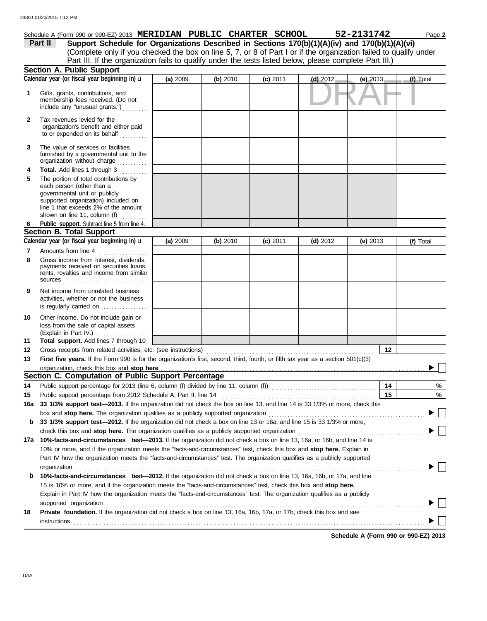## Schedule A (Form 990 or 990-EZ) 2013 **MERIDIAN PUBLIC CHARTER SCHOOL** 52-2131742 Page 2

(Complete only if you checked the box on line 5, 7, or 8 of Part I or if the organization failed to qualify under **Part II** Support Schedule for Organizations Described in Sections 170(b)(1)(A)(iv) and 170(b)(1)(A)(vi) Part III. If the organization fails to qualify under the tests listed below, please complete Part III.)

|              | <b>Section A. Public Support</b>                                                                                                                                                                                                                        |          |          |            |            |            |           |
|--------------|---------------------------------------------------------------------------------------------------------------------------------------------------------------------------------------------------------------------------------------------------------|----------|----------|------------|------------|------------|-----------|
|              | Calendar year (or fiscal year beginning in) u                                                                                                                                                                                                           | (a) 2009 | (b) 2010 | $(c)$ 2011 | $(d)$ 2012 | (e) $2013$ | (f) Total |
| 1            | Gifts, grants, contributions, and<br>membership fees received. (Do not<br>include any "unusual grants.")                                                                                                                                                |          |          |            |            |            |           |
| $\mathbf{2}$ | Tax revenues levied for the<br>organization's benefit and either paid<br>to or expended on its behalf                                                                                                                                                   |          |          |            |            |            |           |
| 3            | The value of services or facilities<br>furnished by a governmental unit to the<br>organization without charge                                                                                                                                           |          |          |            |            |            |           |
| 4<br>5       | Total. Add lines 1 through 3<br>.<br>The portion of total contributions by<br>each person (other than a<br>governmental unit or publicly<br>supported organization) included on<br>line 1 that exceeds 2% of the amount<br>shown on line 11, column (f) |          |          |            |            |            |           |
| 6            | Public support. Subtract line 5 from line 4.                                                                                                                                                                                                            |          |          |            |            |            |           |
|              | <b>Section B. Total Support</b>                                                                                                                                                                                                                         |          |          |            |            |            |           |
|              | Calendar year (or fiscal year beginning in) u                                                                                                                                                                                                           | (a) 2009 | (b) 2010 | $(c)$ 2011 | $(d)$ 2012 | (e) $2013$ | (f) Total |
| 7<br>8       | Amounts from line 4<br>Gross income from interest, dividends,<br>payments received on securities loans,<br>rents, royalties and income from similar                                                                                                     |          |          |            |            |            |           |
| 9            | Net income from unrelated business<br>activities, whether or not the business<br>is regularly carried on                                                                                                                                                |          |          |            |            |            |           |
| 10<br>11     | Other income. Do not include gain or<br>loss from the sale of capital assets<br>(Explain in Part IV.)<br>Total support. Add lines 7 through 10                                                                                                          |          |          |            |            |            |           |
| 12           | Gross receipts from related activities, etc. (see instructions)                                                                                                                                                                                         |          |          |            |            | 12         |           |
| 13           | First five years. If the Form 990 is for the organization's first, second, third, fourth, or fifth tax year as a section 501(c)(3)                                                                                                                      |          |          |            |            |            |           |
|              | organization, check this box and stop here                                                                                                                                                                                                              |          |          |            |            |            |           |
|              | Section C. Computation of Public Support Percentage                                                                                                                                                                                                     |          |          |            |            |            |           |
| 14           |                                                                                                                                                                                                                                                         |          |          |            |            | 14         | %         |
|              |                                                                                                                                                                                                                                                         |          |          |            |            | 15         | $\%$      |
|              | 15 Public support percentage from 2012 Schedule A, Part II, line 14 <b>Public 14</b> 13, and line 14 is 33 1/3% or more, check this                                                                                                                     |          |          |            |            |            |           |
|              | box and stop here. The organization qualifies as a publicly supported organization                                                                                                                                                                      |          |          |            |            |            |           |
| b            | 33 1/3% support test-2012. If the organization did not check a box on line 13 or 16a, and line 15 is 33 1/3% or more,                                                                                                                                   |          |          |            |            |            |           |
|              | check this box and stop here. The organization qualifies as a publicly supported organization                                                                                                                                                           |          |          |            |            |            |           |
|              | 17a 10%-facts-and-circumstances test-2013. If the organization did not check a box on line 13, 16a, or 16b, and line 14 is                                                                                                                              |          |          |            |            |            |           |
|              | 10% or more, and if the organization meets the "facts-and-circumstances" test, check this box and stop here. Explain in                                                                                                                                 |          |          |            |            |            |           |
|              | Part IV how the organization meets the "facts-and-circumstances" test. The organization qualifies as a publicly supported                                                                                                                               |          |          |            |            |            |           |
| b            | organization<br>10%-facts-and-circumstances test-2012. If the organization did not check a box on line 13, 16a, 16b, or 17a, and line                                                                                                                   |          |          |            |            |            |           |
|              | 15 is 10% or more, and if the organization meets the "facts-and-circumstances" test, check this box and stop here.                                                                                                                                      |          |          |            |            |            |           |
|              | Explain in Part IV how the organization meets the "facts-and-circumstances" test. The organization qualifies as a publicly                                                                                                                              |          |          |            |            |            |           |
|              | supported organization                                                                                                                                                                                                                                  |          |          |            |            |            |           |
| 18           | Private foundation. If the organization did not check a box on line 13, 16a, 16b, 17a, or 17b, check this box and see                                                                                                                                   |          |          |            |            |            |           |
|              | instructions                                                                                                                                                                                                                                            |          |          |            |            |            |           |
|              |                                                                                                                                                                                                                                                         |          |          |            |            |            |           |

**Schedule A (Form 990 or 990-EZ) 2013**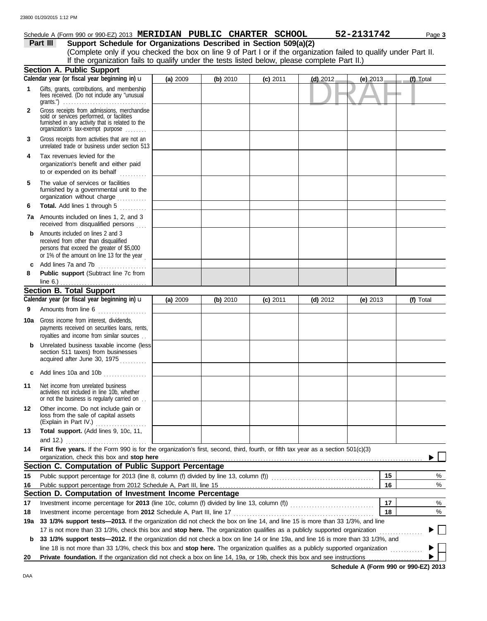## Schedule A (Form 990 or 990-EZ) 2013 **MERIDIAN PUBLIC CHARTER SCHOOL** 52-2131742 Page 3

**Part III Support Schedule for Organizations Described in Section 509(a)(2)** (Complete only if you checked the box on line 9 of Part I or if the organization failed to qualify under Part II. If the organization fails to qualify under the tests listed below, please complete Part II.)

|              | <b>Section A. Public Support</b>                                                                                                                                                  |          |          |            |            |            |    |           |
|--------------|-----------------------------------------------------------------------------------------------------------------------------------------------------------------------------------|----------|----------|------------|------------|------------|----|-----------|
|              | Calendar year (or fiscal year beginning in) u                                                                                                                                     | (a) 2009 | (b) 2010 | $(c)$ 2011 | $(d)$ 2012 | (e) $2013$ |    | (f) Total |
| $\mathbf 1$  | Gifts, grants, contributions, and membership<br>fees received. (Do not include any "unusual<br>grants.") $\ldots \ldots \ldots \ldots \ldots \ldots \ldots \ldots \ldots \ldots$  |          |          |            |            |            |    |           |
| $\mathbf{2}$ | Gross receipts from admissions, merchandise<br>sold or services performed, or facilities<br>furnished in any activity that is related to the<br>organization's tax-exempt purpose |          |          |            |            |            |    |           |
| 3            | Gross receipts from activities that are not an<br>unrelated trade or business under section 513                                                                                   |          |          |            |            |            |    |           |
| 4            | Tax revenues levied for the<br>organization's benefit and either paid<br>to or expended on its behalf                                                                             |          |          |            |            |            |    |           |
| 5            | The value of services or facilities<br>furnished by a governmental unit to the<br>organization without charge                                                                     |          |          |            |            |            |    |           |
| 6            | Total. Add lines 1 through 5<br>.                                                                                                                                                 |          |          |            |            |            |    |           |
|              | <b>7a</b> Amounts included on lines 1, 2, and 3<br>received from disqualified persons                                                                                             |          |          |            |            |            |    |           |
| b            | Amounts included on lines 2 and 3<br>received from other than disqualified<br>persons that exceed the greater of \$5,000<br>or 1% of the amount on line 13 for the year           |          |          |            |            |            |    |           |
| c<br>8       | Add lines 7a and 7b<br>.<br>Public support (Subtract line 7c from                                                                                                                 |          |          |            |            |            |    |           |
|              | line 6.) $\frac{1}{2}$                                                                                                                                                            |          |          |            |            |            |    |           |
|              | <b>Section B. Total Support</b>                                                                                                                                                   |          |          |            |            |            |    |           |
|              | Calendar year (or fiscal year beginning in) $\mathbf u$                                                                                                                           | (a) 2009 | (b) 2010 | $(c)$ 2011 | $(d)$ 2012 | (e) $2013$ |    | (f) Total |
| 9            | Amounts from line 6                                                                                                                                                               |          |          |            |            |            |    |           |
| 10a          | Gross income from interest, dividends,<br>payments received on securities loans, rents,<br>royalties and income from similar sources                                              |          |          |            |            |            |    |           |
| b            | Unrelated business taxable income (less)<br>section 511 taxes) from businesses<br>acquired after June 30, 1975                                                                    |          |          |            |            |            |    |           |
| c            | Add lines 10a and 10b                                                                                                                                                             |          |          |            |            |            |    |           |
| 11           | Net income from unrelated business<br>activities not included in line 10b, whether<br>or not the business is regularly carried on                                                 |          |          |            |            |            |    |           |
| 12           | Other income. Do not include gain or<br>loss from the sale of capital assets<br>(Explain in Part IV.)                                                                             |          |          |            |            |            |    |           |
| 13           | Total support. (Add lines 9, 10c, 11,                                                                                                                                             |          |          |            |            |            |    |           |
|              | and 12.) $\qquad \qquad \ldots \qquad \qquad \ldots \qquad \ldots \qquad \ldots \qquad \ldots \qquad \ldots \qquad \ldots$                                                        |          |          |            |            |            |    |           |
| 14           | First five years. If the Form 990 is for the organization's first, second, third, fourth, or fifth tax year as a section 501(c)(3)                                                |          |          |            |            |            |    |           |
|              | organization, check this box and stop here                                                                                                                                        |          |          |            |            |            |    |           |
|              | Section C. Computation of Public Support Percentage                                                                                                                               |          |          |            |            |            |    |           |
| 15           | Public support percentage for 2013 (line 8, column (f) divided by line 13, column (f)) [[[[[[[[[[[[[[[[[[[[[[                                                                     |          |          |            |            |            | 15 | %         |
| 16           |                                                                                                                                                                                   |          |          |            |            |            | 16 | %         |
|              | Section D. Computation of Investment Income Percentage                                                                                                                            |          |          |            |            |            |    |           |
| 17           | Investment income percentage for 2013 (line 10c, column (f) divided by line 13, column (f))                                                                                       |          |          |            |            |            | 17 | %         |
| 18           | Investment income percentage from 2012 Schedule A, Part III, line 17                                                                                                              |          |          |            |            |            | 18 | %         |
| 19a          | 33 1/3% support tests-2013. If the organization did not check the box on line 14, and line 15 is more than 33 1/3%, and line                                                      |          |          |            |            |            |    |           |
|              | 17 is not more than 33 1/3%, check this box and stop here. The organization qualifies as a publicly supported organization                                                        |          |          |            |            |            |    |           |
| b            | 33 1/3% support tests—2012. If the organization did not check a box on line 14 or line 19a, and line 16 is more than 33 1/3%, and                                                 |          |          |            |            |            |    |           |
|              | line 18 is not more than 33 1/3%, check this box and stop here. The organization qualifies as a publicly supported organization                                                   |          |          |            |            |            |    |           |
| 20           | Private foundation. If the organization did not check a box on line 14, 19a, or 19b, check this box and see instructions                                                          |          |          |            |            |            |    |           |

**Schedule A (Form 990 or 990-EZ) 2013**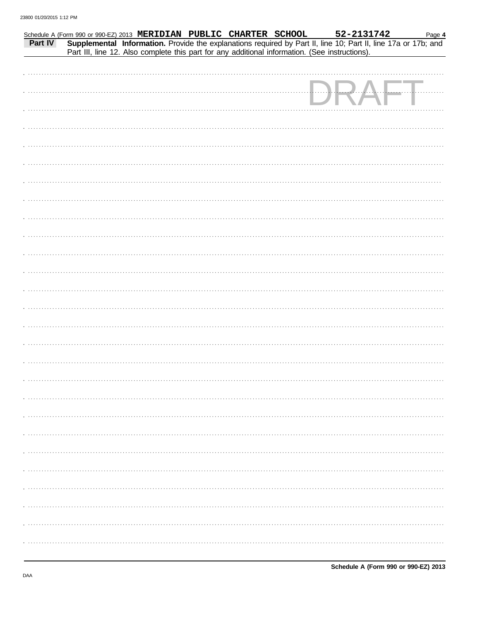|         | Schedule A (Form 990 or 990-EZ) 2013 MERIDIAN PUBLIC CHARTER SCHOOL                                                                                                                                           |  | 52-2131742 | Page 4     |
|---------|---------------------------------------------------------------------------------------------------------------------------------------------------------------------------------------------------------------|--|------------|------------|
| Part IV | Supplemental Information. Provide the explanations required by Part II, line 10; Part II, line 17a or 17b; and Part III, line 12. Also complete this part for any additional information. (See instructions). |  |            |            |
|         |                                                                                                                                                                                                               |  |            |            |
|         |                                                                                                                                                                                                               |  |            |            |
|         |                                                                                                                                                                                                               |  |            |            |
|         |                                                                                                                                                                                                               |  |            |            |
|         |                                                                                                                                                                                                               |  |            |            |
|         |                                                                                                                                                                                                               |  |            | . <u>.</u> |
|         |                                                                                                                                                                                                               |  |            |            |
|         |                                                                                                                                                                                                               |  |            |            |
|         |                                                                                                                                                                                                               |  |            |            |
|         |                                                                                                                                                                                                               |  |            |            |
|         |                                                                                                                                                                                                               |  |            |            |
|         |                                                                                                                                                                                                               |  |            |            |
|         |                                                                                                                                                                                                               |  |            |            |
|         |                                                                                                                                                                                                               |  |            |            |
|         |                                                                                                                                                                                                               |  |            |            |
|         |                                                                                                                                                                                                               |  |            |            |
|         |                                                                                                                                                                                                               |  |            |            |
|         |                                                                                                                                                                                                               |  |            |            |
|         |                                                                                                                                                                                                               |  |            |            |
|         |                                                                                                                                                                                                               |  |            |            |
|         |                                                                                                                                                                                                               |  |            |            |
|         |                                                                                                                                                                                                               |  |            |            |
|         |                                                                                                                                                                                                               |  |            |            |
|         |                                                                                                                                                                                                               |  |            |            |
|         |                                                                                                                                                                                                               |  |            |            |
|         |                                                                                                                                                                                                               |  |            |            |
|         |                                                                                                                                                                                                               |  |            |            |
|         |                                                                                                                                                                                                               |  |            |            |
|         |                                                                                                                                                                                                               |  |            |            |
|         |                                                                                                                                                                                                               |  |            |            |
|         |                                                                                                                                                                                                               |  |            |            |
|         |                                                                                                                                                                                                               |  |            |            |
|         |                                                                                                                                                                                                               |  |            |            |
|         |                                                                                                                                                                                                               |  |            |            |
|         |                                                                                                                                                                                                               |  |            |            |
|         |                                                                                                                                                                                                               |  |            |            |
|         |                                                                                                                                                                                                               |  |            |            |
|         |                                                                                                                                                                                                               |  |            |            |
|         |                                                                                                                                                                                                               |  |            |            |
|         |                                                                                                                                                                                                               |  |            |            |
|         |                                                                                                                                                                                                               |  |            |            |
|         |                                                                                                                                                                                                               |  |            |            |
|         |                                                                                                                                                                                                               |  |            |            |
|         |                                                                                                                                                                                                               |  |            |            |
|         |                                                                                                                                                                                                               |  |            |            |
|         |                                                                                                                                                                                                               |  |            |            |
|         |                                                                                                                                                                                                               |  |            |            |
|         |                                                                                                                                                                                                               |  |            |            |
|         |                                                                                                                                                                                                               |  |            |            |
|         |                                                                                                                                                                                                               |  |            |            |
|         |                                                                                                                                                                                                               |  |            |            |
|         |                                                                                                                                                                                                               |  |            |            |
|         |                                                                                                                                                                                                               |  |            |            |
|         |                                                                                                                                                                                                               |  |            |            |
|         |                                                                                                                                                                                                               |  |            |            |
|         |                                                                                                                                                                                                               |  |            |            |
|         |                                                                                                                                                                                                               |  |            |            |
|         |                                                                                                                                                                                                               |  |            |            |
|         |                                                                                                                                                                                                               |  |            |            |
|         |                                                                                                                                                                                                               |  |            |            |
|         |                                                                                                                                                                                                               |  |            |            |
|         |                                                                                                                                                                                                               |  |            |            |
|         |                                                                                                                                                                                                               |  |            |            |
|         |                                                                                                                                                                                                               |  |            |            |
|         |                                                                                                                                                                                                               |  |            |            |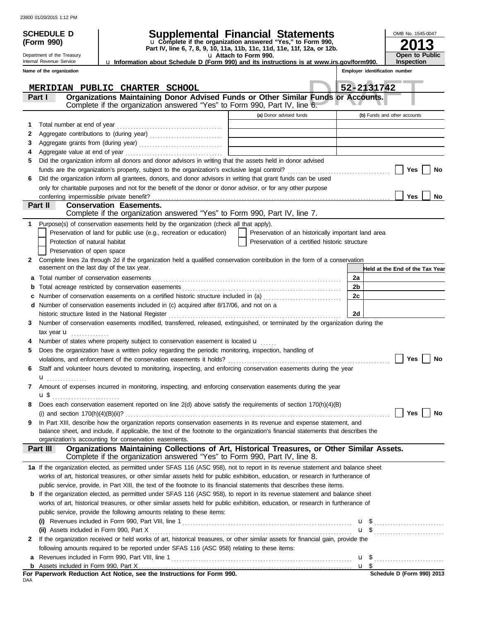|   | <b>SCHEDULE D</b>                             |                                                                                                                                                                                            | Supplemental Financial Statements                                                                 |                | OMB No. 1545-0047               |
|---|-----------------------------------------------|--------------------------------------------------------------------------------------------------------------------------------------------------------------------------------------------|---------------------------------------------------------------------------------------------------|----------------|---------------------------------|
|   | (Form 990)                                    |                                                                                                                                                                                            | u Complete if the organization answered "Yes," to Form 990,                                       |                |                                 |
|   | Department of the Treasury                    |                                                                                                                                                                                            | Part IV, line 6, 7, 8, 9, 10, 11a, 11b, 11c, 11d, 11e, 11f, 12a, or 12b.<br>u Attach to Form 990. |                | <b>Open to Public</b>           |
|   | Internal Revenue Service                      | u Information about Schedule D (Form 990) and its instructions is at www.irs.gov/form990.                                                                                                  |                                                                                                   |                | <b>Inspection</b>               |
|   | Name of the organization                      |                                                                                                                                                                                            |                                                                                                   |                | Employer identification number  |
|   |                                               | MERIDIAN PUBLIC CHARTER SCHOOL                                                                                                                                                             |                                                                                                   |                | 52-2131742                      |
|   | Part I                                        | Organizations Maintaining Donor Advised Funds or Other Similar Funds or Accounts.                                                                                                          |                                                                                                   |                |                                 |
|   |                                               | Complete if the organization answered "Yes" to Form 990, Part IV, line 6.                                                                                                                  |                                                                                                   |                |                                 |
|   |                                               |                                                                                                                                                                                            | (a) Donor advised funds                                                                           |                | (b) Funds and other accounts    |
| 2 | Total number at end of year                   |                                                                                                                                                                                            |                                                                                                   |                |                                 |
| з |                                               |                                                                                                                                                                                            |                                                                                                   |                |                                 |
| 4 |                                               |                                                                                                                                                                                            |                                                                                                   |                |                                 |
| 5 |                                               | Did the organization inform all donors and donor advisors in writing that the assets held in donor advised                                                                                 |                                                                                                   |                |                                 |
|   |                                               |                                                                                                                                                                                            | Yes<br>No                                                                                         |                |                                 |
| 6 |                                               | Did the organization inform all grantees, donors, and donor advisors in writing that grant funds can be used                                                                               |                                                                                                   |                |                                 |
|   |                                               | only for charitable purposes and not for the benefit of the donor or donor advisor, or for any other purpose                                                                               |                                                                                                   |                |                                 |
|   | conferring impermissible private benefit?     |                                                                                                                                                                                            |                                                                                                   |                | <b>Yes</b><br>No                |
|   | Part II                                       | <b>Conservation Easements.</b><br>Complete if the organization answered "Yes" to Form 990, Part IV, line 7.                                                                                |                                                                                                   |                |                                 |
|   |                                               | Purpose(s) of conservation easements held by the organization (check all that apply).                                                                                                      |                                                                                                   |                |                                 |
|   |                                               | Preservation of land for public use (e.g., recreation or education)                                                                                                                        | Preservation of an historically important land area                                               |                |                                 |
|   | Protection of natural habitat                 |                                                                                                                                                                                            | Preservation of a certified historic structure                                                    |                |                                 |
|   | Preservation of open space                    |                                                                                                                                                                                            |                                                                                                   |                |                                 |
| 2 | easement on the last day of the tax year.     | Complete lines 2a through 2d if the organization held a qualified conservation contribution in the form of a conservation                                                                  |                                                                                                   |                | Held at the End of the Tax Year |
| a |                                               |                                                                                                                                                                                            |                                                                                                   | 2a             |                                 |
|   |                                               |                                                                                                                                                                                            |                                                                                                   | 2 <sub>b</sub> |                                 |
|   |                                               | Number of conservation easements on a certified historic structure included in (a)                                                                                                         |                                                                                                   | 2c             |                                 |
|   |                                               | d Number of conservation easements included in (c) acquired after 8/17/06, and not on a                                                                                                    |                                                                                                   |                |                                 |
|   |                                               | historic structure listed in the National Register                                                                                                                                         |                                                                                                   | 2d             |                                 |
| 3 |                                               | Number of conservation easements modified, transferred, released, extinguished, or terminated by the organization during the                                                               |                                                                                                   |                |                                 |
|   | tax year <b>u</b><br>.                        |                                                                                                                                                                                            |                                                                                                   |                |                                 |
|   |                                               | Number of states where property subject to conservation easement is located u                                                                                                              |                                                                                                   |                |                                 |
|   |                                               | Does the organization have a written policy regarding the periodic monitoring, inspection, handling of                                                                                     |                                                                                                   |                |                                 |
|   |                                               |                                                                                                                                                                                            |                                                                                                   |                |                                 |
| 6 |                                               | Staff and volunteer hours devoted to monitoring, inspecting, and enforcing conservation easements during the year                                                                          |                                                                                                   |                |                                 |
|   | $\mathbf{u}_{\ldots\ldots\ldots\ldots\ldots}$ |                                                                                                                                                                                            |                                                                                                   |                |                                 |
| 7 |                                               | Amount of expenses incurred in monitoring, inspecting, and enforcing conservation easements during the year                                                                                |                                                                                                   |                |                                 |
|   | u\$                                           | Does each conservation easement reported on line 2(d) above satisfy the requirements of section 170(h)(4)(B)                                                                               |                                                                                                   |                |                                 |
| 8 |                                               |                                                                                                                                                                                            |                                                                                                   |                | Yes<br>$\perp$<br>∣ ∣No         |
| 9 |                                               | In Part XIII, describe how the organization reports conservation easements in its revenue and expense statement, and                                                                       |                                                                                                   |                |                                 |
|   |                                               | balance sheet, and include, if applicable, the text of the footnote to the organization's financial statements that describes the<br>organization's accounting for conservation easements. |                                                                                                   |                |                                 |
|   | Part III                                      | Organizations Maintaining Collections of Art, Historical Treasures, or Other Similar Assets.<br>Complete if the organization answered "Yes" to Form 990, Part IV, line 8.                  |                                                                                                   |                |                                 |
|   |                                               | 1a If the organization elected, as permitted under SFAS 116 (ASC 958), not to report in its revenue statement and balance sheet                                                            |                                                                                                   |                |                                 |
|   |                                               | works of art, historical treasures, or other similar assets held for public exhibition, education, or research in furtherance of                                                           |                                                                                                   |                |                                 |
|   |                                               | public service, provide, in Part XIII, the text of the footnote to its financial statements that describes these items.                                                                    |                                                                                                   |                |                                 |
|   |                                               | <b>b</b> If the organization elected, as permitted under SFAS 116 (ASC 958), to report in its revenue statement and balance sheet                                                          |                                                                                                   |                |                                 |
|   |                                               | works of art, historical treasures, or other similar assets held for public exhibition, education, or research in furtherance of                                                           |                                                                                                   |                |                                 |
|   |                                               | public service, provide the following amounts relating to these items:                                                                                                                     |                                                                                                   |                |                                 |
|   |                                               |                                                                                                                                                                                            |                                                                                                   |                |                                 |
|   |                                               |                                                                                                                                                                                            |                                                                                                   |                | $\mathbf{u}$ \$                 |
| 2 |                                               | If the organization received or held works of art, historical treasures, or other similar assets for financial gain, provide the                                                           |                                                                                                   |                |                                 |
|   |                                               | following amounts required to be reported under SFAS 116 (ASC 958) relating to these items:<br>Revenues included in Form 990, Part VIII, line 1                                            |                                                                                                   |                |                                 |
| a |                                               |                                                                                                                                                                                            |                                                                                                   |                |                                 |
|   |                                               | For Paperwork Reduction Act Notice, see the Instructions for Form 990.                                                                                                                     |                                                                                                   |                | Schedule D (Form 990) 2013      |

| For Paperwork Reduction Act Notice, see the Instructions for Form 990. |  |
|------------------------------------------------------------------------|--|
| DAA                                                                    |  |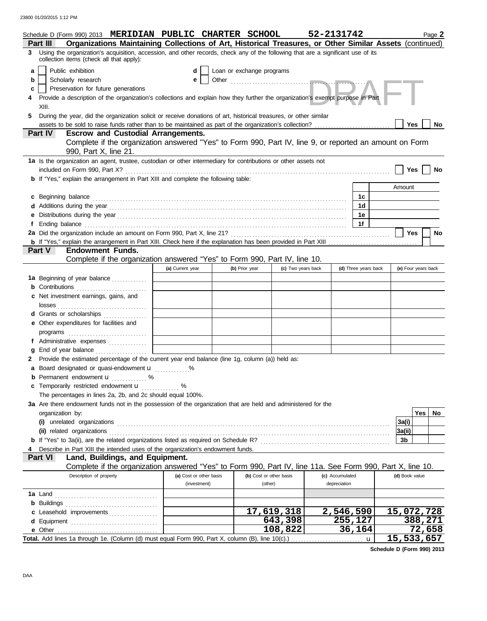|        | Schedule D (Form 990) 2013 MERIDIAN PUBLIC CHARTER SCHOOL<br>Organizations Maintaining Collections of Art, Historical Treasures, or Other Similar Assets (continued)<br>Part III |                         |                           |                         | 52-2131742      |                      |                | Page 2              |  |
|--------|----------------------------------------------------------------------------------------------------------------------------------------------------------------------------------|-------------------------|---------------------------|-------------------------|-----------------|----------------------|----------------|---------------------|--|
| 3      | Using the organization's acquisition, accession, and other records, check any of the following that are a significant use of its                                                 |                         |                           |                         |                 |                      |                |                     |  |
|        | collection items (check all that apply):                                                                                                                                         |                         |                           |                         |                 |                      |                |                     |  |
| a<br>b | Public exhibition<br>Scholarly research                                                                                                                                          | d<br>е                  | Loan or exchange programs |                         |                 |                      |                |                     |  |
| c      | Preservation for future generations                                                                                                                                              |                         |                           |                         |                 |                      |                |                     |  |
|        | Provide a description of the organization's collections and explain how they further the organization's exempt purpose in Part                                                   |                         |                           |                         |                 |                      |                |                     |  |
|        | XIII.                                                                                                                                                                            |                         |                           |                         |                 |                      |                |                     |  |
| 5.     | During the year, did the organization solicit or receive donations of art, historical treasures, or other similar                                                                |                         |                           |                         |                 |                      |                |                     |  |
|        |                                                                                                                                                                                  |                         |                           |                         |                 |                      | Yes            | No                  |  |
|        | <b>Escrow and Custodial Arrangements.</b><br><b>Part IV</b><br>Complete if the organization answered "Yes" to Form 990, Part IV, line 9, or reported an amount on Form           |                         |                           |                         |                 |                      |                |                     |  |
|        | 990, Part X, line 21.                                                                                                                                                            |                         |                           |                         |                 |                      |                |                     |  |
|        | 1a Is the organization an agent, trustee, custodian or other intermediary for contributions or other assets not                                                                  |                         |                           |                         |                 |                      |                |                     |  |
|        |                                                                                                                                                                                  |                         |                           |                         |                 |                      | Yes            | <b>No</b>           |  |
|        | <b>b</b> If "Yes," explain the arrangement in Part XIII and complete the following table:                                                                                        |                         |                           |                         |                 |                      | Amount         |                     |  |
|        | c Beginning balance                                                                                                                                                              |                         |                           |                         |                 | 1c                   |                |                     |  |
|        |                                                                                                                                                                                  |                         |                           |                         |                 | 1d                   |                |                     |  |
| е      |                                                                                                                                                                                  |                         |                           |                         |                 | 1e                   |                |                     |  |
|        |                                                                                                                                                                                  |                         |                           |                         |                 | 1f                   |                |                     |  |
|        |                                                                                                                                                                                  |                         |                           |                         |                 |                      | Yes            | No                  |  |
|        |                                                                                                                                                                                  |                         |                           |                         |                 |                      |                |                     |  |
|        | Part V<br><b>Endowment Funds.</b>                                                                                                                                                |                         |                           |                         |                 |                      |                |                     |  |
|        | Complete if the organization answered "Yes" to Form 990, Part IV, line 10.                                                                                                       |                         |                           |                         |                 |                      |                |                     |  |
|        |                                                                                                                                                                                  | (a) Current year        | (b) Prior year            | (c) Two years back      |                 | (d) Three years back |                | (e) Four years back |  |
|        | 1a Beginning of year balance                                                                                                                                                     |                         |                           |                         |                 |                      |                |                     |  |
|        | <b>b</b> Contributions <b>contributions</b>                                                                                                                                      |                         |                           |                         |                 |                      |                |                     |  |
|        | c Net investment earnings, gains, and                                                                                                                                            |                         |                           |                         |                 |                      |                |                     |  |
|        |                                                                                                                                                                                  |                         |                           |                         |                 |                      |                |                     |  |
|        | d Grants or scholarships<br>e Other expenditures for facilities and                                                                                                              |                         |                           |                         |                 |                      |                |                     |  |
|        |                                                                                                                                                                                  |                         |                           |                         |                 |                      |                |                     |  |
|        | f Administrative expenses                                                                                                                                                        |                         |                           |                         |                 |                      |                |                     |  |
| a      | End of year balance                                                                                                                                                              |                         |                           |                         |                 |                      |                |                     |  |
|        | Provide the estimated percentage of the current year end balance (line 1g, column (a)) held as:                                                                                  |                         |                           |                         |                 |                      |                |                     |  |
|        | a Board designated or quasi-endowment u                                                                                                                                          |                         |                           |                         |                 |                      |                |                     |  |
|        | <b>b</b> Permanent endowment <b>u</b> %                                                                                                                                          |                         |                           |                         |                 |                      |                |                     |  |
|        | c Temporarily restricted endowment <b>u</b> %                                                                                                                                    |                         |                           |                         |                 |                      |                |                     |  |
|        | The percentages in lines 2a, 2b, and 2c should equal 100%.                                                                                                                       |                         |                           |                         |                 |                      |                |                     |  |
|        | 3a Are there endowment funds not in the possession of the organization that are held and administered for the                                                                    |                         |                           |                         |                 |                      |                |                     |  |
|        | organization by:                                                                                                                                                                 |                         |                           |                         |                 |                      |                | Yes  <br>No         |  |
|        |                                                                                                                                                                                  |                         |                           |                         |                 |                      | 3a(i)          |                     |  |
|        |                                                                                                                                                                                  |                         |                           |                         |                 |                      | 3a(ii)         |                     |  |
|        |                                                                                                                                                                                  |                         |                           |                         |                 |                      | 3b             |                     |  |
|        | Describe in Part XIII the intended uses of the organization's endowment funds.<br>Land, Buildings, and Equipment.<br><b>Part VI</b>                                              |                         |                           |                         |                 |                      |                |                     |  |
|        | Complete if the organization answered "Yes" to Form 990, Part IV, line 11a. See Form 990, Part X, line 10.                                                                       |                         |                           |                         |                 |                      |                |                     |  |
|        | Description of property                                                                                                                                                          | (a) Cost or other basis |                           | (b) Cost or other basis | (c) Accumulated |                      | (d) Book value |                     |  |
|        |                                                                                                                                                                                  | (investment)            |                           | (other)                 | depreciation    |                      |                |                     |  |
|        |                                                                                                                                                                                  |                         |                           |                         |                 |                      |                |                     |  |
|        |                                                                                                                                                                                  |                         |                           |                         |                 |                      |                |                     |  |
|        | c Leasehold improvements                                                                                                                                                         |                         |                           | 17,619,318              |                 | 2,546,590            |                | 15,072,728          |  |
|        |                                                                                                                                                                                  |                         |                           | 643,398                 |                 | 255,127              |                | 388, 271            |  |
|        |                                                                                                                                                                                  |                         |                           | 108,822                 |                 | 36,164               |                | 72,658              |  |
|        | 15,533,657<br>Total. Add lines 1a through 1e. (Column (d) must equal Form 990, Part X, column (B), line 10(c).)<br>$\mathbf u$                                                   |                         |                           |                         |                 |                      |                |                     |  |

**Schedule D (Form 990) 2013**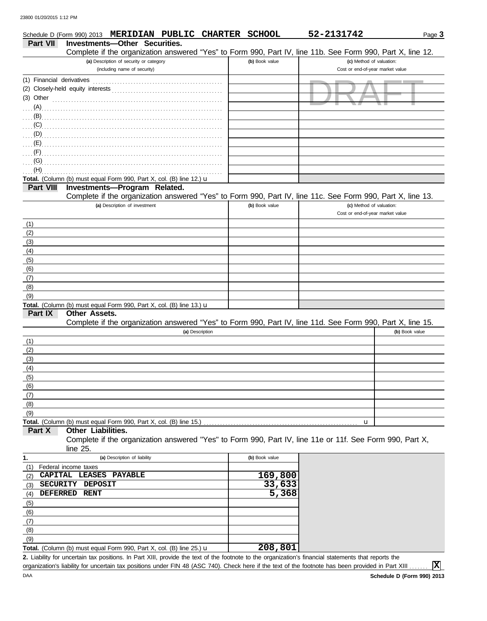|                           |                      | Schedule D (Form 990) 2013 MERIDIAN PUBLIC CHARTER SCHOOL                      |                 |                    | 52-2131742                                                                                                 | Page 3         |
|---------------------------|----------------------|--------------------------------------------------------------------------------|-----------------|--------------------|------------------------------------------------------------------------------------------------------------|----------------|
| Part VII                  |                      | Investments-Other Securities.                                                  |                 |                    |                                                                                                            |                |
|                           |                      |                                                                                |                 |                    | Complete if the organization answered "Yes" to Form 990, Part IV, line 11b. See Form 990, Part X, line 12. |                |
|                           |                      | (a) Description of security or category                                        |                 | (b) Book value     | (c) Method of valuation:                                                                                   |                |
|                           |                      | (including name of security)                                                   |                 |                    | Cost or end-of-year market value                                                                           |                |
| (1) Financial derivatives |                      |                                                                                |                 |                    |                                                                                                            |                |
|                           |                      |                                                                                |                 |                    |                                                                                                            |                |
| $(3)$ Other               |                      |                                                                                |                 |                    |                                                                                                            |                |
| (A)                       |                      |                                                                                |                 |                    |                                                                                                            |                |
|                           |                      |                                                                                |                 |                    |                                                                                                            |                |
|                           |                      |                                                                                |                 |                    |                                                                                                            |                |
|                           |                      |                                                                                |                 |                    |                                                                                                            |                |
|                           |                      |                                                                                |                 |                    |                                                                                                            |                |
|                           |                      |                                                                                |                 |                    |                                                                                                            |                |
| (G)                       |                      |                                                                                |                 |                    |                                                                                                            |                |
| (H)                       |                      |                                                                                |                 |                    |                                                                                                            |                |
|                           |                      | Total. (Column (b) must equal Form 990, Part X, col. (B) line 12.) u           |                 |                    |                                                                                                            |                |
| <b>Part VIII</b>          |                      | Investments-Program Related.                                                   |                 |                    |                                                                                                            |                |
|                           |                      |                                                                                |                 |                    | Complete if the organization answered "Yes" to Form 990, Part IV, line 11c. See Form 990, Part X, line 13. |                |
|                           |                      | (a) Description of investment                                                  |                 | (b) Book value     | (c) Method of valuation:                                                                                   |                |
|                           |                      |                                                                                |                 |                    | Cost or end-of-year market value                                                                           |                |
| (1)                       |                      |                                                                                |                 |                    |                                                                                                            |                |
| (2)                       |                      |                                                                                |                 |                    |                                                                                                            |                |
| (3)                       |                      |                                                                                |                 |                    |                                                                                                            |                |
| (4)                       |                      |                                                                                |                 |                    |                                                                                                            |                |
| (5)                       |                      |                                                                                |                 |                    |                                                                                                            |                |
| (6)                       |                      |                                                                                |                 |                    |                                                                                                            |                |
| (7)                       |                      |                                                                                |                 |                    |                                                                                                            |                |
| (8)                       |                      |                                                                                |                 |                    |                                                                                                            |                |
| (9)                       |                      |                                                                                |                 |                    |                                                                                                            |                |
|                           |                      | Total. (Column (b) must equal Form 990, Part X, col. (B) line 13.) $\mathbf u$ |                 |                    |                                                                                                            |                |
| Part IX                   | <b>Other Assets.</b> |                                                                                |                 |                    |                                                                                                            |                |
|                           |                      |                                                                                |                 |                    | Complete if the organization answered "Yes" to Form 990, Part IV, line 11d. See Form 990, Part X, line 15. |                |
|                           |                      |                                                                                | (a) Description |                    |                                                                                                            | (b) Book value |
| (1)                       |                      |                                                                                |                 |                    |                                                                                                            |                |
| (2)                       |                      |                                                                                |                 |                    |                                                                                                            |                |
| (3)                       |                      |                                                                                |                 |                    |                                                                                                            |                |
| (4)                       |                      |                                                                                |                 |                    |                                                                                                            |                |
| (5)                       |                      |                                                                                |                 |                    |                                                                                                            |                |
| (6)                       |                      |                                                                                |                 |                    |                                                                                                            |                |
| (7)                       |                      |                                                                                |                 |                    |                                                                                                            |                |
| (8)                       |                      |                                                                                |                 |                    |                                                                                                            |                |
| (9)                       |                      | Total. (Column (b) must equal Form 990, Part X, col. (B) line 15.).            |                 |                    |                                                                                                            |                |
| Part X                    | Other Liabilities.   |                                                                                |                 |                    | u                                                                                                          |                |
|                           |                      |                                                                                |                 |                    | Complete if the organization answered "Yes" to Form 990, Part IV, line 11e or 11f. See Form 990, Part X,   |                |
|                           | line 25.             |                                                                                |                 |                    |                                                                                                            |                |
| 1.                        |                      | (a) Description of liability                                                   |                 | (b) Book value     |                                                                                                            |                |
| (1)                       | Federal income taxes |                                                                                |                 |                    |                                                                                                            |                |
| (2)                       |                      | CAPITAL LEASES PAYABLE                                                         |                 | 169,800            |                                                                                                            |                |
| (3)                       | SECURITY DEPOSIT     |                                                                                |                 | 33,633             |                                                                                                            |                |
| <b>DEFERRED</b><br>(4)    | <b>RENT</b>          |                                                                                |                 | $\overline{5,368}$ |                                                                                                            |                |
|                           |                      |                                                                                |                 |                    |                                                                                                            |                |
| (5)<br>(6)                |                      |                                                                                |                 |                    |                                                                                                            |                |
| (7)                       |                      |                                                                                |                 |                    |                                                                                                            |                |
| (8)                       |                      |                                                                                |                 |                    |                                                                                                            |                |
| (9)                       |                      |                                                                                |                 |                    |                                                                                                            |                |
|                           |                      | Total. (Column (b) must equal Form 990, Part X, col. (B) line 25.) u           |                 | 208,801            |                                                                                                            |                |
|                           |                      |                                                                                |                 |                    |                                                                                                            |                |

Liability for uncertain tax positions. In Part XIII, provide the text of the footnote to the organization's financial statements that reports the **2.**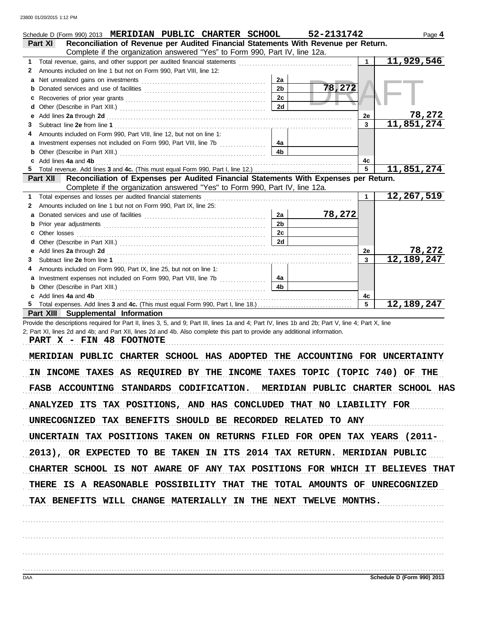| Schedule D (Form 990) 2013 MERIDIAN PUBLIC CHARTER SCHOOL                                                                                                                                                                      |                      | 52-2131742 |           | Page 4                     |
|--------------------------------------------------------------------------------------------------------------------------------------------------------------------------------------------------------------------------------|----------------------|------------|-----------|----------------------------|
| Reconciliation of Revenue per Audited Financial Statements With Revenue per Return.<br><b>Part XI</b>                                                                                                                          |                      |            |           |                            |
| Complete if the organization answered "Yes" to Form 990, Part IV, line 12a.                                                                                                                                                    |                      |            |           |                            |
| Total revenue, gains, and other support per audited financial statements [11] [11] Total revenue contract to the statements [11] Total revenue of the statements and other statements and other statements and other statement |                      |            | 1         | 11,929,546                 |
| Amounts included on line 1 but not on Form 990, Part VIII, line 12:<br>2                                                                                                                                                       |                      |            |           |                            |
| а                                                                                                                                                                                                                              | 2a<br>2 <sub>b</sub> | 78,272     |           |                            |
|                                                                                                                                                                                                                                | 2c                   |            |           |                            |
| c.                                                                                                                                                                                                                             | 2d                   |            |           |                            |
|                                                                                                                                                                                                                                |                      |            | 2e        | 78,272                     |
| 3                                                                                                                                                                                                                              |                      |            | 3         | 11,851,274                 |
| Amounts included on Form 990, Part VIII, line 12, but not on line 1:                                                                                                                                                           |                      |            |           |                            |
|                                                                                                                                                                                                                                | 4а                   |            |           |                            |
|                                                                                                                                                                                                                                | 4 <sub>b</sub>       |            |           |                            |
| c Add lines 4a and 4b                                                                                                                                                                                                          |                      |            | 4c        |                            |
| 5                                                                                                                                                                                                                              |                      |            | 5         | 11,851,274                 |
| Part XII Reconciliation of Expenses per Audited Financial Statements With Expenses per Return.                                                                                                                                 |                      |            |           |                            |
| Complete if the organization answered "Yes" to Form 990, Part IV, line 12a.<br>Total expenses and losses per audited financial statements                                                                                      |                      |            | 1         | 12,267,519                 |
| Amounts included on line 1 but not on Form 990, Part IX, line 25:<br>2                                                                                                                                                         |                      |            |           |                            |
|                                                                                                                                                                                                                                | 2a                   | 78,272     |           |                            |
| b                                                                                                                                                                                                                              | 2 <sub>b</sub>       |            |           |                            |
| Other losses                                                                                                                                                                                                                   | 2c                   |            |           |                            |
|                                                                                                                                                                                                                                | 2d                   |            |           |                            |
|                                                                                                                                                                                                                                |                      |            | <b>2e</b> | 78,272                     |
| З                                                                                                                                                                                                                              |                      |            | 3         | 12, 189, 247               |
| Amounts included on Form 990, Part IX, line 25, but not on line 1:                                                                                                                                                             |                      |            |           |                            |
|                                                                                                                                                                                                                                | 4a                   |            |           |                            |
| <b>b</b> Other (Describe in Part XIII.) <b>CONSIDENT DESCRIPTION DESCRIPTION DESCRIPTION DESCRIPTION DESCRIPTION DESCRIPTION DESCRIPTION DESCRIPTION DESCRIPTION DESCRIPTION DESCRIPTION DESCRIPTION DESCRI</b>                | 4 <sub>h</sub>       |            |           |                            |
| c Add lines 4a and 4b                                                                                                                                                                                                          |                      |            | 4с<br>5   | 12,189,247                 |
| <b>Part XIII Supplemental Information</b>                                                                                                                                                                                      |                      |            |           |                            |
| Provide the descriptions required for Part II, lines 3, 5, and 9; Part III, lines 1a and 4; Part IV, lines 1b and 2b; Part V, line 4; Part X, line                                                                             |                      |            |           |                            |
| 2; Part XI, lines 2d and 4b; and Part XII, lines 2d and 4b. Also complete this part to provide any additional information.                                                                                                     |                      |            |           |                            |
| PART X - FIN 48 FOOTNOTE                                                                                                                                                                                                       |                      |            |           |                            |
| MERIDIAN PUBLIC CHARTER SCHOOL HAS ADOPTED THE ACCOUNTING FOR UNCERTAINTY                                                                                                                                                      |                      |            |           |                            |
|                                                                                                                                                                                                                                |                      |            |           |                            |
| IN INCOME TAXES AS REQUIRED BY THE INCOME TAXES TOPIC (TOPIC 740) OF THE                                                                                                                                                       |                      |            |           |                            |
|                                                                                                                                                                                                                                |                      |            |           |                            |
| FASB ACCOUNTING STANDARDS CODIFICATION. MERIDIAN PUBLIC CHARTER SCHOOL HAS                                                                                                                                                     |                      |            |           |                            |
| ANALYZED ITS TAX POSITIONS, AND HAS CONCLUDED THAT NO LIABILITY FOR                                                                                                                                                            |                      |            |           |                            |
|                                                                                                                                                                                                                                |                      |            |           |                            |
| UNRECOGNIZED TAX BENEFITS SHOULD BE RECORDED RELATED TO ANY                                                                                                                                                                    |                      |            |           |                            |
|                                                                                                                                                                                                                                |                      |            |           |                            |
| UNCERTAIN TAX POSITIONS TAKEN ON RETURNS FILED FOR OPEN TAX YEARS (2011-                                                                                                                                                       |                      |            |           |                            |
| 2013), OR EXPECTED TO BE TAKEN IN ITS 2014 TAX RETURN. MERIDIAN PUBLIC                                                                                                                                                         |                      |            |           |                            |
|                                                                                                                                                                                                                                |                      |            |           |                            |
| CHARTER SCHOOL IS NOT AWARE OF ANY TAX POSITIONS FOR WHICH IT BELIEVES THAT                                                                                                                                                    |                      |            |           |                            |
|                                                                                                                                                                                                                                |                      |            |           |                            |
| THERE IS A REASONABLE POSSIBILITY THAT THE TOTAL AMOUNTS OF UNRECOGNIZED                                                                                                                                                       |                      |            |           |                            |
| TAX BENEFITS WILL CHANGE MATERIALLY IN THE NEXT TWELVE MONTHS.                                                                                                                                                                 |                      |            |           |                            |
|                                                                                                                                                                                                                                |                      |            |           |                            |
|                                                                                                                                                                                                                                |                      |            |           |                            |
|                                                                                                                                                                                                                                |                      |            |           |                            |
|                                                                                                                                                                                                                                |                      |            |           |                            |
|                                                                                                                                                                                                                                |                      |            |           |                            |
|                                                                                                                                                                                                                                |                      |            |           |                            |
|                                                                                                                                                                                                                                |                      |            |           |                            |
| <b>DAA</b>                                                                                                                                                                                                                     |                      |            |           | Schedule D (Form 990) 2013 |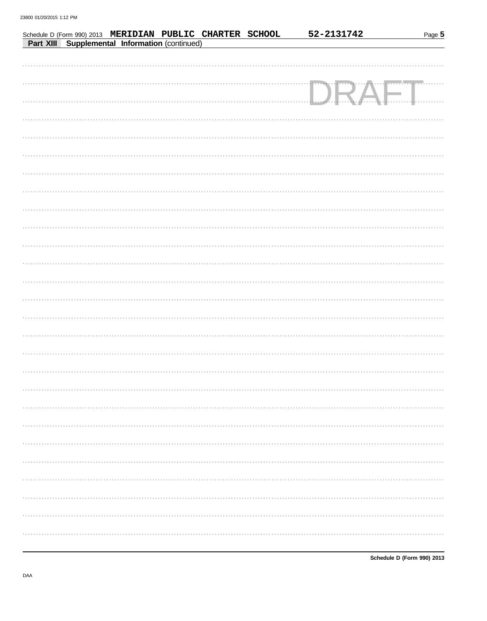|                                                |  | Schedule D (Form 990) 2013 MERIDIAN PUBLIC CHARTER SCHOOL | 52-2131742 |                | Page 5 |
|------------------------------------------------|--|-----------------------------------------------------------|------------|----------------|--------|
| Part XIII Supplemental Information (continued) |  |                                                           |            |                |        |
|                                                |  |                                                           |            |                |        |
|                                                |  |                                                           |            |                |        |
|                                                |  |                                                           |            |                |        |
|                                                |  |                                                           |            | $A$ $\vdash$ . |        |
|                                                |  |                                                           |            |                |        |
|                                                |  |                                                           |            |                |        |
|                                                |  |                                                           |            |                |        |
|                                                |  |                                                           |            |                |        |
|                                                |  |                                                           |            |                |        |
|                                                |  |                                                           |            |                |        |
|                                                |  |                                                           |            |                |        |
|                                                |  |                                                           |            |                |        |
|                                                |  |                                                           |            |                |        |
|                                                |  |                                                           |            |                |        |
|                                                |  |                                                           |            |                |        |
|                                                |  |                                                           |            |                |        |
|                                                |  |                                                           |            |                |        |
|                                                |  |                                                           |            |                |        |
|                                                |  |                                                           |            |                |        |
|                                                |  |                                                           |            |                |        |
|                                                |  |                                                           |            |                |        |
|                                                |  |                                                           |            |                |        |
|                                                |  |                                                           |            |                |        |
|                                                |  |                                                           |            |                |        |
|                                                |  |                                                           |            |                |        |
|                                                |  |                                                           |            |                |        |
|                                                |  |                                                           |            |                |        |
|                                                |  |                                                           |            |                |        |
|                                                |  |                                                           |            |                |        |
|                                                |  |                                                           |            |                |        |
|                                                |  |                                                           |            |                |        |
|                                                |  |                                                           |            |                |        |
|                                                |  |                                                           |            |                |        |
|                                                |  |                                                           |            |                |        |
|                                                |  |                                                           |            |                |        |
|                                                |  |                                                           |            |                |        |
|                                                |  |                                                           |            |                |        |
|                                                |  |                                                           |            |                |        |
|                                                |  |                                                           |            |                |        |
|                                                |  |                                                           |            |                |        |
|                                                |  |                                                           |            |                |        |
|                                                |  |                                                           |            |                |        |

Schedule D (Form 990) 2013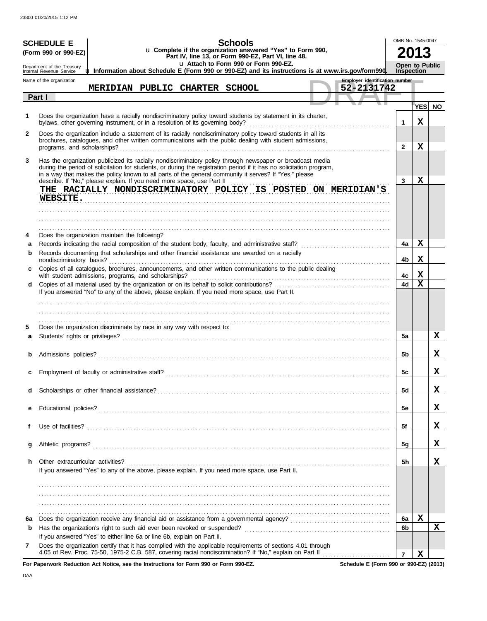|              | <b>SCHEDULE E</b>                                    |                                                                                                                                                                                                                                                                                                                                                                                                                        |  |  | <b>Schools</b>                       |                                                                                                                   |  |                                |                   | OMB No. 1545-0047 |           |
|--------------|------------------------------------------------------|------------------------------------------------------------------------------------------------------------------------------------------------------------------------------------------------------------------------------------------------------------------------------------------------------------------------------------------------------------------------------------------------------------------------|--|--|--------------------------------------|-------------------------------------------------------------------------------------------------------------------|--|--------------------------------|-------------------|-------------------|-----------|
|              | (Form 990 or 990-EZ)                                 |                                                                                                                                                                                                                                                                                                                                                                                                                        |  |  |                                      | u Complete if the organization answered "Yes" to Form 990,<br>Part IV, line 13, or Form 990-EZ, Part VI, line 48. |  |                                |                   | 13                |           |
|              | Department of the Treasury                           | uu Information about Schedule E (Form 990 or 990-EZ) and its instructions is at www.irs.gov/form990.                                                                                                                                                                                                                                                                                                                   |  |  | u Attach to Form 990 or Form 990-EZ. |                                                                                                                   |  |                                | <b>Inspection</b> | Open to Public    |           |
|              | Internal Revenue Service<br>Name of the organization |                                                                                                                                                                                                                                                                                                                                                                                                                        |  |  |                                      |                                                                                                                   |  | Employer identification number |                   |                   |           |
|              | Part I                                               | MERIDIAN PUBLIC CHARTER SCHOOL                                                                                                                                                                                                                                                                                                                                                                                         |  |  |                                      |                                                                                                                   |  | 52-2131742                     |                   |                   |           |
|              |                                                      |                                                                                                                                                                                                                                                                                                                                                                                                                        |  |  |                                      |                                                                                                                   |  |                                |                   | <b>YES</b>        | <b>NO</b> |
| 1            |                                                      | Does the organization have a racially nondiscriminatory policy toward students by statement in its charter,<br>bylaws, other governing instrument, or in a resolution of its governing body?                                                                                                                                                                                                                           |  |  |                                      |                                                                                                                   |  |                                | $\mathbf 1$       | x                 |           |
| $\mathbf{2}$ |                                                      | Does the organization include a statement of its racially nondiscriminatory policy toward students in all its<br>brochures, catalogues, and other written communications with the public dealing with student admissions,                                                                                                                                                                                              |  |  |                                      |                                                                                                                   |  |                                | $\mathbf{2}$      | X                 |           |
| 3            |                                                      | Has the organization publicized its racially nondiscriminatory policy through newspaper or broadcast media<br>during the period of solicitation for students, or during the registration period if it has no solicitation program,<br>in a way that makes the policy known to all parts of the general community it serves? If "Yes," please<br>describe. If "No," please explain. If you need more space, use Part II |  |  |                                      |                                                                                                                   |  |                                | 3                 | x                 |           |
|              | WEBSITE.                                             | THE RACIALLY NONDISCRIMINATORY POLICY IS POSTED ON MERIDIAN'S                                                                                                                                                                                                                                                                                                                                                          |  |  |                                      |                                                                                                                   |  |                                |                   |                   |           |
|              |                                                      |                                                                                                                                                                                                                                                                                                                                                                                                                        |  |  |                                      |                                                                                                                   |  |                                |                   |                   |           |
| 4            |                                                      | Does the organization maintain the following?                                                                                                                                                                                                                                                                                                                                                                          |  |  |                                      |                                                                                                                   |  |                                |                   |                   |           |
| a            |                                                      |                                                                                                                                                                                                                                                                                                                                                                                                                        |  |  |                                      |                                                                                                                   |  |                                | 4a                | x                 |           |
| b            | nondiscriminatory basis?                             | Records documenting that scholarships and other financial assistance are awarded on a racially                                                                                                                                                                                                                                                                                                                         |  |  |                                      |                                                                                                                   |  |                                | 4b                | Х                 |           |
|              |                                                      | Copies of all catalogues, brochures, announcements, and other written communications to the public dealing                                                                                                                                                                                                                                                                                                             |  |  |                                      |                                                                                                                   |  |                                | 4c                | x                 |           |
| d            |                                                      |                                                                                                                                                                                                                                                                                                                                                                                                                        |  |  |                                      |                                                                                                                   |  |                                | 4d                | $\mathbf x$       |           |
|              |                                                      | If you answered "No" to any of the above, please explain. If you need more space, use Part II.                                                                                                                                                                                                                                                                                                                         |  |  |                                      |                                                                                                                   |  |                                |                   |                   |           |
|              |                                                      |                                                                                                                                                                                                                                                                                                                                                                                                                        |  |  |                                      |                                                                                                                   |  |                                |                   |                   |           |
| 5            |                                                      | Does the organization discriminate by race in any way with respect to:                                                                                                                                                                                                                                                                                                                                                 |  |  |                                      |                                                                                                                   |  |                                |                   |                   |           |
| a            |                                                      |                                                                                                                                                                                                                                                                                                                                                                                                                        |  |  |                                      |                                                                                                                   |  |                                | 5a                |                   | x         |
| b            | Admissions policies?                                 |                                                                                                                                                                                                                                                                                                                                                                                                                        |  |  |                                      |                                                                                                                   |  |                                | 5b                |                   | X.        |
|              |                                                      |                                                                                                                                                                                                                                                                                                                                                                                                                        |  |  |                                      |                                                                                                                   |  |                                |                   |                   |           |
|              |                                                      |                                                                                                                                                                                                                                                                                                                                                                                                                        |  |  |                                      |                                                                                                                   |  |                                | эc                |                   | A         |
| d            |                                                      |                                                                                                                                                                                                                                                                                                                                                                                                                        |  |  |                                      |                                                                                                                   |  |                                | <b>5d</b>         |                   | x         |
|              |                                                      |                                                                                                                                                                                                                                                                                                                                                                                                                        |  |  |                                      |                                                                                                                   |  |                                | <b>5e</b>         |                   | x         |
| f            | Use of facilities?                                   |                                                                                                                                                                                                                                                                                                                                                                                                                        |  |  |                                      |                                                                                                                   |  |                                | 5f                |                   | x         |
| g            | Athletic programs?                                   |                                                                                                                                                                                                                                                                                                                                                                                                                        |  |  |                                      |                                                                                                                   |  |                                | 5g                |                   | x         |
| h            | Other extracurricular activities?                    |                                                                                                                                                                                                                                                                                                                                                                                                                        |  |  |                                      |                                                                                                                   |  |                                | 5h                |                   | x         |
|              |                                                      | If you answered "Yes" to any of the above, please explain. If you need more space, use Part II.                                                                                                                                                                                                                                                                                                                        |  |  |                                      |                                                                                                                   |  |                                |                   |                   |           |
|              |                                                      |                                                                                                                                                                                                                                                                                                                                                                                                                        |  |  |                                      |                                                                                                                   |  |                                |                   |                   |           |
|              |                                                      |                                                                                                                                                                                                                                                                                                                                                                                                                        |  |  |                                      |                                                                                                                   |  |                                |                   |                   |           |
|              |                                                      |                                                                                                                                                                                                                                                                                                                                                                                                                        |  |  |                                      |                                                                                                                   |  |                                |                   |                   |           |
| 6a           |                                                      |                                                                                                                                                                                                                                                                                                                                                                                                                        |  |  |                                      |                                                                                                                   |  |                                | 6a                | X                 |           |
| b            |                                                      |                                                                                                                                                                                                                                                                                                                                                                                                                        |  |  |                                      |                                                                                                                   |  |                                | 6b                |                   | x         |
| 7            |                                                      | If you answered "Yes" to either line 6a or line 6b, explain on Part II.<br>Does the organization certify that it has complied with the applicable requirements of sections 4.01 through                                                                                                                                                                                                                                |  |  |                                      |                                                                                                                   |  |                                |                   |                   |           |
|              |                                                      | 4.05 of Rev. Proc. 75-50, 1975-2 C.B. 587, covering racial nondiscrimination? If "No," explain on Part II                                                                                                                                                                                                                                                                                                              |  |  |                                      |                                                                                                                   |  |                                | $\overline{7}$    | X                 |           |

**For Paperwork Reduction Act Notice, see the Instructions for Form 990 or Form 990-EZ.**

**Schedule E (Form 990 or 990-EZ) (2013)**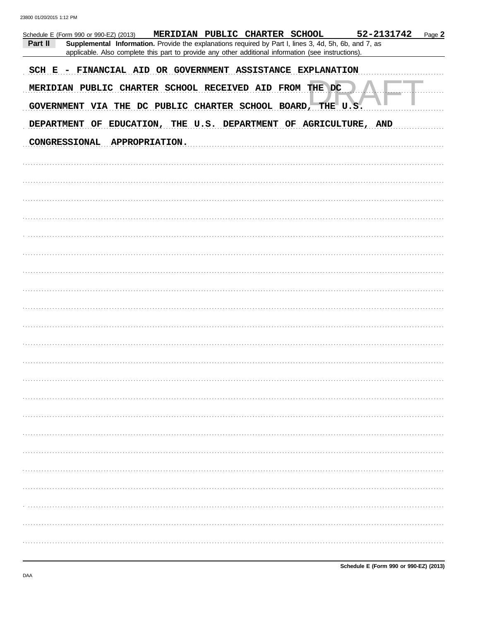23800 01/20/2015 1:12 PM

| 52-2131742<br>MERIDIAN PUBLIC CHARTER SCHOOL<br>Page 2<br>Schedule E (Form 990 or 990-EZ) (2013)<br>Supplemental Information. Provide the explanations required by Part I, lines 3, 4d, 5h, 6b, and 7, as<br>Part II<br>applicable. Also complete this part to provide any other additional information (see instructions). |
|-----------------------------------------------------------------------------------------------------------------------------------------------------------------------------------------------------------------------------------------------------------------------------------------------------------------------------|
| SCH E - FINANCIAL AID OR GOVERNMENT ASSISTANCE EXPLANATION<br>MERIDIAN PUBLIC CHARTER SCHOOL RECEIVED AID FROM THE DC<br>GOVERNMENT VIA THE DC PUBLIC CHARTER SCHOOL BOARD, THE U.S.                                                                                                                                        |
| DEPARTMENT OF EDUCATION, THE U.S. DEPARTMENT OF AGRICULTURE, AND                                                                                                                                                                                                                                                            |
| <b>CONGRESSIONAL</b><br><b>APPROPRIATION.</b>                                                                                                                                                                                                                                                                               |
|                                                                                                                                                                                                                                                                                                                             |
|                                                                                                                                                                                                                                                                                                                             |
|                                                                                                                                                                                                                                                                                                                             |
|                                                                                                                                                                                                                                                                                                                             |
|                                                                                                                                                                                                                                                                                                                             |
|                                                                                                                                                                                                                                                                                                                             |
|                                                                                                                                                                                                                                                                                                                             |
|                                                                                                                                                                                                                                                                                                                             |
|                                                                                                                                                                                                                                                                                                                             |
|                                                                                                                                                                                                                                                                                                                             |
|                                                                                                                                                                                                                                                                                                                             |
|                                                                                                                                                                                                                                                                                                                             |
|                                                                                                                                                                                                                                                                                                                             |
|                                                                                                                                                                                                                                                                                                                             |
|                                                                                                                                                                                                                                                                                                                             |
|                                                                                                                                                                                                                                                                                                                             |
|                                                                                                                                                                                                                                                                                                                             |
|                                                                                                                                                                                                                                                                                                                             |
|                                                                                                                                                                                                                                                                                                                             |
|                                                                                                                                                                                                                                                                                                                             |
|                                                                                                                                                                                                                                                                                                                             |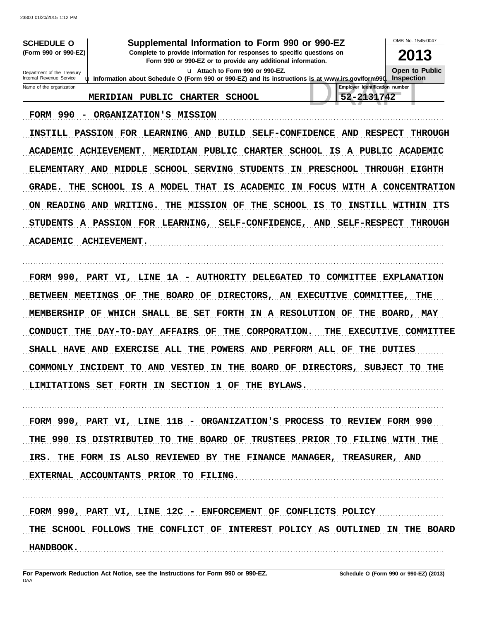23800 01/20/2015 1:12 PM

| <b>SCHEDULE O</b>                                      |                       |        |                |                                 | Supplemental Information to Form 990 or 990-EZ                                                                                         |                                                                                                     | OMB No. 1545-0047                   |
|--------------------------------------------------------|-----------------------|--------|----------------|---------------------------------|----------------------------------------------------------------------------------------------------------------------------------------|-----------------------------------------------------------------------------------------------------|-------------------------------------|
| (Form 990 or 990-EZ)                                   |                       |        |                |                                 | Complete to provide information for responses to specific questions on<br>Form 990 or 990-EZ or to provide any additional information. |                                                                                                     | 2013                                |
| Department of the Treasury<br>Internal Revenue Service |                       |        |                | u Attach to Form 990 or 990-EZ. |                                                                                                                                        | u Information about Schedule O (Form 990 or 990-EZ) and its instructions is at www.irs.gov/form990. | Open to Public<br><b>Inspection</b> |
| Name of the organization                               |                       |        |                |                                 |                                                                                                                                        | <b>Employer identification number</b>                                                               |                                     |
|                                                        | <b>MERIDIAN</b>       | PUBLIC | <b>CHARTER</b> | <b>SCHOOL</b>                   |                                                                                                                                        | 52-2131742                                                                                          |                                     |
| 990<br><b>FORM</b><br>-                                | <b>ORGANIZATION'S</b> |        | <b>MISSION</b> |                                 |                                                                                                                                        |                                                                                                     |                                     |

INSTILL PASSION FOR LEARNING AND BUILD SELF-CONFIDENCE AND RESPECT THROUGH ACADEMIC ACHIEVEMENT. MERIDIAN PUBLIC CHARTER SCHOOL IS A PUBLIC ACADEMIC ELEMENTARY AND MIDDLE SCHOOL SERVING STUDENTS IN PRESCHOOL THROUGH EIGHTH GRADE. THE SCHOOL IS A MODEL THAT IS ACADEMIC IN FOCUS WITH A CONCENTRATION ON READING AND WRITING. THE MISSION OF THE SCHOOL IS TO INSTILL WITHIN ITS STUDENTS A PASSION FOR LEARNING, SELF-CONFIDENCE, AND SELF-RESPECT THROUGH ACADEMIC ACHIEVEMENT. 

FORM 990, PART VI, LINE 1A - AUTHORITY DELEGATED TO COMMITTEE EXPLANATION BETWEEN MEETINGS OF THE BOARD OF DIRECTORS, AN EXECUTIVE COMMITTEE, THE MEMBERSHIP OF WHICH SHALL BE SET FORTH IN A RESOLUTION OF THE BOARD, MAY CONDUCT THE DAY-TO-DAY AFFAIRS OF THE CORPORATION. THE EXECUTIVE COMMITTEE SHALL HAVE AND EXERCISE ALL THE POWERS AND PERFORM ALL OF THE DUTIES COMMONLY INCIDENT TO AND VESTED IN THE BOARD OF DIRECTORS, SUBJECT TO THE LIMITATIONS SET FORTH IN SECTION 1 OF THE BYLAWS.

FORM 990, PART VI, LINE 11B - ORGANIZATION'S PROCESS TO REVIEW FORM 990 THE 990 IS DISTRIBUTED TO THE BOARD OF TRUSTEES PRIOR TO FILING WITH THE IRS. THE FORM IS ALSO REVIEWED BY THE FINANCE MANAGER, TREASURER, AND EXTERNAL ACCOUNTANTS PRIOR TO FILING.

FORM 990, PART VI, LINE 12C - ENFORCEMENT OF CONFLICTS POLICY THE SCHOOL FOLLOWS THE CONFLICT OF INTEREST POLICY AS OUTLINED IN THE BOARD **HANDBOOK.**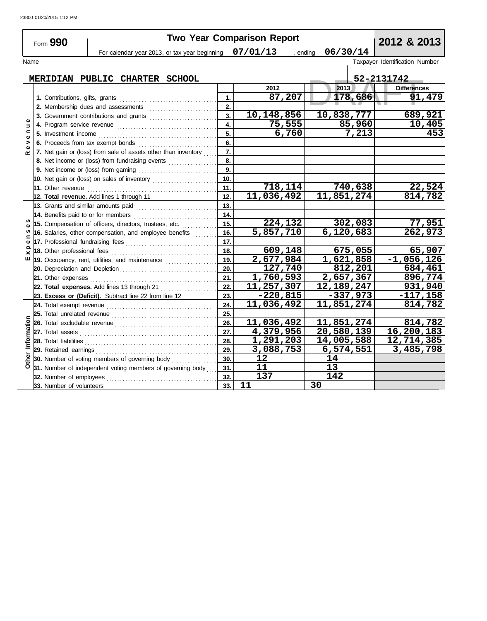|                   | Form 990                                                                                 |     | <b>Two Year Comparison Report</b> |            | 2012 & 2013                    |
|-------------------|------------------------------------------------------------------------------------------|-----|-----------------------------------|------------|--------------------------------|
|                   | For calendar year 2013, or tax year beginning $07/01/13$ , ending                        |     |                                   | 06/30/14   |                                |
| Name              |                                                                                          |     |                                   |            | Taxpayer Identification Number |
|                   | MERIDIAN PUBLIC CHARTER SCHOOL                                                           |     |                                   |            | 52-2131742                     |
|                   |                                                                                          |     | 2012                              | 2013       | <b>Differences</b>             |
|                   | 1. Contributions, gifts, grants                                                          | 1.  | 87,207                            | 178,686    | 91,479                         |
|                   |                                                                                          | 2.  |                                   |            |                                |
|                   | 3. Government contributions and grants                                                   | 3.  | 10, 148, 856                      | 10,838,777 | 689, 921                       |
| $\Rightarrow$     |                                                                                          | 4.  | 75,555                            | 85,960     | 10,405                         |
| $\mathbf{C}$      |                                                                                          | 5.  | 6,760                             | 7,213      | 453                            |
| $\mathbf{Q}$<br>> | 6. Proceeds from tax exempt bonds                                                        | 6.  |                                   |            |                                |
| $\bullet$<br>œ    | 7. Net gain or (loss) from sale of assets other than inventory                           | 7.  |                                   |            |                                |
|                   | 8. Net income or (loss) from fundraising events                                          | 8.  |                                   |            |                                |
|                   |                                                                                          | 9.  |                                   |            |                                |
|                   | 10. Net gain or (loss) on sales of inventory $\ldots$ , $\ldots$ , $\ldots$ , $\ldots$ , | 10. |                                   |            |                                |
|                   | 11. Other revenue <i>communical content of the communication</i>                         | 11. | 718,114                           | 740,638    | 22,524                         |
|                   | 12. Total revenue. Add lines 1 through 11                                                | 12. | 11,036,492                        | 11,851,274 | 814,782                        |
|                   | 13. Grants and similar amounts paid                                                      | 13. |                                   |            |                                |
|                   | 14. Benefits paid to or for members                                                      | 14. |                                   |            |                                |
| n                 | 15. Compensation of officers, directors, trustees, etc.                                  | 15. | 224,132                           | 302,083    | 77,951                         |
| w<br>⊆            | 16. Salaries, other compensation, and employee benefits                                  | 16. | 5,857,710                         | 6,120,683  | 262,973                        |
| Ф                 |                                                                                          | 17. |                                   |            |                                |
| $\times$          |                                                                                          | 18. | 609,148                           | 675,055    | 65,907                         |
| ш                 | 19. Occupancy, rent, utilities, and maintenance                                          | 19. | 2,677,984                         | 1,621,858  | $-1,056,126$                   |
|                   |                                                                                          | 20. | 127,740                           | 812,201    | 684,461                        |
|                   | 21. Other expenses                                                                       | 21. | 1,760,593                         | 2,657,367  | 896,774                        |
|                   | 22. Total expenses. Add lines 13 through 21                                              | 22. | 11,257,307                        | 12,189,247 | 931,940                        |
|                   | 23. Excess or (Deficit). Subtract line 22 from line 12                                   | 23. | $-220,815$                        | $-337,973$ | $-117,158$                     |
|                   |                                                                                          | 24. | 11,036,492                        | 11,851,274 | 814,782                        |
|                   |                                                                                          | 25. |                                   |            |                                |
|                   |                                                                                          | 26. | 11,036,492                        | 11,851,274 | 814,782                        |
| Information       |                                                                                          | 27. | 4,379,956                         | 20,580,139 | 16,200,183                     |
|                   |                                                                                          | 28. | 1,291,203                         | 14,005,588 | 12,714,385                     |
|                   |                                                                                          | 29. | 3,088,753                         | 6,574,551  | 3,485,798                      |
| Other             | 30. Number of voting members of governing body                                           | 30. | 12                                | 14         |                                |
|                   | 31. Number of independent voting members of governing body                               | 31. | 11                                | 13         |                                |
|                   | 32. Number of employees                                                                  | 32. | 137                               | 142        |                                |
|                   | 33. Number of volunteers                                                                 | 33. | 11                                | 30         |                                |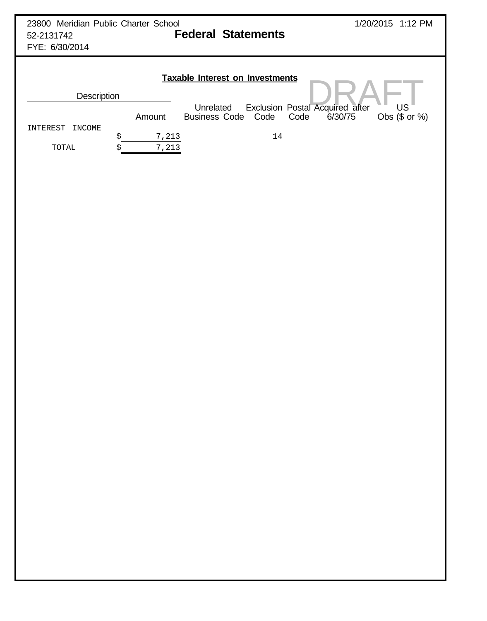| 23800 Meridian Public Charter School<br>52-2131742<br>FYE: 6/30/2014 |             |                    | <b>Federal Statements</b>              |      |                                 | 1/20/2015 1:12 PM |  |
|----------------------------------------------------------------------|-------------|--------------------|----------------------------------------|------|---------------------------------|-------------------|--|
| <b>Description</b>                                                   |             |                    | <b>Taxable Interest on Investments</b> |      |                                 |                   |  |
|                                                                      |             | Unrelated          |                                        |      | Exclusion Postal Acquired after | <b>US</b>         |  |
|                                                                      | Amount      | Business Code Code |                                        | Code | 6/30/75                         | Obs $($$ or $%$   |  |
| <b>INCOME</b><br>INTEREST                                            |             |                    |                                        |      |                                 |                   |  |
|                                                                      | \$<br>7,213 |                    | 14                                     |      |                                 |                   |  |
| TOTAL                                                                | \$<br>7,213 |                    |                                        |      |                                 |                   |  |